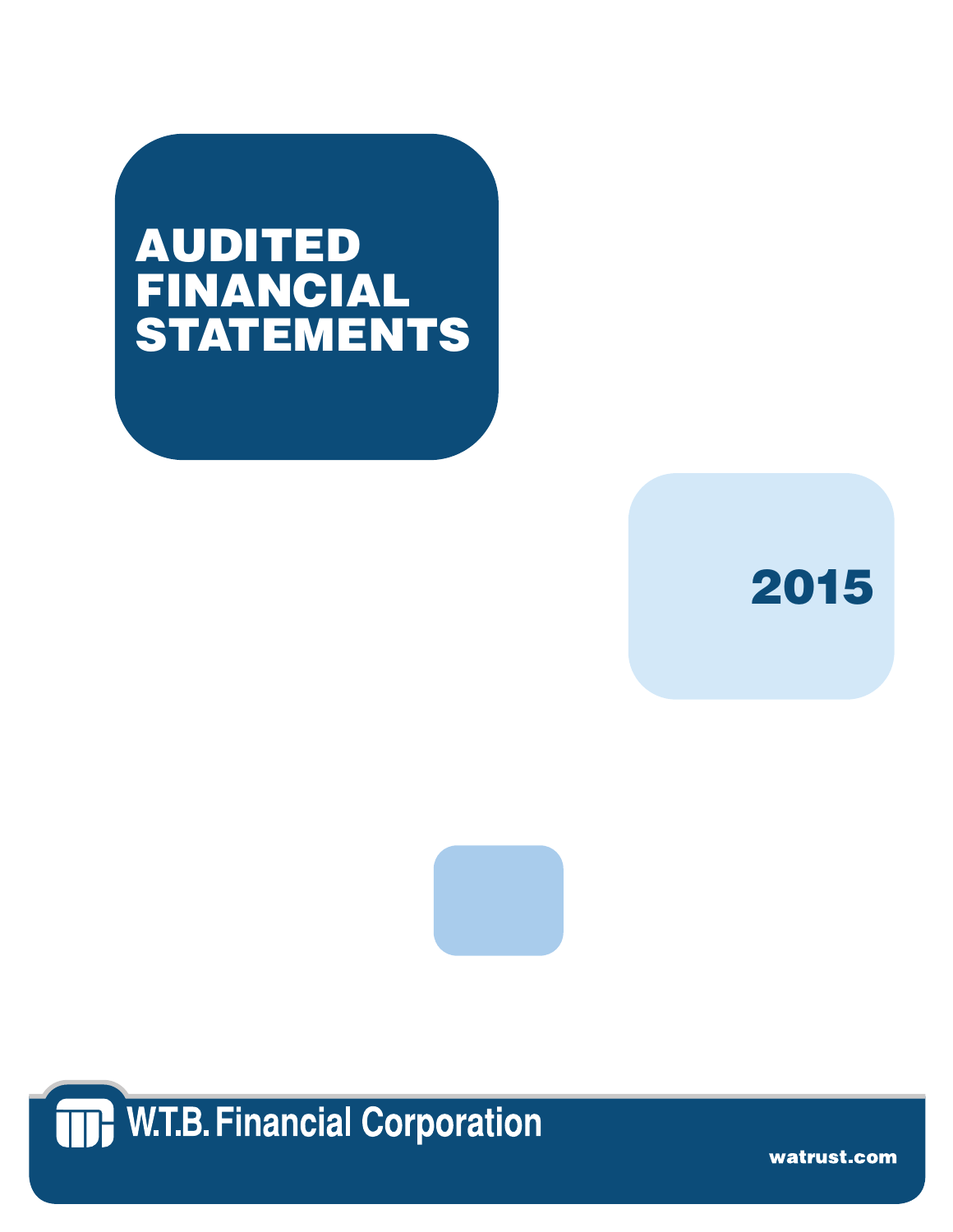# AUDITED FINANCIAL STATEMENTS







watrust.com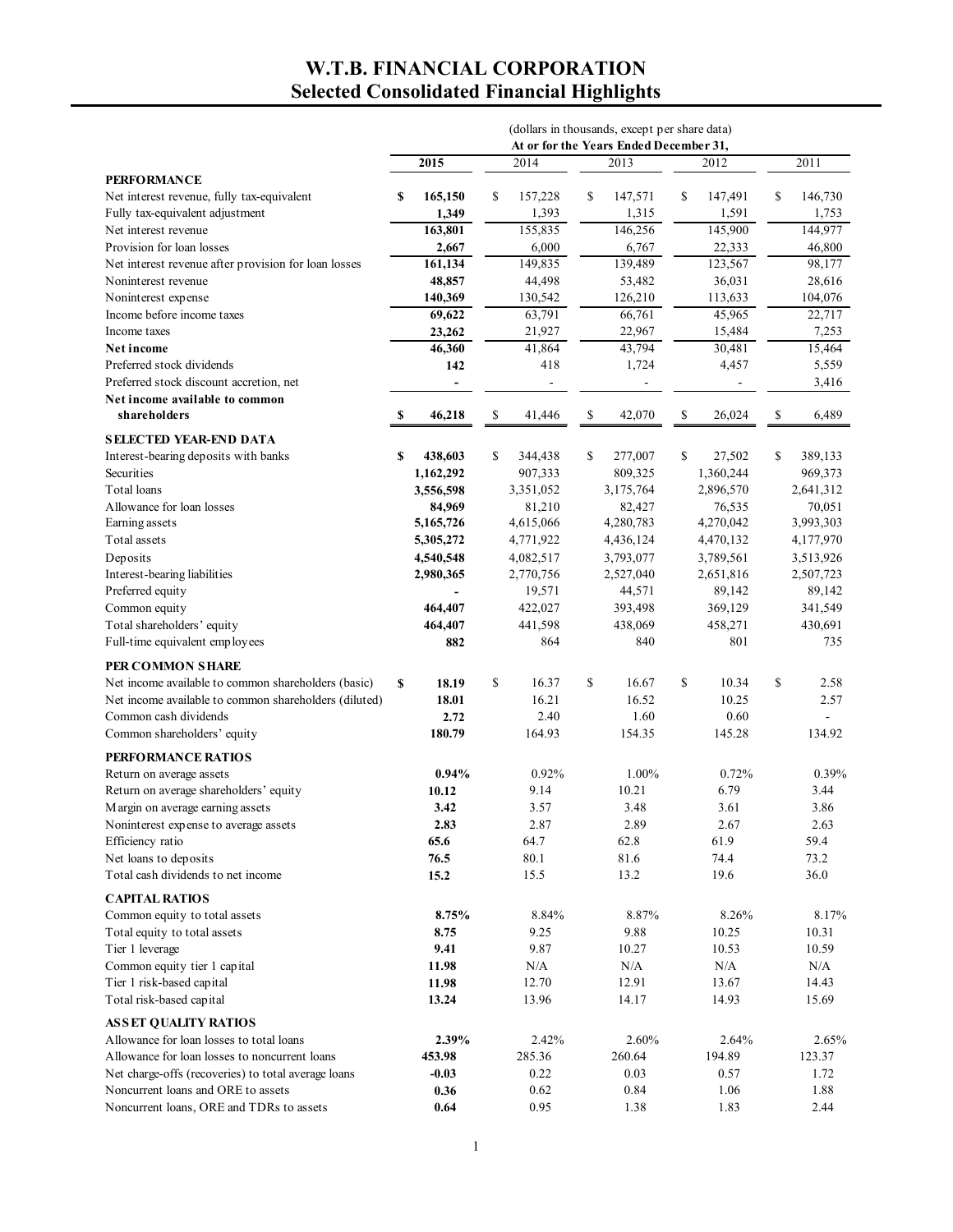### **W.T.B. FINANCIAL CORPORATION Selected Consolidated Financial Highlights**

|                                                       | (dollars in thousands, except per share data) |           |    |           |    |                                        |    |           |    |           |  |  |
|-------------------------------------------------------|-----------------------------------------------|-----------|----|-----------|----|----------------------------------------|----|-----------|----|-----------|--|--|
|                                                       |                                               |           |    |           |    | At or for the Years Ended December 31, |    |           |    |           |  |  |
|                                                       |                                               | 2015      |    | 2014      |    | 2013                                   |    | 2012      |    | 2011      |  |  |
| <b>PERFORMANCE</b>                                    |                                               |           |    |           |    |                                        |    |           |    |           |  |  |
| Net interest revenue, fully tax-equivalent            | S                                             | 165,150   | \$ | 157,228   | \$ | 147,571                                | \$ | 147,491   | \$ | 146,730   |  |  |
| Fully tax-equivalent adjustment                       |                                               | 1,349     |    | 1,393     |    | 1,315                                  |    | 1,591     |    | 1,753     |  |  |
| Net interest revenue                                  |                                               | 163,801   |    | 155,835   |    | 146,256                                |    | 145,900   |    | 144,977   |  |  |
| Provision for loan losses                             |                                               | 2,667     |    | 6,000     |    | 6,767                                  |    | 22,333    |    | 46,800    |  |  |
| Net interest revenue after provision for loan losses  |                                               | 161,134   |    | 149,835   |    | 139,489                                |    | 123,567   |    | 98,177    |  |  |
| Noninterest revenue                                   |                                               | 48,857    |    | 44,498    |    | 53,482                                 |    | 36,031    |    | 28,616    |  |  |
| Noninterest expense                                   |                                               | 140,369   |    | 130,542   |    | 126,210                                |    | 113,633   |    | 104,076   |  |  |
| Income before income taxes                            |                                               | 69,622    |    | 63,791    |    | 66,761                                 |    | 45,965    |    | 22,717    |  |  |
| Income taxes                                          |                                               | 23,262    |    | 21,927    |    | 22,967                                 |    | 15,484    |    | 7,253     |  |  |
| Net income                                            |                                               | 46,360    |    | 41,864    |    | 43,794                                 |    | 30,481    |    | 15,464    |  |  |
| Preferred stock dividends                             |                                               | 142       |    | 418       |    | 1,724                                  |    | 4,457     |    | 5,559     |  |  |
| Preferred stock discount accretion, net               |                                               |           |    |           |    |                                        |    |           |    | 3,416     |  |  |
| Net income available to common                        |                                               |           |    |           |    |                                        |    |           |    |           |  |  |
| shareholders                                          | S,                                            | 46,218    | \$ | 41,446    | \$ | 42,070                                 | \$ | 26,024    | \$ | 6,489     |  |  |
| <b>SELECTED YEAR-END DATA</b>                         |                                               |           |    |           |    |                                        |    |           |    |           |  |  |
| Interest-bearing deposits with banks                  | \$                                            | 438,603   | \$ | 344,438   | \$ | 277,007                                | \$ | 27,502    | \$ | 389,133   |  |  |
| Securities                                            |                                               |           |    | 907,333   |    | 809,325                                |    | 1,360,244 |    | 969,373   |  |  |
|                                                       |                                               | 1,162,292 |    |           |    |                                        |    |           |    |           |  |  |
| Total loans                                           |                                               | 3,556,598 |    | 3,351,052 |    | 3,175,764                              |    | 2,896,570 |    | 2,641,312 |  |  |
| Allowance for loan losses                             |                                               | 84,969    |    | 81,210    |    | 82,427                                 |    | 76,535    |    | 70,051    |  |  |
| Earning assets                                        |                                               | 5,165,726 |    | 4,615,066 |    | 4,280,783                              |    | 4,270,042 |    | 3,993,303 |  |  |
| Total assets                                          |                                               | 5,305,272 |    | 4,771,922 |    | 4,436,124                              |    | 4,470,132 |    | 4,177,970 |  |  |
| Deposits                                              |                                               | 4,540,548 |    | 4,082,517 |    | 3,793,077                              |    | 3,789,561 |    | 3,513,926 |  |  |
| Interest-bearing liabilities                          |                                               | 2,980,365 |    | 2,770,756 |    | 2,527,040                              |    | 2,651,816 |    | 2,507,723 |  |  |
| Preferred equity                                      |                                               |           |    | 19,571    |    | 44,571                                 |    | 89,142    |    | 89,142    |  |  |
| Common equity                                         |                                               | 464,407   |    | 422,027   |    | 393,498                                |    | 369,129   |    | 341,549   |  |  |
| Total shareholders' equity                            |                                               | 464,407   |    | 441,598   |    | 438,069                                |    | 458,271   |    | 430,691   |  |  |
| Full-time equivalent employees                        |                                               | 882       |    | 864       |    | 840                                    |    | 801       |    | 735       |  |  |
|                                                       |                                               |           |    |           |    |                                        |    |           |    |           |  |  |
| <b>PER COMMON SHARE</b>                               |                                               |           |    |           |    |                                        |    |           |    |           |  |  |
| Net income available to common shareholders (basic)   | S                                             | 18.19     | \$ | 16.37     | \$ | 16.67                                  | \$ | 10.34     | \$ | 2.58      |  |  |
| Net income available to common shareholders (diluted) |                                               | 18.01     |    | 16.21     |    | 16.52                                  |    | 10.25     |    | 2.57      |  |  |
| Common cash dividends                                 |                                               | 2.72      |    | 2.40      |    | 1.60                                   |    | 0.60      |    | ÷.        |  |  |
| Common shareholders' equity                           |                                               | 180.79    |    | 164.93    |    | 154.35                                 |    | 145.28    |    | 134.92    |  |  |
| PERFORMANCE RATIOS                                    |                                               |           |    |           |    |                                        |    |           |    |           |  |  |
| Return on average assets                              |                                               | 0.94%     |    | 0.92%     |    | 1.00%                                  |    | 0.72%     |    | 0.39%     |  |  |
| Return on average shareholders' equity                |                                               | 10.12     |    | 9.14      |    | 10.21                                  |    | 6.79      |    | 3.44      |  |  |
| Margin on average earning assets                      |                                               | 3.42      |    | 3.57      |    | 3.48                                   |    | 3.61      |    | 3.86      |  |  |
| Noninterest expense to average assets                 |                                               | 2.83      |    | 2.87      |    | 2.89                                   |    | 2.67      |    | 2.63      |  |  |
| Efficiency ratio                                      |                                               | 65.6      |    | 64.7      |    | 62.8                                   |    | 61.9      |    | 59.4      |  |  |
| Net loans to deposits                                 |                                               | 76.5      |    |           |    |                                        |    | 74.4      |    | 73.2      |  |  |
|                                                       |                                               |           |    | 80.1      |    | 81.6                                   |    |           |    |           |  |  |
| Total cash dividends to net income                    |                                               | 15.2      |    | 15.5      |    | 13.2                                   |    | 19.6      |    | 36.0      |  |  |
| <b>CAPITAL RATIOS</b>                                 |                                               |           |    |           |    |                                        |    |           |    |           |  |  |
| Common equity to total assets                         |                                               | 8.75%     |    | 8.84%     |    | 8.87%                                  |    | 8.26%     |    | 8.17%     |  |  |
| Total equity to total assets                          |                                               | 8.75      |    | 9.25      |    | 9.88                                   |    | 10.25     |    | 10.31     |  |  |
| Tier 1 leverage                                       |                                               | 9.41      |    | 9.87      |    | 10.27                                  |    | 10.53     |    | 10.59     |  |  |
| Common equity tier 1 capital                          |                                               | 11.98     |    | N/A       |    | N/A                                    |    | N/A       |    | N/A       |  |  |
| Tier 1 risk-based capital                             |                                               | 11.98     |    | 12.70     |    | 12.91                                  |    | 13.67     |    | 14.43     |  |  |
| Total risk-based capital                              |                                               | 13.24     |    | 13.96     |    | 14.17                                  |    | 14.93     |    | 15.69     |  |  |
|                                                       |                                               |           |    |           |    |                                        |    |           |    |           |  |  |
| <b>ASSET QUALITY RATIOS</b>                           |                                               |           |    |           |    |                                        |    |           |    |           |  |  |
| Allowance for loan losses to total loans              |                                               | 2.39%     |    | 2.42%     |    | 2.60%                                  |    | 2.64%     |    | 2.65%     |  |  |
| Allowance for loan losses to noncurrent loans         |                                               | 453.98    |    | 285.36    |    | 260.64                                 |    | 194.89    |    | 123.37    |  |  |
| Net charge-offs (recoveries) to total average loans   |                                               | $-0.03$   |    | 0.22      |    | 0.03                                   |    | 0.57      |    | 1.72      |  |  |
| Noncurrent loans and ORE to assets                    |                                               | 0.36      |    | 0.62      |    | 0.84                                   |    | 1.06      |    | 1.88      |  |  |
| Noncurrent loans, ORE and TDRs to assets              |                                               | 0.64      |    | 0.95      |    | 1.38                                   |    | 1.83      |    | 2.44      |  |  |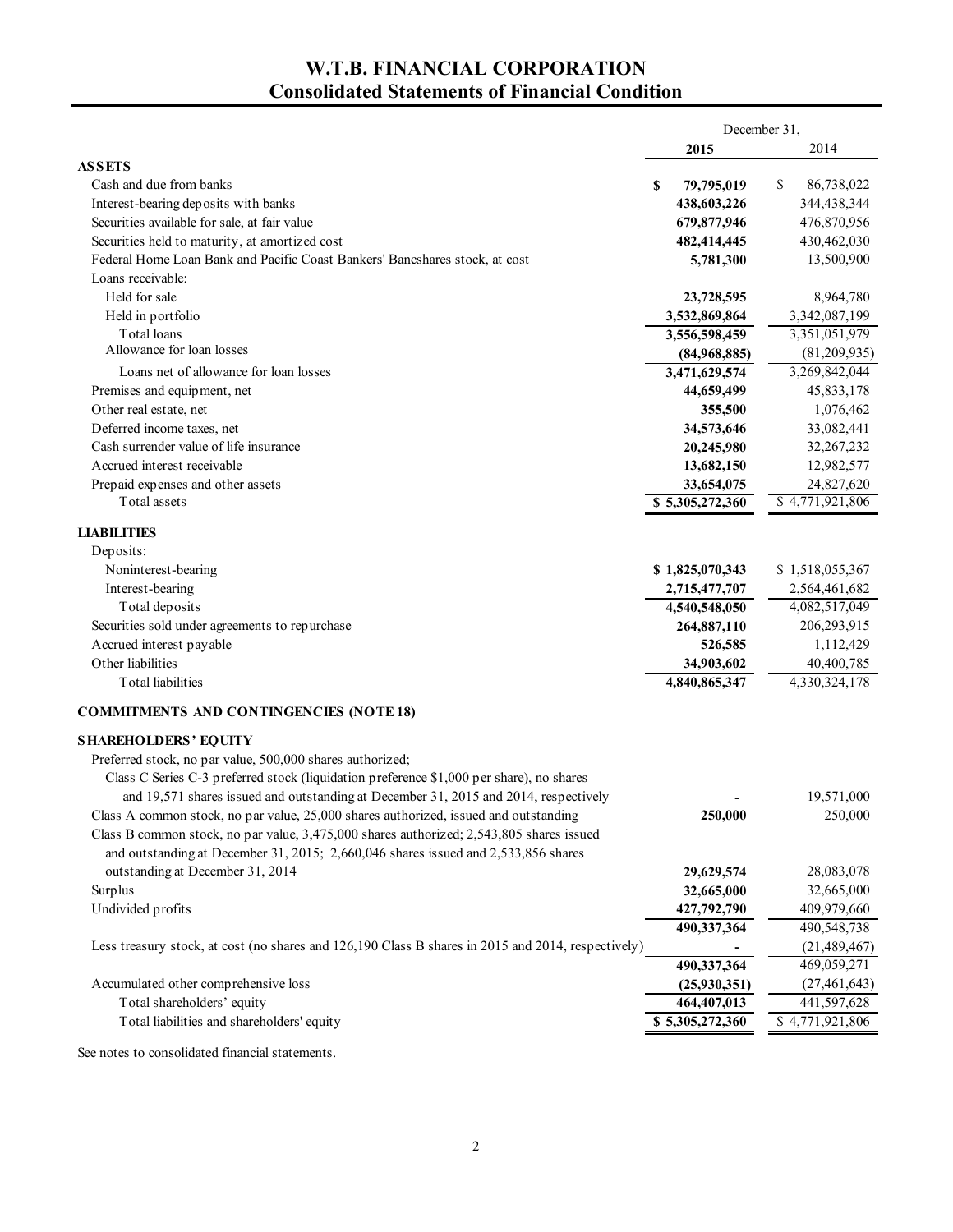### **W.T.B. FINANCIAL CORPORATION Consolidated Statements of Financial Condition**

|                                                                                                    | December 31,    |                  |  |  |  |  |
|----------------------------------------------------------------------------------------------------|-----------------|------------------|--|--|--|--|
|                                                                                                    | 2015            | 2014             |  |  |  |  |
| <b>ASSETS</b>                                                                                      |                 |                  |  |  |  |  |
| Cash and due from banks                                                                            | S<br>79,795,019 | \$<br>86,738,022 |  |  |  |  |
| Interest-bearing deposits with banks                                                               | 438,603,226     | 344,438,344      |  |  |  |  |
| Securities available for sale, at fair value                                                       | 679,877,946     | 476,870,956      |  |  |  |  |
| Securities held to maturity, at amortized cost                                                     | 482,414,445     | 430,462,030      |  |  |  |  |
| Federal Home Loan Bank and Pacific Coast Bankers' Bancshares stock, at cost                        | 5,781,300       | 13,500,900       |  |  |  |  |
| Loans receivable:                                                                                  |                 |                  |  |  |  |  |
| Held for sale                                                                                      | 23,728,595      | 8,964,780        |  |  |  |  |
| Held in portfolio                                                                                  | 3,532,869,864   | 3,342,087,199    |  |  |  |  |
| Total loans                                                                                        | 3,556,598,459   | 3,351,051,979    |  |  |  |  |
| Allowance for loan losses                                                                          | (84,968,885)    | (81,209,935)     |  |  |  |  |
| Loans net of allowance for loan losses                                                             | 3,471,629,574   | 3,269,842,044    |  |  |  |  |
| Premises and equipment, net                                                                        | 44,659,499      | 45,833,178       |  |  |  |  |
| Other real estate, net                                                                             | 355,500         | 1,076,462        |  |  |  |  |
| Deferred income taxes, net                                                                         | 34,573,646      | 33,082,441       |  |  |  |  |
| Cash surrender value of life insurance                                                             | 20,245,980      | 32, 267, 232     |  |  |  |  |
| Accrued interest receivable                                                                        | 13,682,150      | 12,982,577       |  |  |  |  |
| Prepaid expenses and other assets                                                                  | 33,654,075      | 24,827,620       |  |  |  |  |
| Total assets                                                                                       | \$5,305,272,360 | \$4,771,921,806  |  |  |  |  |
| <b>LIABILITIES</b>                                                                                 |                 |                  |  |  |  |  |
| Deposits:                                                                                          |                 |                  |  |  |  |  |
| Noninterest-bearing                                                                                | \$1,825,070,343 | \$1,518,055,367  |  |  |  |  |
| Interest-bearing                                                                                   | 2,715,477,707   | 2,564,461,682    |  |  |  |  |
| Total deposits                                                                                     | 4,540,548,050   | 4,082,517,049    |  |  |  |  |
| Securities sold under agreements to repurchase                                                     | 264,887,110     | 206,293,915      |  |  |  |  |
| Accrued interest payable                                                                           | 526,585         | 1,112,429        |  |  |  |  |
| Other liabilities                                                                                  | 34,903,602      | 40,400,785       |  |  |  |  |
| <b>Total liabilities</b>                                                                           | 4,840,865,347   | 4,330,324,178    |  |  |  |  |
| <b>COMMITMENTS AND CONTINGENCIES (NOTE 18)</b>                                                     |                 |                  |  |  |  |  |
| <b>SHAREHOLDERS' EQUITY</b>                                                                        |                 |                  |  |  |  |  |
| Preferred stock, no par value, 500,000 shares authorized;                                          |                 |                  |  |  |  |  |
| Class C Series C-3 preferred stock (liquidation preference \$1,000 per share), no shares           |                 |                  |  |  |  |  |
| and 19,571 shares issued and outstanding at December 31, 2015 and 2014, respectively               |                 | 19,571,000       |  |  |  |  |
| Class A common stock, no par value, 25,000 shares authorized, issued and outstanding               | 250,000         | 250,000          |  |  |  |  |
| Class B common stock, no par value, 3,475,000 shares authorized; 2,543,805 shares issued           |                 |                  |  |  |  |  |
| and outstanding at December 31, 2015; 2,660,046 shares issued and 2,533,856 shares                 |                 |                  |  |  |  |  |
| outstanding at December 31, 2014                                                                   | 29,629,574      | 28,083,078       |  |  |  |  |
| Surplus                                                                                            | 32,665,000      | 32,665,000       |  |  |  |  |
| Undivided profits                                                                                  | 427,792,790     | 409,979,660      |  |  |  |  |
|                                                                                                    | 490,337,364     | 490,548,738      |  |  |  |  |
| Less treasury stock, at cost (no shares and 126,190 Class B shares in 2015 and 2014, respectively) |                 | (21, 489, 467)   |  |  |  |  |
|                                                                                                    | 490,337,364     | 469,059,271      |  |  |  |  |
| Accumulated other comprehensive loss                                                               | (25,930,351)    | (27, 461, 643)   |  |  |  |  |
| Total shareholders' equity                                                                         | 464,407,013     | 441,597,628      |  |  |  |  |
| Total liabilities and shareholders' equity                                                         | \$5,305,272,360 | \$4,771,921,806  |  |  |  |  |
|                                                                                                    |                 |                  |  |  |  |  |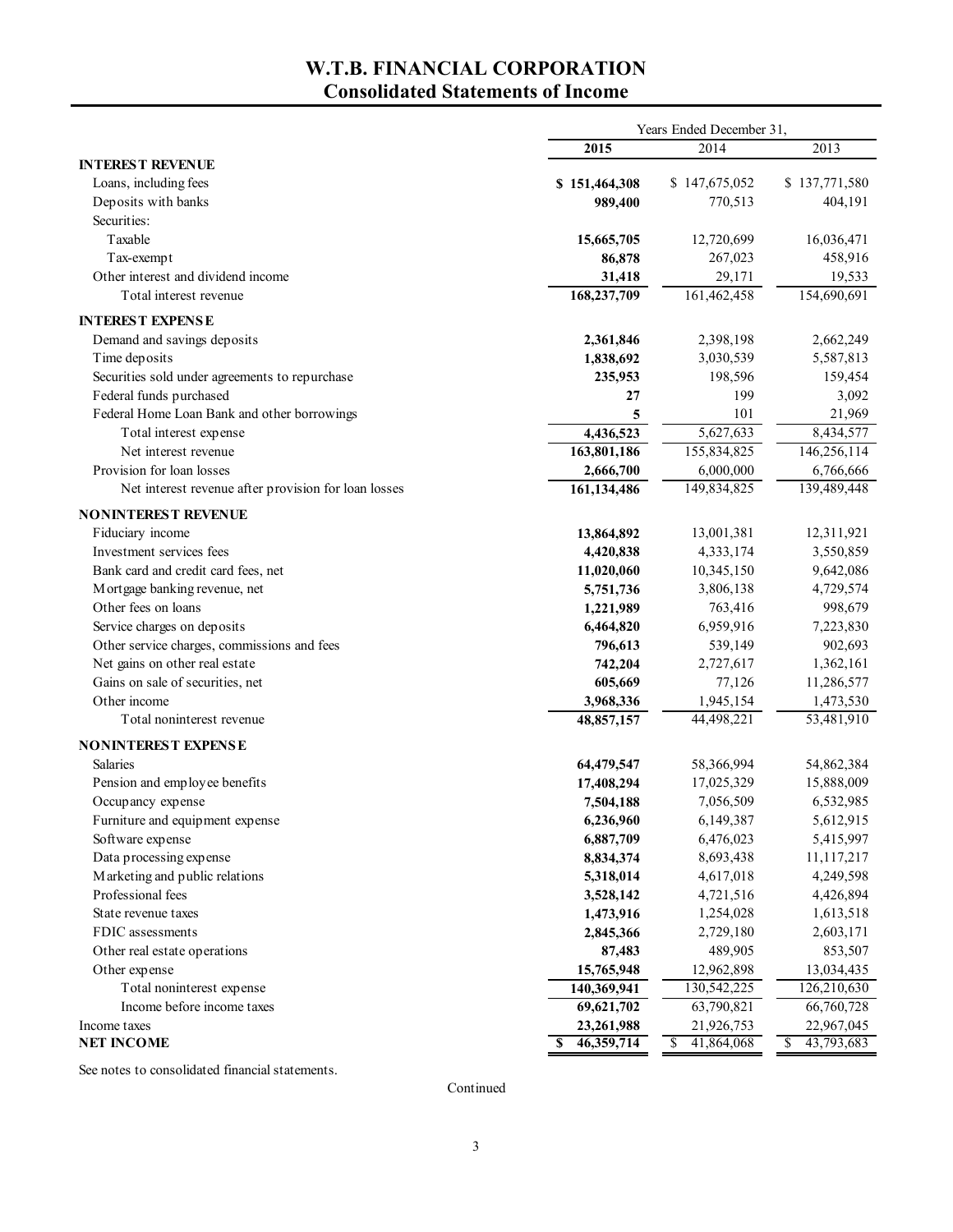### **W.T.B. FINANCIAL CORPORATION Consolidated Statements of Income**

|                                                      | Years Ended December 31, |                         |                      |  |  |  |
|------------------------------------------------------|--------------------------|-------------------------|----------------------|--|--|--|
|                                                      | 2015                     | 2014                    | 2013                 |  |  |  |
| <b>INTEREST REVENUE</b>                              |                          |                         |                      |  |  |  |
| Loans, including fees                                | \$151,464,308            | \$147,675,052           | \$137,771,580        |  |  |  |
| Deposits with banks                                  | 989,400                  | 770,513                 | 404,191              |  |  |  |
| Securities:                                          |                          |                         |                      |  |  |  |
| Taxable                                              | 15,665,705               | 12,720,699              | 16,036,471           |  |  |  |
| Tax-exempt                                           | 86,878                   | 267,023                 | 458,916              |  |  |  |
| Other interest and dividend income                   | 31,418                   | 29,171                  | 19,533               |  |  |  |
| Total interest revenue                               | 168,237,709              | 161,462,458             | 154,690,691          |  |  |  |
| <b>INTEREST EXPENSE</b>                              |                          |                         |                      |  |  |  |
| Demand and savings deposits                          | 2,361,846                | 2,398,198               | 2,662,249            |  |  |  |
| Time deposits                                        | 1,838,692                | 3,030,539               | 5,587,813            |  |  |  |
| Securities sold under agreements to repurchase       | 235,953                  | 198,596                 | 159,454              |  |  |  |
| Federal funds purchased                              | 27                       | 199                     | 3,092                |  |  |  |
| Federal Home Loan Bank and other borrowings          | 5                        | 101                     | 21,969               |  |  |  |
| Total interest expense                               | 4,436,523                | 5,627,633               | 8,434,577            |  |  |  |
| Net interest revenue                                 | 163,801,186              | 155,834,825             | 146,256,114          |  |  |  |
| Provision for loan losses                            | 2,666,700                | 6,000,000               | 6,766,666            |  |  |  |
| Net interest revenue after provision for loan losses | 161,134,486              | 149,834,825             | 139,489,448          |  |  |  |
| <b>NONINTEREST REVENUE</b>                           |                          |                         |                      |  |  |  |
| Fiduciary income                                     |                          |                         | 12,311,921           |  |  |  |
| Investment services fees                             | 13,864,892               | 13,001,381<br>4,333,174 |                      |  |  |  |
| Bank card and credit card fees, net                  | 4,420,838                |                         | 3,550,859            |  |  |  |
| Mortgage banking revenue, net                        | 11,020,060               | 10,345,150              | 9,642,086            |  |  |  |
| Other fees on loans                                  | 5,751,736                | 3,806,138<br>763,416    | 4,729,574<br>998,679 |  |  |  |
| Service charges on deposits                          | 1,221,989                | 6,959,916               |                      |  |  |  |
| Other service charges, commissions and fees          | 6,464,820<br>796,613     | 539,149                 | 7,223,830<br>902,693 |  |  |  |
| Net gains on other real estate                       | 742,204                  | 2,727,617               | 1,362,161            |  |  |  |
| Gains on sale of securities, net                     | 605,669                  | 77,126                  | 11,286,577           |  |  |  |
| Other income                                         | 3,968,336                | 1,945,154               | 1,473,530            |  |  |  |
| Total noninterest revenue                            | 48,857,157               | 44,498,221              | 53,481,910           |  |  |  |
|                                                      |                          |                         |                      |  |  |  |
| <b>NONINTEREST EXPENSE</b>                           |                          |                         |                      |  |  |  |
| Salaries                                             | 64,479,547               | 58,366,994              | 54,862,384           |  |  |  |
| Pension and employee benefits                        | 17,408,294               | 17,025,329              | 15,888,009           |  |  |  |
| Occupancy expense                                    | 7,504,188                | 7,056,509               | 6,532,985            |  |  |  |
| Furniture and equipment expense                      | 6,236,960                | 6,149,387               | 5,612,915            |  |  |  |
| Software expense                                     | 6,887,709                | 6,476,023               | 5,415,997            |  |  |  |
| Data processing expense                              | 8,834,374                | 8,693,438               | 11,117,217           |  |  |  |
| Marketing and public relations                       | 5,318,014                | 4,617,018               | 4,249,598            |  |  |  |
| Professional fees                                    | 3,528,142                | 4,721,516               | 4,426,894            |  |  |  |
| State revenue taxes                                  | 1,473,916                | 1,254,028               | 1,613,518            |  |  |  |
| FDIC assessments                                     | 2,845,366                | 2,729,180               | 2,603,171            |  |  |  |
| Other real estate operations                         | 87,483                   | 489,905                 | 853,507              |  |  |  |
| Other expense                                        | 15,765,948               | 12,962,898              | 13,034,435           |  |  |  |
| Total noninterest expense                            | 140,369,941              | 130,542,225             | 126,210,630          |  |  |  |
| Income before income taxes                           | 69,621,702               | 63,790,821              | 66,760,728           |  |  |  |
| Income taxes                                         | 23,261,988               | 21,926,753              | 22,967,045           |  |  |  |
| <b>NET INCOME</b>                                    | 46,359,714<br>S.         | 41,864,068<br>\$        | 43,793,683<br>\$     |  |  |  |

See notes to consolidated financial statements.

Continued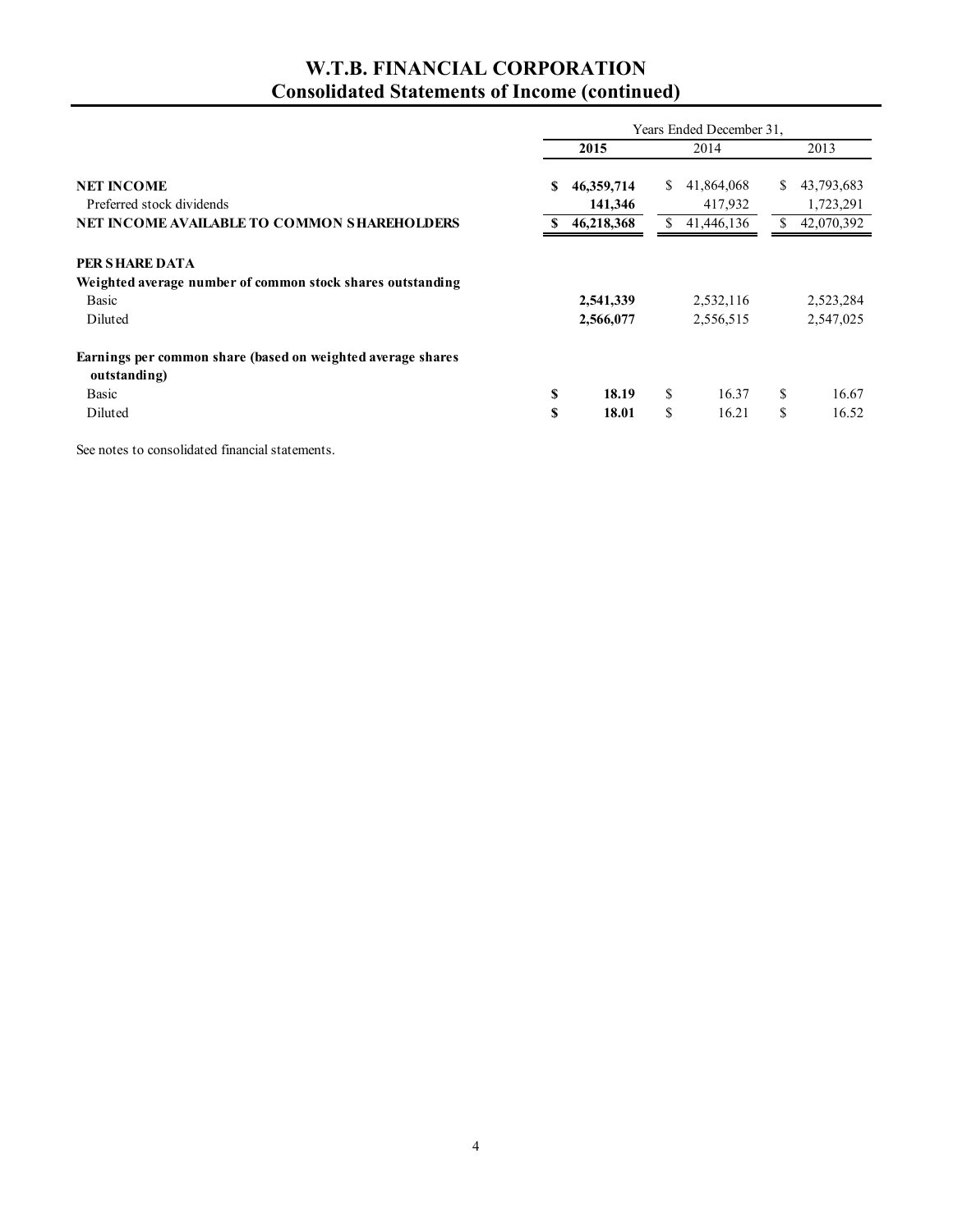### **W.T.B. FINANCIAL CORPORATION Consolidated Statements of Income (continued)**

|                                                                                                  | Years Ended December 31, |                        |      |                        |    |                         |  |
|--------------------------------------------------------------------------------------------------|--------------------------|------------------------|------|------------------------|----|-------------------------|--|
|                                                                                                  | 2015                     |                        | 2014 |                        |    | 2013                    |  |
| <b>NET INCOME</b><br>Preferred stock dividends                                                   | S.                       | 46,359,714<br>141,346  | S.   | 41,864,068<br>417,932  | \$ | 43,793,683<br>1,723,291 |  |
| NET INCOME AVAILABLE TO COMMON SHAREHOLDERS                                                      |                          | 46,218,368             | S.   | 41,446,136             | \$ | 42,070,392              |  |
| PER SHARE DATA<br>Weighted average number of common stock shares outstanding<br>Basic<br>Diluted |                          | 2,541,339<br>2,566,077 |      | 2,532,116<br>2,556,515 |    | 2,523,284<br>2,547,025  |  |
| Earnings per common share (based on weighted average shares<br>outstanding)                      |                          |                        |      |                        |    |                         |  |
| Basic                                                                                            | S                        | 18.19                  | \$   | 16.37                  | \$ | 16.67                   |  |
| Diluted                                                                                          | S                        | 18.01                  | \$   | 16.21                  | \$ | 16.52                   |  |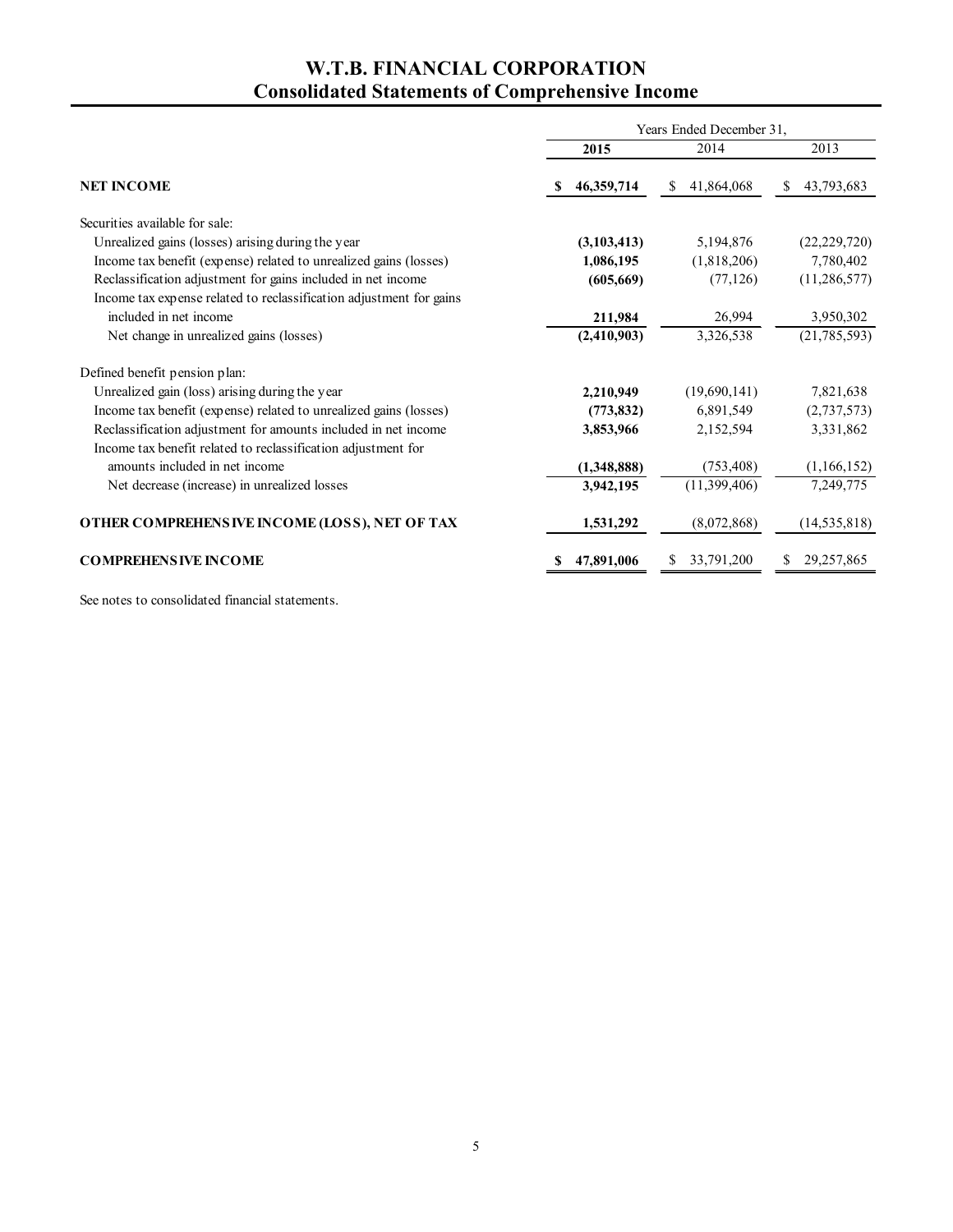### **W.T.B. FINANCIAL CORPORATION Consolidated Statements of Comprehensive Income**

|                                                                     | Years Ended December 31, |                 |                  |  |  |  |
|---------------------------------------------------------------------|--------------------------|-----------------|------------------|--|--|--|
|                                                                     | 2015                     | 2014            | 2013             |  |  |  |
| <b>NET INCOME</b>                                                   | 46,359,714<br>S          | 41,864,068<br>S | 43,793,683<br>S. |  |  |  |
| Securities available for sale:                                      |                          |                 |                  |  |  |  |
| Unrealized gains (losses) arising during the year                   | (3,103,413)              | 5,194,876       | (22, 229, 720)   |  |  |  |
| Income tax benefit (expense) related to unrealized gains (losses)   | 1,086,195                | (1,818,206)     | 7,780,402        |  |  |  |
| Reclassification adjustment for gains included in net income        | (605, 669)               | (77, 126)       | (11, 286, 577)   |  |  |  |
| Income tax expense related to reclassification adjustment for gains |                          |                 |                  |  |  |  |
| included in net income                                              | 211,984                  | 26,994          | 3,950,302        |  |  |  |
| Net change in unrealized gains (losses)                             | (2,410,903)              | 3,326,538       | (21, 785, 593)   |  |  |  |
| Defined benefit pension plan:                                       |                          |                 |                  |  |  |  |
| Unrealized gain (loss) arising during the year                      | 2,210,949                | (19,690,141)    | 7,821,638        |  |  |  |
| Income tax benefit (expense) related to unrealized gains (losses)   | (773, 832)               | 6,891,549       | (2, 737, 573)    |  |  |  |
| Reclassification adjustment for amounts included in net income      | 3,853,966                | 2,152,594       | 3,331,862        |  |  |  |
| Income tax benefit related to reclassification adjustment for       |                          |                 |                  |  |  |  |
| amounts included in net income                                      | (1,348,888)              | (753, 408)      | (1,166,152)      |  |  |  |
| Net decrease (increase) in unrealized losses                        | 3,942,195                | (11,399,406)    | 7,249,775        |  |  |  |
| OTHER COMPREHENSIVE INCOME (LOSS), NET OF TAX                       | 1,531,292                | (8,072,868)     | (14, 535, 818)   |  |  |  |
| <b>COMPREHENSIVE INCOME</b>                                         | 47,891,006               | 33,791,200      | 29,257,865<br>S  |  |  |  |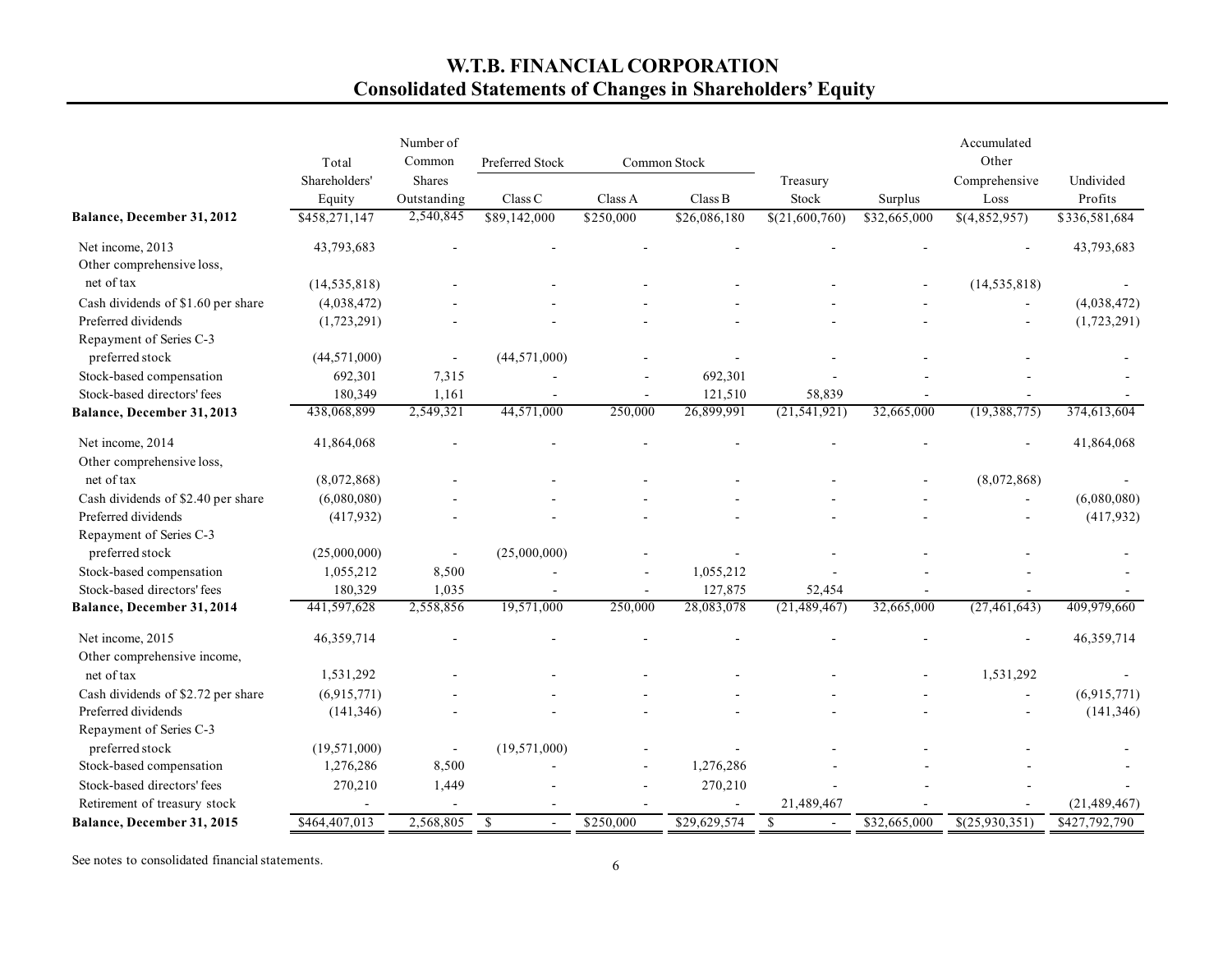### **W.T.B. FINANCIAL CORPORATION Consolidated Statements of Changes in Shareholders' Equity**

|                                                | Total          | Number of<br>Common | Preferred Stock       | Common Stock |              |                       |              | Accumulated<br>Other |                |
|------------------------------------------------|----------------|---------------------|-----------------------|--------------|--------------|-----------------------|--------------|----------------------|----------------|
|                                                | Shareholders'  | <b>Shares</b>       |                       |              |              | Treasury              |              | Comprehensive        | Undivided      |
|                                                | Equity         | Outstanding         | Class <sub>C</sub>    | Class A      | Class B      | Stock                 | Surplus      | Loss                 | Profits        |
| Balance, December 31, 2012                     | \$458,271,147  | 2,540,845           | \$89,142,000          | \$250,000    | \$26,086,180 | \$(21,600,760)        | \$32,665,000 | $\sqrt{(4,852,957)}$ | \$336,581,684  |
| Net income, 2013<br>Other comprehensive loss,  | 43,793,683     |                     |                       |              |              |                       |              |                      | 43,793,683     |
| net of tax                                     | (14, 535, 818) |                     |                       |              |              |                       |              | (14, 535, 818)       |                |
| Cash dividends of \$1.60 per share             | (4,038,472)    |                     |                       |              |              |                       |              |                      | (4,038,472)    |
| Preferred dividends<br>Repayment of Series C-3 | (1,723,291)    |                     |                       |              |              |                       |              |                      | (1,723,291)    |
| preferred stock                                | (44, 571, 000) |                     | (44, 571, 000)        |              |              |                       |              |                      |                |
| Stock-based compensation                       | 692,301        | 7,315               |                       |              | 692,301      |                       |              |                      |                |
| Stock-based directors' fees                    | 180,349        | 1,161               |                       |              | 121,510      | 58,839                |              |                      |                |
| Balance, December 31, 2013                     | 438,068,899    | 2,549,321           | 44,571,000            | 250,000      | 26,899,991   | (21, 541, 921)        | 32,665,000   | (19,388,775)         | 374,613,604    |
| Net income, 2014                               | 41,864,068     |                     |                       |              |              |                       |              |                      | 41,864,068     |
| Other comprehensive loss,                      |                |                     |                       |              |              |                       |              |                      |                |
| net of tax                                     | (8,072,868)    |                     |                       |              |              |                       |              | (8,072,868)          |                |
| Cash dividends of \$2.40 per share             | (6,080,080)    |                     |                       |              |              |                       |              |                      | (6,080,080)    |
| Preferred dividends                            | (417, 932)     |                     |                       |              |              |                       |              |                      | (417, 932)     |
| Repayment of Series C-3                        |                |                     |                       |              |              |                       |              |                      |                |
| preferred stock                                | (25,000,000)   |                     | (25,000,000)          |              |              |                       |              |                      |                |
| Stock-based compensation                       | 1,055,212      | 8,500               |                       |              | 1,055,212    |                       |              |                      |                |
| Stock-based directors' fees                    | 180,329        | 1,035               |                       |              | 127,875      | 52,454                |              |                      |                |
| Balance, December 31, 2014                     | 441,597,628    | 2,558,856           | 19,571,000            | 250,000      | 28,083,078   | (21, 489, 467)        | 32,665,000   | (27, 461, 643)       | 409,979,660    |
| Net income, 2015                               | 46,359,714     |                     |                       |              |              |                       |              |                      | 46,359,714     |
| Other comprehensive income,                    |                |                     |                       |              |              |                       |              |                      |                |
| net of tax                                     | 1,531,292      |                     |                       |              |              |                       |              | 1,531,292            |                |
| Cash dividends of \$2.72 per share             | (6,915,771)    |                     |                       |              |              |                       |              |                      | (6,915,771)    |
| Preferred dividends                            | (141, 346)     |                     |                       |              |              |                       |              |                      | (141, 346)     |
| Repayment of Series C-3                        |                |                     |                       |              |              |                       |              |                      |                |
| preferred stock                                | (19, 571, 000) |                     | (19, 571, 000)        |              |              |                       |              |                      |                |
| Stock-based compensation                       | 1,276,286      | 8,500               |                       |              | 1,276,286    |                       |              |                      |                |
| Stock-based directors' fees                    | 270,210        | 1,449               |                       |              | 270,210      |                       |              |                      |                |
| Retirement of treasury stock                   |                |                     |                       |              |              | 21,489,467            |              |                      | (21, 489, 467) |
| Balance, December 31, 2015                     | \$464,407,013  | 2,568,805           | $\mathbf S$<br>$\sim$ | \$250,000    | \$29,629,574 | $\mathbb S$<br>$\sim$ | \$32,665,000 | \$(25,930,351)       | \$427,792,790  |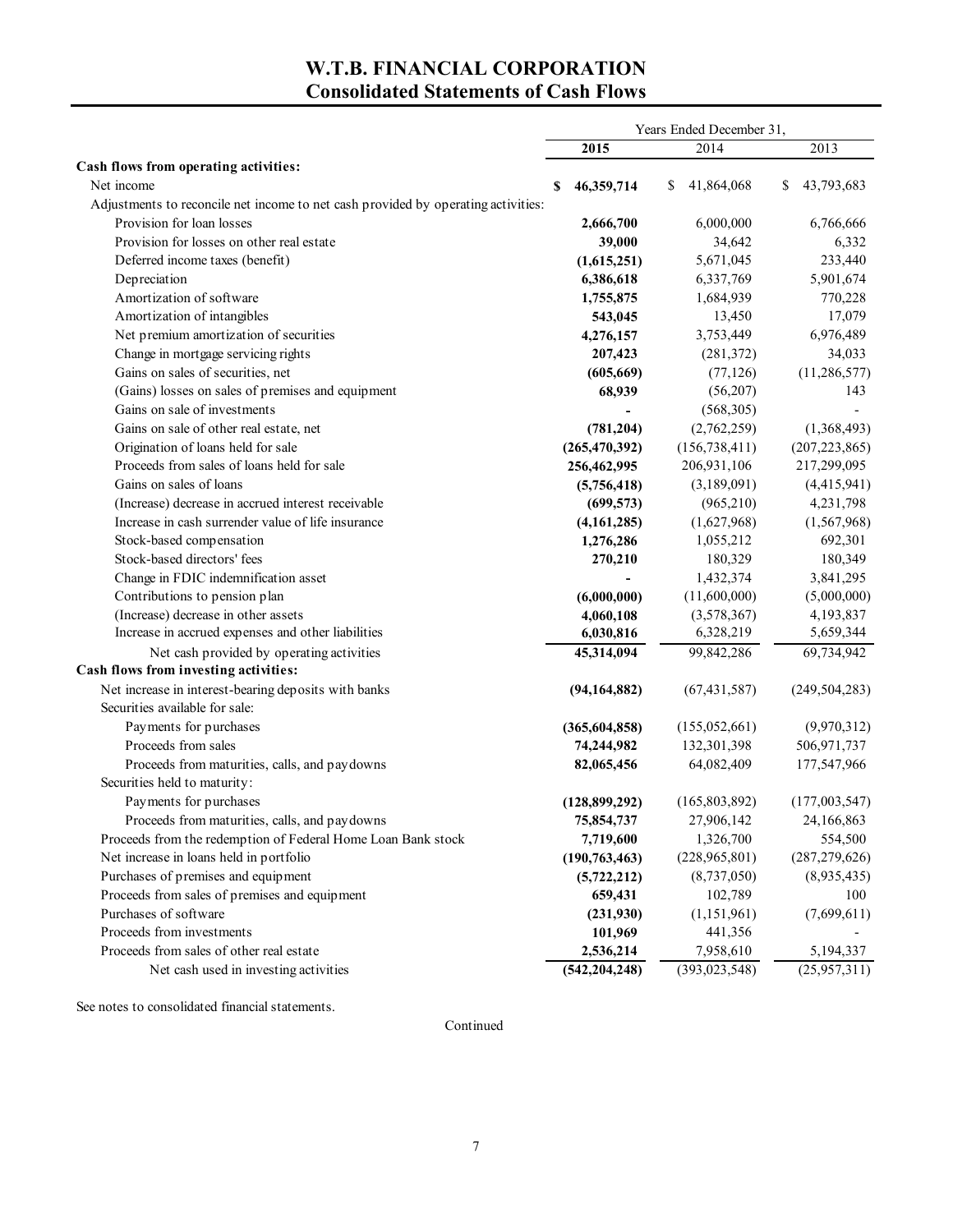### **W.T.B. FINANCIAL CORPORATION Consolidated Statements of Cash Flows**

| 2014<br>2013<br>2015<br>Cash flows from operating activities:<br>Net income<br>43,793,683<br>46,359,714<br>\$<br>41,864,068<br>\$<br>S.<br>Adjustments to reconcile net income to net cash provided by operating activities:<br>Provision for loan losses<br>6,000,000<br>6,766,666<br>2,666,700<br>Provision for losses on other real estate<br>6,332<br>39,000<br>34,642<br>233,440<br>Deferred income taxes (benefit)<br>5,671,045<br>(1,615,251)<br>Depreciation<br>6,337,769<br>5,901,674<br>6,386,618<br>Amortization of software<br>1,684,939<br>770,228<br>1,755,875<br>Amortization of intangibles<br>17,079<br>13,450<br>543,045<br>Net premium amortization of securities<br>6,976,489<br>3,753,449<br>4,276,157<br>Change in mortgage servicing rights<br>(281,372)<br>34,033<br>207,423<br>Gains on sales of securities, net<br>(11, 286, 577)<br>(605, 669)<br>(77, 126)<br>(Gains) losses on sales of premises and equipment<br>(56,207)<br>68,939<br>143<br>Gains on sale of investments<br>(568,305)<br>Gains on sale of other real estate, net<br>(781, 204)<br>(2,762,259)<br>(1,368,493)<br>Origination of loans held for sale<br>(265, 470, 392)<br>(156, 738, 411)<br>(207, 223, 865)<br>Proceeds from sales of loans held for sale<br>206,931,106<br>217,299,095<br>256,462,995<br>Gains on sales of loans<br>(5,756,418)<br>(3,189,091)<br>(4,415,941)<br>(Increase) decrease in accrued interest receivable<br>(699, 573)<br>(965,210)<br>4,231,798<br>Increase in cash surrender value of life insurance<br>(4,161,285)<br>(1,627,968)<br>(1,567,968)<br>Stock-based compensation<br>1,276,286<br>1,055,212<br>692,301<br>Stock-based directors' fees<br>180,329<br>270,210<br>180,349<br>Change in FDIC indemnification asset<br>1,432,374<br>3,841,295<br>Contributions to pension plan<br>(6,000,000)<br>(11,600,000)<br>(5,000,000)<br>(Increase) decrease in other assets<br>4,060,108<br>(3,578,367)<br>4,193,837<br>Increase in accrued expenses and other liabilities<br>6,328,219<br>6,030,816<br>5,659,344<br>Net cash provided by operating activities<br>99,842,286<br>69,734,942<br>45,314,094<br>Cash flows from investing activities:<br>Net increase in interest-bearing deposits with banks<br>(249, 504, 283)<br>(67, 431, 587)<br>(94, 164, 882)<br>Securities available for sale:<br>Payments for purchases<br>(155, 052, 661)<br>(9,970,312)<br>(365, 604, 858)<br>Proceeds from sales<br>132,301,398<br>506,971,737<br>74,244,982<br>Proceeds from maturities, calls, and pay downs<br>64,082,409<br>177,547,966<br>82,065,456<br>Securities held to maturity:<br>Payments for purchases<br>(165, 803, 892)<br>(177,003,547)<br>(128, 899, 292)<br>Proceeds from maturities, calls, and paydowns<br>27,906,142<br>24,166,863<br>75,854,737<br>Proceeds from the redemption of Federal Home Loan Bank stock<br>1,326,700<br>554,500<br>7,719,600<br>Net increase in loans held in portfolio<br>(228,965,801)<br>(287, 279, 626)<br>(190, 763, 463)<br>Purchases of premises and equipment<br>(8,737,050)<br>(8,935,435)<br>(5, 722, 212)<br>Proceeds from sales of premises and equipment<br>102,789<br>659,431<br>100<br>Purchases of software<br>(7,699,611)<br>(1,151,961)<br>(231,930)<br>Proceeds from investments<br>441,356<br>101,969<br>Proceeds from sales of other real estate<br>7,958,610<br>5,194,337<br>2,536,214<br>Net cash used in investing activities<br>(393,023,548)<br>(25,957,311)<br>(542, 204, 248) |  | Years Ended December 31, |  |  |  |
|------------------------------------------------------------------------------------------------------------------------------------------------------------------------------------------------------------------------------------------------------------------------------------------------------------------------------------------------------------------------------------------------------------------------------------------------------------------------------------------------------------------------------------------------------------------------------------------------------------------------------------------------------------------------------------------------------------------------------------------------------------------------------------------------------------------------------------------------------------------------------------------------------------------------------------------------------------------------------------------------------------------------------------------------------------------------------------------------------------------------------------------------------------------------------------------------------------------------------------------------------------------------------------------------------------------------------------------------------------------------------------------------------------------------------------------------------------------------------------------------------------------------------------------------------------------------------------------------------------------------------------------------------------------------------------------------------------------------------------------------------------------------------------------------------------------------------------------------------------------------------------------------------------------------------------------------------------------------------------------------------------------------------------------------------------------------------------------------------------------------------------------------------------------------------------------------------------------------------------------------------------------------------------------------------------------------------------------------------------------------------------------------------------------------------------------------------------------------------------------------------------------------------------------------------------------------------------------------------------------------------------------------------------------------------------------------------------------------------------------------------------------------------------------------------------------------------------------------------------------------------------------------------------------------------------------------------------------------------------------------------------------------------------------------------------------------------------------------------------------------------------------------------------------------------------------------------------------------------------------------------------------------------------------------------------------------------------------------------------------------------------------------------------------------------------------------------------------------------|--|--------------------------|--|--|--|
|                                                                                                                                                                                                                                                                                                                                                                                                                                                                                                                                                                                                                                                                                                                                                                                                                                                                                                                                                                                                                                                                                                                                                                                                                                                                                                                                                                                                                                                                                                                                                                                                                                                                                                                                                                                                                                                                                                                                                                                                                                                                                                                                                                                                                                                                                                                                                                                                                                                                                                                                                                                                                                                                                                                                                                                                                                                                                                                                                                                                                                                                                                                                                                                                                                                                                                                                                                                                                                                                              |  |                          |  |  |  |
|                                                                                                                                                                                                                                                                                                                                                                                                                                                                                                                                                                                                                                                                                                                                                                                                                                                                                                                                                                                                                                                                                                                                                                                                                                                                                                                                                                                                                                                                                                                                                                                                                                                                                                                                                                                                                                                                                                                                                                                                                                                                                                                                                                                                                                                                                                                                                                                                                                                                                                                                                                                                                                                                                                                                                                                                                                                                                                                                                                                                                                                                                                                                                                                                                                                                                                                                                                                                                                                                              |  |                          |  |  |  |
|                                                                                                                                                                                                                                                                                                                                                                                                                                                                                                                                                                                                                                                                                                                                                                                                                                                                                                                                                                                                                                                                                                                                                                                                                                                                                                                                                                                                                                                                                                                                                                                                                                                                                                                                                                                                                                                                                                                                                                                                                                                                                                                                                                                                                                                                                                                                                                                                                                                                                                                                                                                                                                                                                                                                                                                                                                                                                                                                                                                                                                                                                                                                                                                                                                                                                                                                                                                                                                                                              |  |                          |  |  |  |
|                                                                                                                                                                                                                                                                                                                                                                                                                                                                                                                                                                                                                                                                                                                                                                                                                                                                                                                                                                                                                                                                                                                                                                                                                                                                                                                                                                                                                                                                                                                                                                                                                                                                                                                                                                                                                                                                                                                                                                                                                                                                                                                                                                                                                                                                                                                                                                                                                                                                                                                                                                                                                                                                                                                                                                                                                                                                                                                                                                                                                                                                                                                                                                                                                                                                                                                                                                                                                                                                              |  |                          |  |  |  |
|                                                                                                                                                                                                                                                                                                                                                                                                                                                                                                                                                                                                                                                                                                                                                                                                                                                                                                                                                                                                                                                                                                                                                                                                                                                                                                                                                                                                                                                                                                                                                                                                                                                                                                                                                                                                                                                                                                                                                                                                                                                                                                                                                                                                                                                                                                                                                                                                                                                                                                                                                                                                                                                                                                                                                                                                                                                                                                                                                                                                                                                                                                                                                                                                                                                                                                                                                                                                                                                                              |  |                          |  |  |  |
|                                                                                                                                                                                                                                                                                                                                                                                                                                                                                                                                                                                                                                                                                                                                                                                                                                                                                                                                                                                                                                                                                                                                                                                                                                                                                                                                                                                                                                                                                                                                                                                                                                                                                                                                                                                                                                                                                                                                                                                                                                                                                                                                                                                                                                                                                                                                                                                                                                                                                                                                                                                                                                                                                                                                                                                                                                                                                                                                                                                                                                                                                                                                                                                                                                                                                                                                                                                                                                                                              |  |                          |  |  |  |
|                                                                                                                                                                                                                                                                                                                                                                                                                                                                                                                                                                                                                                                                                                                                                                                                                                                                                                                                                                                                                                                                                                                                                                                                                                                                                                                                                                                                                                                                                                                                                                                                                                                                                                                                                                                                                                                                                                                                                                                                                                                                                                                                                                                                                                                                                                                                                                                                                                                                                                                                                                                                                                                                                                                                                                                                                                                                                                                                                                                                                                                                                                                                                                                                                                                                                                                                                                                                                                                                              |  |                          |  |  |  |
|                                                                                                                                                                                                                                                                                                                                                                                                                                                                                                                                                                                                                                                                                                                                                                                                                                                                                                                                                                                                                                                                                                                                                                                                                                                                                                                                                                                                                                                                                                                                                                                                                                                                                                                                                                                                                                                                                                                                                                                                                                                                                                                                                                                                                                                                                                                                                                                                                                                                                                                                                                                                                                                                                                                                                                                                                                                                                                                                                                                                                                                                                                                                                                                                                                                                                                                                                                                                                                                                              |  |                          |  |  |  |
|                                                                                                                                                                                                                                                                                                                                                                                                                                                                                                                                                                                                                                                                                                                                                                                                                                                                                                                                                                                                                                                                                                                                                                                                                                                                                                                                                                                                                                                                                                                                                                                                                                                                                                                                                                                                                                                                                                                                                                                                                                                                                                                                                                                                                                                                                                                                                                                                                                                                                                                                                                                                                                                                                                                                                                                                                                                                                                                                                                                                                                                                                                                                                                                                                                                                                                                                                                                                                                                                              |  |                          |  |  |  |
|                                                                                                                                                                                                                                                                                                                                                                                                                                                                                                                                                                                                                                                                                                                                                                                                                                                                                                                                                                                                                                                                                                                                                                                                                                                                                                                                                                                                                                                                                                                                                                                                                                                                                                                                                                                                                                                                                                                                                                                                                                                                                                                                                                                                                                                                                                                                                                                                                                                                                                                                                                                                                                                                                                                                                                                                                                                                                                                                                                                                                                                                                                                                                                                                                                                                                                                                                                                                                                                                              |  |                          |  |  |  |
|                                                                                                                                                                                                                                                                                                                                                                                                                                                                                                                                                                                                                                                                                                                                                                                                                                                                                                                                                                                                                                                                                                                                                                                                                                                                                                                                                                                                                                                                                                                                                                                                                                                                                                                                                                                                                                                                                                                                                                                                                                                                                                                                                                                                                                                                                                                                                                                                                                                                                                                                                                                                                                                                                                                                                                                                                                                                                                                                                                                                                                                                                                                                                                                                                                                                                                                                                                                                                                                                              |  |                          |  |  |  |
|                                                                                                                                                                                                                                                                                                                                                                                                                                                                                                                                                                                                                                                                                                                                                                                                                                                                                                                                                                                                                                                                                                                                                                                                                                                                                                                                                                                                                                                                                                                                                                                                                                                                                                                                                                                                                                                                                                                                                                                                                                                                                                                                                                                                                                                                                                                                                                                                                                                                                                                                                                                                                                                                                                                                                                                                                                                                                                                                                                                                                                                                                                                                                                                                                                                                                                                                                                                                                                                                              |  |                          |  |  |  |
|                                                                                                                                                                                                                                                                                                                                                                                                                                                                                                                                                                                                                                                                                                                                                                                                                                                                                                                                                                                                                                                                                                                                                                                                                                                                                                                                                                                                                                                                                                                                                                                                                                                                                                                                                                                                                                                                                                                                                                                                                                                                                                                                                                                                                                                                                                                                                                                                                                                                                                                                                                                                                                                                                                                                                                                                                                                                                                                                                                                                                                                                                                                                                                                                                                                                                                                                                                                                                                                                              |  |                          |  |  |  |
|                                                                                                                                                                                                                                                                                                                                                                                                                                                                                                                                                                                                                                                                                                                                                                                                                                                                                                                                                                                                                                                                                                                                                                                                                                                                                                                                                                                                                                                                                                                                                                                                                                                                                                                                                                                                                                                                                                                                                                                                                                                                                                                                                                                                                                                                                                                                                                                                                                                                                                                                                                                                                                                                                                                                                                                                                                                                                                                                                                                                                                                                                                                                                                                                                                                                                                                                                                                                                                                                              |  |                          |  |  |  |
|                                                                                                                                                                                                                                                                                                                                                                                                                                                                                                                                                                                                                                                                                                                                                                                                                                                                                                                                                                                                                                                                                                                                                                                                                                                                                                                                                                                                                                                                                                                                                                                                                                                                                                                                                                                                                                                                                                                                                                                                                                                                                                                                                                                                                                                                                                                                                                                                                                                                                                                                                                                                                                                                                                                                                                                                                                                                                                                                                                                                                                                                                                                                                                                                                                                                                                                                                                                                                                                                              |  |                          |  |  |  |
|                                                                                                                                                                                                                                                                                                                                                                                                                                                                                                                                                                                                                                                                                                                                                                                                                                                                                                                                                                                                                                                                                                                                                                                                                                                                                                                                                                                                                                                                                                                                                                                                                                                                                                                                                                                                                                                                                                                                                                                                                                                                                                                                                                                                                                                                                                                                                                                                                                                                                                                                                                                                                                                                                                                                                                                                                                                                                                                                                                                                                                                                                                                                                                                                                                                                                                                                                                                                                                                                              |  |                          |  |  |  |
|                                                                                                                                                                                                                                                                                                                                                                                                                                                                                                                                                                                                                                                                                                                                                                                                                                                                                                                                                                                                                                                                                                                                                                                                                                                                                                                                                                                                                                                                                                                                                                                                                                                                                                                                                                                                                                                                                                                                                                                                                                                                                                                                                                                                                                                                                                                                                                                                                                                                                                                                                                                                                                                                                                                                                                                                                                                                                                                                                                                                                                                                                                                                                                                                                                                                                                                                                                                                                                                                              |  |                          |  |  |  |
|                                                                                                                                                                                                                                                                                                                                                                                                                                                                                                                                                                                                                                                                                                                                                                                                                                                                                                                                                                                                                                                                                                                                                                                                                                                                                                                                                                                                                                                                                                                                                                                                                                                                                                                                                                                                                                                                                                                                                                                                                                                                                                                                                                                                                                                                                                                                                                                                                                                                                                                                                                                                                                                                                                                                                                                                                                                                                                                                                                                                                                                                                                                                                                                                                                                                                                                                                                                                                                                                              |  |                          |  |  |  |
|                                                                                                                                                                                                                                                                                                                                                                                                                                                                                                                                                                                                                                                                                                                                                                                                                                                                                                                                                                                                                                                                                                                                                                                                                                                                                                                                                                                                                                                                                                                                                                                                                                                                                                                                                                                                                                                                                                                                                                                                                                                                                                                                                                                                                                                                                                                                                                                                                                                                                                                                                                                                                                                                                                                                                                                                                                                                                                                                                                                                                                                                                                                                                                                                                                                                                                                                                                                                                                                                              |  |                          |  |  |  |
|                                                                                                                                                                                                                                                                                                                                                                                                                                                                                                                                                                                                                                                                                                                                                                                                                                                                                                                                                                                                                                                                                                                                                                                                                                                                                                                                                                                                                                                                                                                                                                                                                                                                                                                                                                                                                                                                                                                                                                                                                                                                                                                                                                                                                                                                                                                                                                                                                                                                                                                                                                                                                                                                                                                                                                                                                                                                                                                                                                                                                                                                                                                                                                                                                                                                                                                                                                                                                                                                              |  |                          |  |  |  |
|                                                                                                                                                                                                                                                                                                                                                                                                                                                                                                                                                                                                                                                                                                                                                                                                                                                                                                                                                                                                                                                                                                                                                                                                                                                                                                                                                                                                                                                                                                                                                                                                                                                                                                                                                                                                                                                                                                                                                                                                                                                                                                                                                                                                                                                                                                                                                                                                                                                                                                                                                                                                                                                                                                                                                                                                                                                                                                                                                                                                                                                                                                                                                                                                                                                                                                                                                                                                                                                                              |  |                          |  |  |  |
|                                                                                                                                                                                                                                                                                                                                                                                                                                                                                                                                                                                                                                                                                                                                                                                                                                                                                                                                                                                                                                                                                                                                                                                                                                                                                                                                                                                                                                                                                                                                                                                                                                                                                                                                                                                                                                                                                                                                                                                                                                                                                                                                                                                                                                                                                                                                                                                                                                                                                                                                                                                                                                                                                                                                                                                                                                                                                                                                                                                                                                                                                                                                                                                                                                                                                                                                                                                                                                                                              |  |                          |  |  |  |
|                                                                                                                                                                                                                                                                                                                                                                                                                                                                                                                                                                                                                                                                                                                                                                                                                                                                                                                                                                                                                                                                                                                                                                                                                                                                                                                                                                                                                                                                                                                                                                                                                                                                                                                                                                                                                                                                                                                                                                                                                                                                                                                                                                                                                                                                                                                                                                                                                                                                                                                                                                                                                                                                                                                                                                                                                                                                                                                                                                                                                                                                                                                                                                                                                                                                                                                                                                                                                                                                              |  |                          |  |  |  |
|                                                                                                                                                                                                                                                                                                                                                                                                                                                                                                                                                                                                                                                                                                                                                                                                                                                                                                                                                                                                                                                                                                                                                                                                                                                                                                                                                                                                                                                                                                                                                                                                                                                                                                                                                                                                                                                                                                                                                                                                                                                                                                                                                                                                                                                                                                                                                                                                                                                                                                                                                                                                                                                                                                                                                                                                                                                                                                                                                                                                                                                                                                                                                                                                                                                                                                                                                                                                                                                                              |  |                          |  |  |  |
|                                                                                                                                                                                                                                                                                                                                                                                                                                                                                                                                                                                                                                                                                                                                                                                                                                                                                                                                                                                                                                                                                                                                                                                                                                                                                                                                                                                                                                                                                                                                                                                                                                                                                                                                                                                                                                                                                                                                                                                                                                                                                                                                                                                                                                                                                                                                                                                                                                                                                                                                                                                                                                                                                                                                                                                                                                                                                                                                                                                                                                                                                                                                                                                                                                                                                                                                                                                                                                                                              |  |                          |  |  |  |
|                                                                                                                                                                                                                                                                                                                                                                                                                                                                                                                                                                                                                                                                                                                                                                                                                                                                                                                                                                                                                                                                                                                                                                                                                                                                                                                                                                                                                                                                                                                                                                                                                                                                                                                                                                                                                                                                                                                                                                                                                                                                                                                                                                                                                                                                                                                                                                                                                                                                                                                                                                                                                                                                                                                                                                                                                                                                                                                                                                                                                                                                                                                                                                                                                                                                                                                                                                                                                                                                              |  |                          |  |  |  |
|                                                                                                                                                                                                                                                                                                                                                                                                                                                                                                                                                                                                                                                                                                                                                                                                                                                                                                                                                                                                                                                                                                                                                                                                                                                                                                                                                                                                                                                                                                                                                                                                                                                                                                                                                                                                                                                                                                                                                                                                                                                                                                                                                                                                                                                                                                                                                                                                                                                                                                                                                                                                                                                                                                                                                                                                                                                                                                                                                                                                                                                                                                                                                                                                                                                                                                                                                                                                                                                                              |  |                          |  |  |  |
|                                                                                                                                                                                                                                                                                                                                                                                                                                                                                                                                                                                                                                                                                                                                                                                                                                                                                                                                                                                                                                                                                                                                                                                                                                                                                                                                                                                                                                                                                                                                                                                                                                                                                                                                                                                                                                                                                                                                                                                                                                                                                                                                                                                                                                                                                                                                                                                                                                                                                                                                                                                                                                                                                                                                                                                                                                                                                                                                                                                                                                                                                                                                                                                                                                                                                                                                                                                                                                                                              |  |                          |  |  |  |
|                                                                                                                                                                                                                                                                                                                                                                                                                                                                                                                                                                                                                                                                                                                                                                                                                                                                                                                                                                                                                                                                                                                                                                                                                                                                                                                                                                                                                                                                                                                                                                                                                                                                                                                                                                                                                                                                                                                                                                                                                                                                                                                                                                                                                                                                                                                                                                                                                                                                                                                                                                                                                                                                                                                                                                                                                                                                                                                                                                                                                                                                                                                                                                                                                                                                                                                                                                                                                                                                              |  |                          |  |  |  |
|                                                                                                                                                                                                                                                                                                                                                                                                                                                                                                                                                                                                                                                                                                                                                                                                                                                                                                                                                                                                                                                                                                                                                                                                                                                                                                                                                                                                                                                                                                                                                                                                                                                                                                                                                                                                                                                                                                                                                                                                                                                                                                                                                                                                                                                                                                                                                                                                                                                                                                                                                                                                                                                                                                                                                                                                                                                                                                                                                                                                                                                                                                                                                                                                                                                                                                                                                                                                                                                                              |  |                          |  |  |  |
|                                                                                                                                                                                                                                                                                                                                                                                                                                                                                                                                                                                                                                                                                                                                                                                                                                                                                                                                                                                                                                                                                                                                                                                                                                                                                                                                                                                                                                                                                                                                                                                                                                                                                                                                                                                                                                                                                                                                                                                                                                                                                                                                                                                                                                                                                                                                                                                                                                                                                                                                                                                                                                                                                                                                                                                                                                                                                                                                                                                                                                                                                                                                                                                                                                                                                                                                                                                                                                                                              |  |                          |  |  |  |
|                                                                                                                                                                                                                                                                                                                                                                                                                                                                                                                                                                                                                                                                                                                                                                                                                                                                                                                                                                                                                                                                                                                                                                                                                                                                                                                                                                                                                                                                                                                                                                                                                                                                                                                                                                                                                                                                                                                                                                                                                                                                                                                                                                                                                                                                                                                                                                                                                                                                                                                                                                                                                                                                                                                                                                                                                                                                                                                                                                                                                                                                                                                                                                                                                                                                                                                                                                                                                                                                              |  |                          |  |  |  |
|                                                                                                                                                                                                                                                                                                                                                                                                                                                                                                                                                                                                                                                                                                                                                                                                                                                                                                                                                                                                                                                                                                                                                                                                                                                                                                                                                                                                                                                                                                                                                                                                                                                                                                                                                                                                                                                                                                                                                                                                                                                                                                                                                                                                                                                                                                                                                                                                                                                                                                                                                                                                                                                                                                                                                                                                                                                                                                                                                                                                                                                                                                                                                                                                                                                                                                                                                                                                                                                                              |  |                          |  |  |  |
|                                                                                                                                                                                                                                                                                                                                                                                                                                                                                                                                                                                                                                                                                                                                                                                                                                                                                                                                                                                                                                                                                                                                                                                                                                                                                                                                                                                                                                                                                                                                                                                                                                                                                                                                                                                                                                                                                                                                                                                                                                                                                                                                                                                                                                                                                                                                                                                                                                                                                                                                                                                                                                                                                                                                                                                                                                                                                                                                                                                                                                                                                                                                                                                                                                                                                                                                                                                                                                                                              |  |                          |  |  |  |
|                                                                                                                                                                                                                                                                                                                                                                                                                                                                                                                                                                                                                                                                                                                                                                                                                                                                                                                                                                                                                                                                                                                                                                                                                                                                                                                                                                                                                                                                                                                                                                                                                                                                                                                                                                                                                                                                                                                                                                                                                                                                                                                                                                                                                                                                                                                                                                                                                                                                                                                                                                                                                                                                                                                                                                                                                                                                                                                                                                                                                                                                                                                                                                                                                                                                                                                                                                                                                                                                              |  |                          |  |  |  |
|                                                                                                                                                                                                                                                                                                                                                                                                                                                                                                                                                                                                                                                                                                                                                                                                                                                                                                                                                                                                                                                                                                                                                                                                                                                                                                                                                                                                                                                                                                                                                                                                                                                                                                                                                                                                                                                                                                                                                                                                                                                                                                                                                                                                                                                                                                                                                                                                                                                                                                                                                                                                                                                                                                                                                                                                                                                                                                                                                                                                                                                                                                                                                                                                                                                                                                                                                                                                                                                                              |  |                          |  |  |  |
|                                                                                                                                                                                                                                                                                                                                                                                                                                                                                                                                                                                                                                                                                                                                                                                                                                                                                                                                                                                                                                                                                                                                                                                                                                                                                                                                                                                                                                                                                                                                                                                                                                                                                                                                                                                                                                                                                                                                                                                                                                                                                                                                                                                                                                                                                                                                                                                                                                                                                                                                                                                                                                                                                                                                                                                                                                                                                                                                                                                                                                                                                                                                                                                                                                                                                                                                                                                                                                                                              |  |                          |  |  |  |
|                                                                                                                                                                                                                                                                                                                                                                                                                                                                                                                                                                                                                                                                                                                                                                                                                                                                                                                                                                                                                                                                                                                                                                                                                                                                                                                                                                                                                                                                                                                                                                                                                                                                                                                                                                                                                                                                                                                                                                                                                                                                                                                                                                                                                                                                                                                                                                                                                                                                                                                                                                                                                                                                                                                                                                                                                                                                                                                                                                                                                                                                                                                                                                                                                                                                                                                                                                                                                                                                              |  |                          |  |  |  |
|                                                                                                                                                                                                                                                                                                                                                                                                                                                                                                                                                                                                                                                                                                                                                                                                                                                                                                                                                                                                                                                                                                                                                                                                                                                                                                                                                                                                                                                                                                                                                                                                                                                                                                                                                                                                                                                                                                                                                                                                                                                                                                                                                                                                                                                                                                                                                                                                                                                                                                                                                                                                                                                                                                                                                                                                                                                                                                                                                                                                                                                                                                                                                                                                                                                                                                                                                                                                                                                                              |  |                          |  |  |  |
|                                                                                                                                                                                                                                                                                                                                                                                                                                                                                                                                                                                                                                                                                                                                                                                                                                                                                                                                                                                                                                                                                                                                                                                                                                                                                                                                                                                                                                                                                                                                                                                                                                                                                                                                                                                                                                                                                                                                                                                                                                                                                                                                                                                                                                                                                                                                                                                                                                                                                                                                                                                                                                                                                                                                                                                                                                                                                                                                                                                                                                                                                                                                                                                                                                                                                                                                                                                                                                                                              |  |                          |  |  |  |
|                                                                                                                                                                                                                                                                                                                                                                                                                                                                                                                                                                                                                                                                                                                                                                                                                                                                                                                                                                                                                                                                                                                                                                                                                                                                                                                                                                                                                                                                                                                                                                                                                                                                                                                                                                                                                                                                                                                                                                                                                                                                                                                                                                                                                                                                                                                                                                                                                                                                                                                                                                                                                                                                                                                                                                                                                                                                                                                                                                                                                                                                                                                                                                                                                                                                                                                                                                                                                                                                              |  |                          |  |  |  |
|                                                                                                                                                                                                                                                                                                                                                                                                                                                                                                                                                                                                                                                                                                                                                                                                                                                                                                                                                                                                                                                                                                                                                                                                                                                                                                                                                                                                                                                                                                                                                                                                                                                                                                                                                                                                                                                                                                                                                                                                                                                                                                                                                                                                                                                                                                                                                                                                                                                                                                                                                                                                                                                                                                                                                                                                                                                                                                                                                                                                                                                                                                                                                                                                                                                                                                                                                                                                                                                                              |  |                          |  |  |  |
|                                                                                                                                                                                                                                                                                                                                                                                                                                                                                                                                                                                                                                                                                                                                                                                                                                                                                                                                                                                                                                                                                                                                                                                                                                                                                                                                                                                                                                                                                                                                                                                                                                                                                                                                                                                                                                                                                                                                                                                                                                                                                                                                                                                                                                                                                                                                                                                                                                                                                                                                                                                                                                                                                                                                                                                                                                                                                                                                                                                                                                                                                                                                                                                                                                                                                                                                                                                                                                                                              |  |                          |  |  |  |
|                                                                                                                                                                                                                                                                                                                                                                                                                                                                                                                                                                                                                                                                                                                                                                                                                                                                                                                                                                                                                                                                                                                                                                                                                                                                                                                                                                                                                                                                                                                                                                                                                                                                                                                                                                                                                                                                                                                                                                                                                                                                                                                                                                                                                                                                                                                                                                                                                                                                                                                                                                                                                                                                                                                                                                                                                                                                                                                                                                                                                                                                                                                                                                                                                                                                                                                                                                                                                                                                              |  |                          |  |  |  |
|                                                                                                                                                                                                                                                                                                                                                                                                                                                                                                                                                                                                                                                                                                                                                                                                                                                                                                                                                                                                                                                                                                                                                                                                                                                                                                                                                                                                                                                                                                                                                                                                                                                                                                                                                                                                                                                                                                                                                                                                                                                                                                                                                                                                                                                                                                                                                                                                                                                                                                                                                                                                                                                                                                                                                                                                                                                                                                                                                                                                                                                                                                                                                                                                                                                                                                                                                                                                                                                                              |  |                          |  |  |  |

See notes to consolidated financial statements.

Continued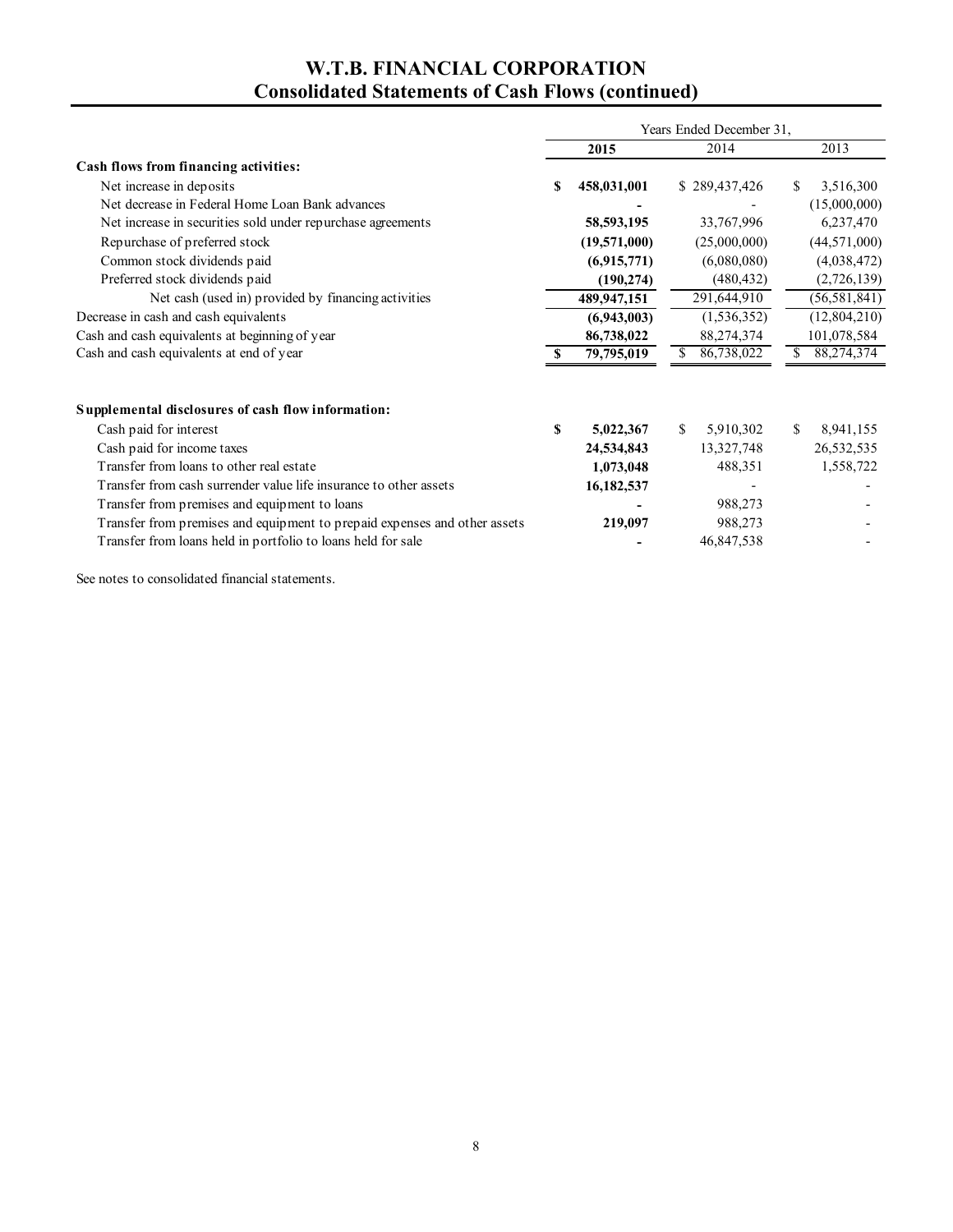### **W.T.B. FINANCIAL CORPORATION Consolidated Statements of Cash Flows (continued)**

|                                                                           | Years Ended December 31, |              |               |               |    |                |  |
|---------------------------------------------------------------------------|--------------------------|--------------|---------------|---------------|----|----------------|--|
|                                                                           | 2015                     |              | 2014          |               |    | 2013           |  |
| <b>Cash flows from financing activities:</b>                              |                          |              |               |               |    |                |  |
| Net increase in deposits                                                  | \$                       | 458,031,001  |               | \$289,437,426 | S. | 3,516,300      |  |
| Net decrease in Federal Home Loan Bank advances                           |                          |              |               |               |    | (15,000,000)   |  |
| Net increase in securities sold under repurchase agreements               |                          | 58,593,195   |               | 33,767,996    |    | 6,237,470      |  |
| Repurchase of preferred stock                                             |                          | (19,571,000) |               | (25,000,000)  |    | (44, 571, 000) |  |
| Common stock dividends paid                                               |                          | (6,915,771)  |               | (6,080,080)   |    | (4,038,472)    |  |
| Preferred stock dividends paid                                            |                          | (190, 274)   |               | (480, 432)    |    | (2,726,139)    |  |
| Net cash (used in) provided by financing activities                       |                          | 489,947,151  |               | 291,644,910   |    | (56, 581, 841) |  |
| Decrease in cash and cash equivalents                                     |                          | (6,943,003)  |               | (1, 536, 352) |    | (12,804,210)   |  |
| Cash and cash equivalents at beginning of year                            |                          | 86,738,022   |               | 88,274,374    |    | 101,078,584    |  |
| Cash and cash equivalents at end of year                                  |                          | 79,795,019   | S.            | 86,738,022    | S  | 88,274,374     |  |
|                                                                           |                          |              |               |               |    |                |  |
| Supplemental disclosures of cash flow information:                        |                          |              |               |               |    |                |  |
| Cash paid for interest                                                    | S                        | 5,022,367    | <sup>\$</sup> | 5,910,302     | S. | 8,941,155      |  |
| Cash paid for income taxes                                                |                          | 24,534,843   |               | 13,327,748    |    | 26,532,535     |  |
| Transfer from loans to other real estate                                  |                          | 1,073,048    |               | 488,351       |    | 1,558,722      |  |
| Transfer from cash surrender value life insurance to other assets         |                          | 16,182,537   |               |               |    |                |  |
| Transfer from premises and equipment to loans                             |                          |              |               | 988,273       |    |                |  |
| Transfer from premises and equipment to prepaid expenses and other assets |                          | 219,097      |               | 988,273       |    |                |  |
| Transfer from loans held in portfolio to loans held for sale              |                          |              |               | 46,847,538    |    |                |  |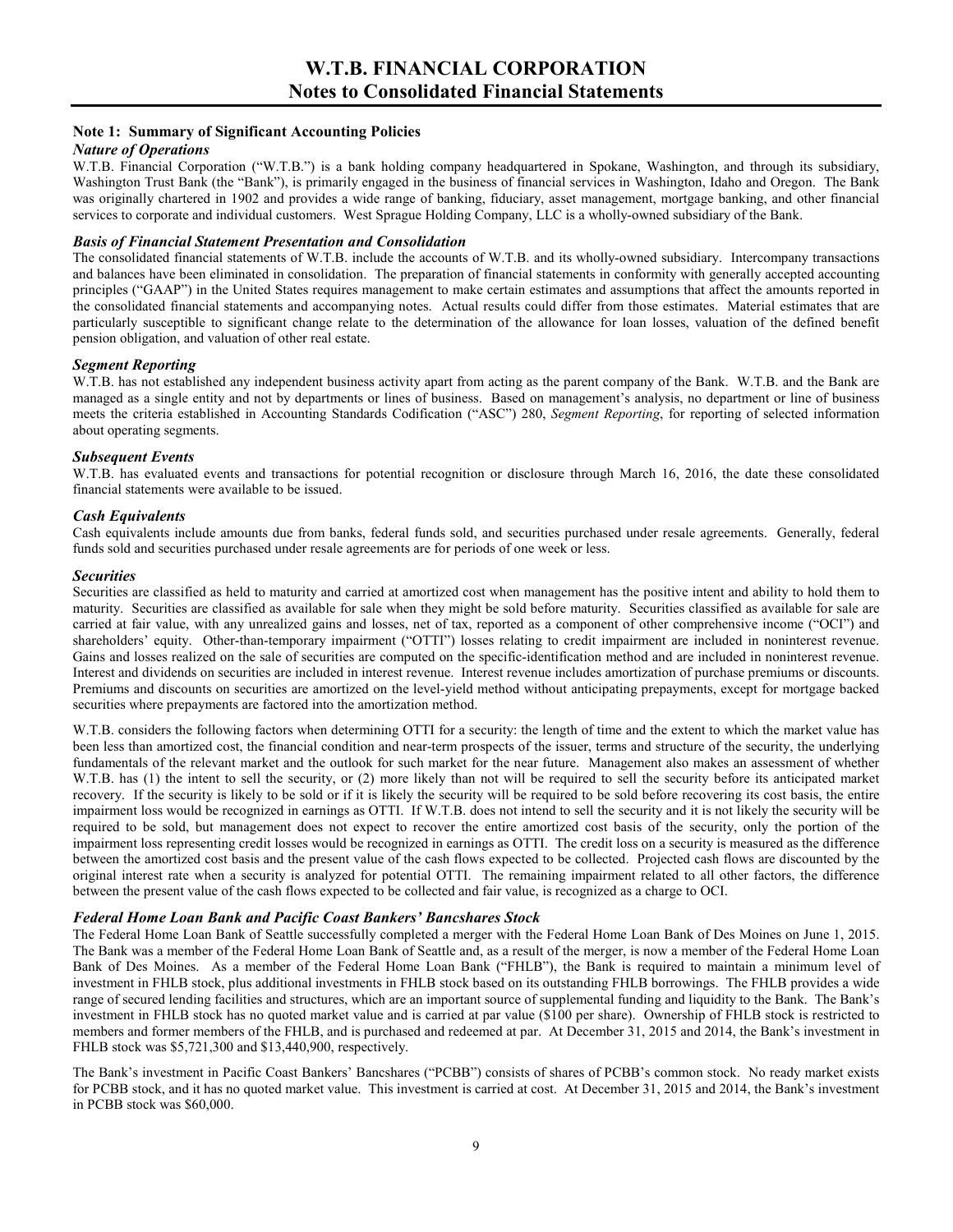#### **Note 1: Summary of Significant Accounting Policies**

#### *Nature of Operations*

W.T.B. Financial Corporation ("W.T.B.") is a bank holding company headquartered in Spokane, Washington, and through its subsidiary, Washington Trust Bank (the "Bank"), is primarily engaged in the business of financial services in Washington, Idaho and Oregon. The Bank was originally chartered in 1902 and provides a wide range of banking, fiduciary, asset management, mortgage banking, and other financial services to corporate and individual customers. West Sprague Holding Company, LLC is a wholly-owned subsidiary of the Bank.

#### *Basis of Financial Statement Presentation and Consolidation*

The consolidated financial statements of W.T.B. include the accounts of W.T.B. and its wholly-owned subsidiary. Intercompany transactions and balances have been eliminated in consolidation. The preparation of financial statements in conformity with generally accepted accounting principles ("GAAP") in the United States requires management to make certain estimates and assumptions that affect the amounts reported in the consolidated financial statements and accompanying notes. Actual results could differ from those estimates. Material estimates that are particularly susceptible to significant change relate to the determination of the allowance for loan losses, valuation of the defined benefit pension obligation, and valuation of other real estate.

#### *Segment Reporting*

W.T.B. has not established any independent business activity apart from acting as the parent company of the Bank. W.T.B. and the Bank are managed as a single entity and not by departments or lines of business. Based on management's analysis, no department or line of business meets the criteria established in Accounting Standards Codification ("ASC") 280, *Segment Reporting*, for reporting of selected information about operating segments.

#### *Subsequent Events*

W.T.B. has evaluated events and transactions for potential recognition or disclosure through March 16, 2016, the date these consolidated financial statements were available to be issued.

#### *Cash Equivalents*

Cash equivalents include amounts due from banks, federal funds sold, and securities purchased under resale agreements. Generally, federal funds sold and securities purchased under resale agreements are for periods of one week or less.

#### *Securities*

Securities are classified as held to maturity and carried at amortized cost when management has the positive intent and ability to hold them to maturity. Securities are classified as available for sale when they might be sold before maturity. Securities classified as available for sale are carried at fair value, with any unrealized gains and losses, net of tax, reported as a component of other comprehensive income ("OCI") and shareholders' equity. Other-than-temporary impairment ("OTTI") losses relating to credit impairment are included in noninterest revenue. Gains and losses realized on the sale of securities are computed on the specific-identification method and are included in noninterest revenue. Interest and dividends on securities are included in interest revenue. Interest revenue includes amortization of purchase premiums or discounts. Premiums and discounts on securities are amortized on the level-yield method without anticipating prepayments, except for mortgage backed securities where prepayments are factored into the amortization method.

W.T.B. considers the following factors when determining OTTI for a security: the length of time and the extent to which the market value has been less than amortized cost, the financial condition and near-term prospects of the issuer, terms and structure of the security, the underlying fundamentals of the relevant market and the outlook for such market for the near future. Management also makes an assessment of whether W.T.B. has (1) the intent to sell the security, or (2) more likely than not will be required to sell the security before its anticipated market recovery. If the security is likely to be sold or if it is likely the security will be required to be sold before recovering its cost basis, the entire impairment loss would be recognized in earnings as OTTI. If W.T.B. does not intend to sell the security and it is not likely the security will be required to be sold, but management does not expect to recover the entire amortized cost basis of the security, only the portion of the impairment loss representing credit losses would be recognized in earnings as OTTI. The credit loss on a security is measured as the difference between the amortized cost basis and the present value of the cash flows expected to be collected. Projected cash flows are discounted by the original interest rate when a security is analyzed for potential OTTI. The remaining impairment related to all other factors, the difference between the present value of the cash flows expected to be collected and fair value, is recognized as a charge to OCI.

#### *Federal Home Loan Bank and Pacific Coast Bankers' Bancshares Stock*

The Federal Home Loan Bank of Seattle successfully completed a merger with the Federal Home Loan Bank of Des Moines on June 1, 2015. The Bank was a member of the Federal Home Loan Bank of Seattle and, as a result of the merger, is now a member of the Federal Home Loan Bank of Des Moines. As a member of the Federal Home Loan Bank ("FHLB"), the Bank is required to maintain a minimum level of investment in FHLB stock, plus additional investments in FHLB stock based on its outstanding FHLB borrowings. The FHLB provides a wide range of secured lending facilities and structures, which are an important source of supplemental funding and liquidity to the Bank. The Bank's investment in FHLB stock has no quoted market value and is carried at par value (\$100 per share). Ownership of FHLB stock is restricted to members and former members of the FHLB, and is purchased and redeemed at par. At December 31, 2015 and 2014, the Bank's investment in FHLB stock was \$5,721,300 and \$13,440,900, respectively.

The Bank's investment in Pacific Coast Bankers' Bancshares ("PCBB") consists of shares of PCBB's common stock. No ready market exists for PCBB stock, and it has no quoted market value. This investment is carried at cost. At December 31, 2015 and 2014, the Bank's investment in PCBB stock was \$60,000.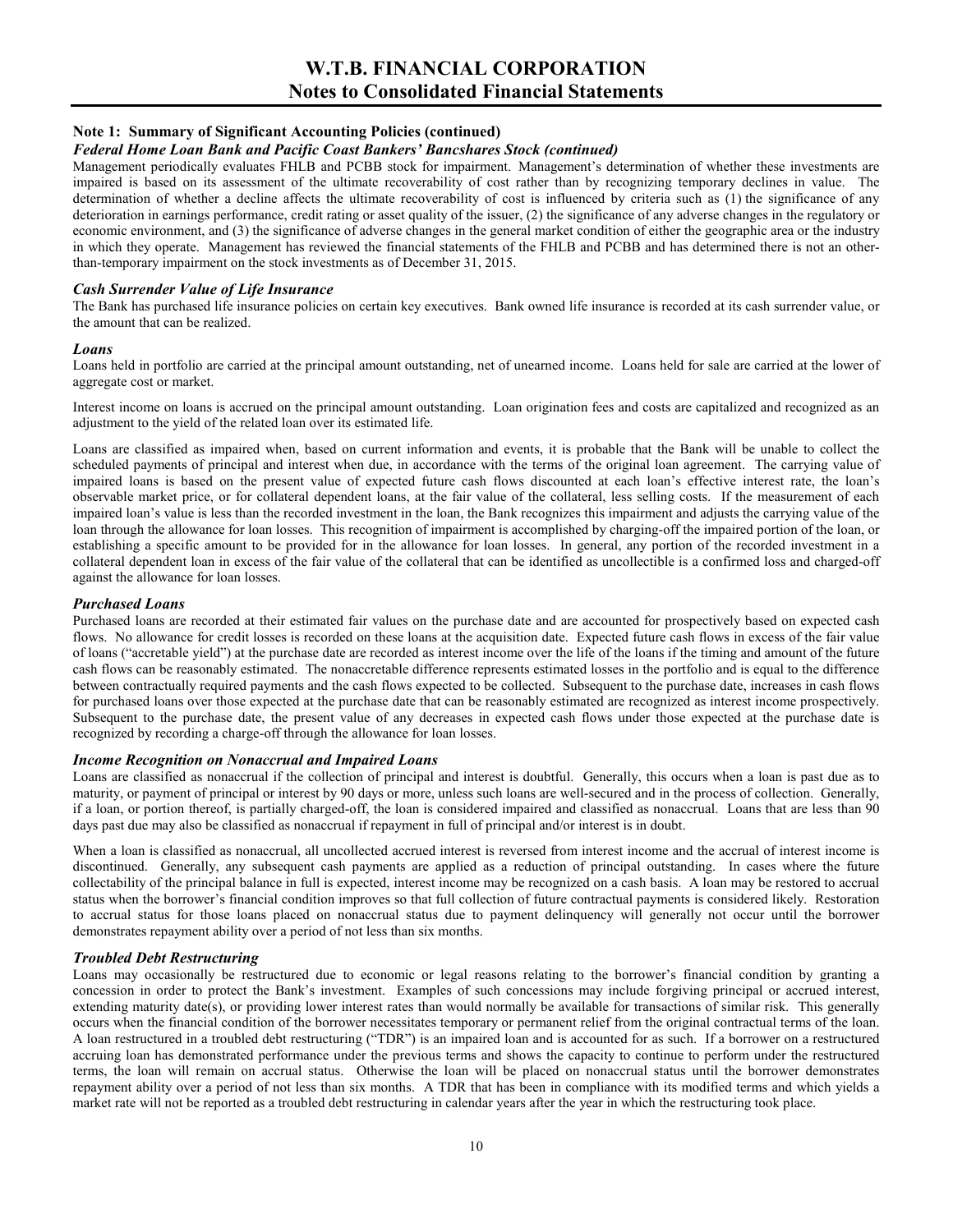#### *Federal Home Loan Bank and Pacific Coast Bankers' Bancshares Stock (continued)*

Management periodically evaluates FHLB and PCBB stock for impairment. Management's determination of whether these investments are impaired is based on its assessment of the ultimate recoverability of cost rather than by recognizing temporary declines in value. The determination of whether a decline affects the ultimate recoverability of cost is influenced by criteria such as (1) the significance of any deterioration in earnings performance, credit rating or asset quality of the issuer, (2) the significance of any adverse changes in the regulatory or economic environment, and (3) the significance of adverse changes in the general market condition of either the geographic area or the industry in which they operate. Management has reviewed the financial statements of the FHLB and PCBB and has determined there is not an otherthan-temporary impairment on the stock investments as of December 31, 2015.

#### *Cash Surrender Value of Life Insurance*

The Bank has purchased life insurance policies on certain key executives. Bank owned life insurance is recorded at its cash surrender value, or the amount that can be realized.

#### *Loans*

Loans held in portfolio are carried at the principal amount outstanding, net of unearned income. Loans held for sale are carried at the lower of aggregate cost or market.

Interest income on loans is accrued on the principal amount outstanding. Loan origination fees and costs are capitalized and recognized as an adjustment to the yield of the related loan over its estimated life.

Loans are classified as impaired when, based on current information and events, it is probable that the Bank will be unable to collect the scheduled payments of principal and interest when due, in accordance with the terms of the original loan agreement. The carrying value of impaired loans is based on the present value of expected future cash flows discounted at each loan's effective interest rate, the loan's observable market price, or for collateral dependent loans, at the fair value of the collateral, less selling costs. If the measurement of each impaired loan's value is less than the recorded investment in the loan, the Bank recognizes this impairment and adjusts the carrying value of the loan through the allowance for loan losses. This recognition of impairment is accomplished by charging-off the impaired portion of the loan, or establishing a specific amount to be provided for in the allowance for loan losses. In general, any portion of the recorded investment in a collateral dependent loan in excess of the fair value of the collateral that can be identified as uncollectible is a confirmed loss and charged-off against the allowance for loan losses.

#### *Purchased Loans*

Purchased loans are recorded at their estimated fair values on the purchase date and are accounted for prospectively based on expected cash flows. No allowance for credit losses is recorded on these loans at the acquisition date. Expected future cash flows in excess of the fair value of loans ("accretable yield") at the purchase date are recorded as interest income over the life of the loans if the timing and amount of the future cash flows can be reasonably estimated. The nonaccretable difference represents estimated losses in the portfolio and is equal to the difference between contractually required payments and the cash flows expected to be collected. Subsequent to the purchase date, increases in cash flows for purchased loans over those expected at the purchase date that can be reasonably estimated are recognized as interest income prospectively. Subsequent to the purchase date, the present value of any decreases in expected cash flows under those expected at the purchase date is recognized by recording a charge-off through the allowance for loan losses.

#### *Income Recognition on Nonaccrual and Impaired Loans*

Loans are classified as nonaccrual if the collection of principal and interest is doubtful. Generally, this occurs when a loan is past due as to maturity, or payment of principal or interest by 90 days or more, unless such loans are well-secured and in the process of collection. Generally, if a loan, or portion thereof, is partially charged-off, the loan is considered impaired and classified as nonaccrual. Loans that are less than 90 days past due may also be classified as nonaccrual if repayment in full of principal and/or interest is in doubt.

When a loan is classified as nonaccrual, all uncollected accrued interest is reversed from interest income and the accrual of interest income is discontinued. Generally, any subsequent cash payments are applied as a reduction of principal outstanding. In cases where the future collectability of the principal balance in full is expected, interest income may be recognized on a cash basis. A loan may be restored to accrual status when the borrower's financial condition improves so that full collection of future contractual payments is considered likely. Restoration to accrual status for those loans placed on nonaccrual status due to payment delinquency will generally not occur until the borrower demonstrates repayment ability over a period of not less than six months.

#### *Troubled Debt Restructuring*

Loans may occasionally be restructured due to economic or legal reasons relating to the borrower's financial condition by granting a concession in order to protect the Bank's investment. Examples of such concessions may include forgiving principal or accrued interest, extending maturity date(s), or providing lower interest rates than would normally be available for transactions of similar risk. This generally occurs when the financial condition of the borrower necessitates temporary or permanent relief from the original contractual terms of the loan. A loan restructured in a troubled debt restructuring ("TDR") is an impaired loan and is accounted for as such. If a borrower on a restructured accruing loan has demonstrated performance under the previous terms and shows the capacity to continue to perform under the restructured terms, the loan will remain on accrual status. Otherwise the loan will be placed on nonaccrual status until the borrower demonstrates repayment ability over a period of not less than six months. A TDR that has been in compliance with its modified terms and which yields a market rate will not be reported as a troubled debt restructuring in calendar years after the year in which the restructuring took place.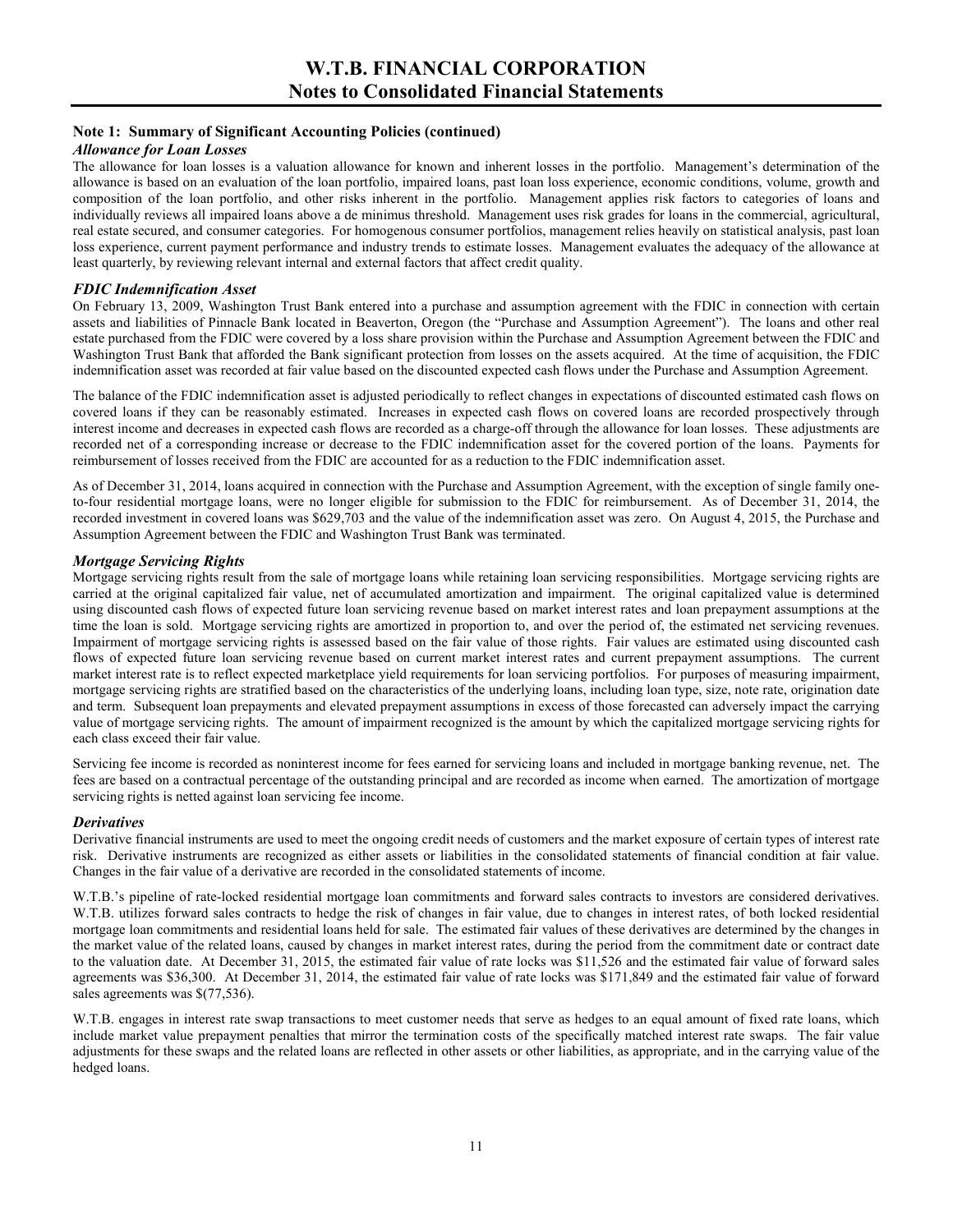#### *Allowance for Loan Losses*

The allowance for loan losses is a valuation allowance for known and inherent losses in the portfolio. Management's determination of the allowance is based on an evaluation of the loan portfolio, impaired loans, past loan loss experience, economic conditions, volume, growth and composition of the loan portfolio, and other risks inherent in the portfolio. Management applies risk factors to categories of loans and individually reviews all impaired loans above a de minimus threshold. Management uses risk grades for loans in the commercial, agricultural, real estate secured, and consumer categories. For homogenous consumer portfolios, management relies heavily on statistical analysis, past loan loss experience, current payment performance and industry trends to estimate losses. Management evaluates the adequacy of the allowance at least quarterly, by reviewing relevant internal and external factors that affect credit quality.

#### *FDIC Indemnification Asset*

On February 13, 2009, Washington Trust Bank entered into a purchase and assumption agreement with the FDIC in connection with certain assets and liabilities of Pinnacle Bank located in Beaverton, Oregon (the "Purchase and Assumption Agreement"). The loans and other real estate purchased from the FDIC were covered by a loss share provision within the Purchase and Assumption Agreement between the FDIC and Washington Trust Bank that afforded the Bank significant protection from losses on the assets acquired. At the time of acquisition, the FDIC indemnification asset was recorded at fair value based on the discounted expected cash flows under the Purchase and Assumption Agreement.

The balance of the FDIC indemnification asset is adjusted periodically to reflect changes in expectations of discounted estimated cash flows on covered loans if they can be reasonably estimated. Increases in expected cash flows on covered loans are recorded prospectively through interest income and decreases in expected cash flows are recorded as a charge-off through the allowance for loan losses. These adjustments are recorded net of a corresponding increase or decrease to the FDIC indemnification asset for the covered portion of the loans. Payments for reimbursement of losses received from the FDIC are accounted for as a reduction to the FDIC indemnification asset.

As of December 31, 2014, loans acquired in connection with the Purchase and Assumption Agreement, with the exception of single family oneto-four residential mortgage loans, were no longer eligible for submission to the FDIC for reimbursement. As of December 31, 2014, the recorded investment in covered loans was \$629,703 and the value of the indemnification asset was zero. On August 4, 2015, the Purchase and Assumption Agreement between the FDIC and Washington Trust Bank was terminated.

#### *Mortgage Servicing Rights*

Mortgage servicing rights result from the sale of mortgage loans while retaining loan servicing responsibilities. Mortgage servicing rights are carried at the original capitalized fair value, net of accumulated amortization and impairment. The original capitalized value is determined using discounted cash flows of expected future loan servicing revenue based on market interest rates and loan prepayment assumptions at the time the loan is sold. Mortgage servicing rights are amortized in proportion to, and over the period of, the estimated net servicing revenues. Impairment of mortgage servicing rights is assessed based on the fair value of those rights. Fair values are estimated using discounted cash flows of expected future loan servicing revenue based on current market interest rates and current prepayment assumptions. The current market interest rate is to reflect expected marketplace yield requirements for loan servicing portfolios. For purposes of measuring impairment, mortgage servicing rights are stratified based on the characteristics of the underlying loans, including loan type, size, note rate, origination date and term. Subsequent loan prepayments and elevated prepayment assumptions in excess of those forecasted can adversely impact the carrying value of mortgage servicing rights. The amount of impairment recognized is the amount by which the capitalized mortgage servicing rights for each class exceed their fair value.

Servicing fee income is recorded as noninterest income for fees earned for servicing loans and included in mortgage banking revenue, net. The fees are based on a contractual percentage of the outstanding principal and are recorded as income when earned. The amortization of mortgage servicing rights is netted against loan servicing fee income.

#### *Derivatives*

Derivative financial instruments are used to meet the ongoing credit needs of customers and the market exposure of certain types of interest rate risk. Derivative instruments are recognized as either assets or liabilities in the consolidated statements of financial condition at fair value. Changes in the fair value of a derivative are recorded in the consolidated statements of income.

W.T.B.'s pipeline of rate-locked residential mortgage loan commitments and forward sales contracts to investors are considered derivatives. W.T.B. utilizes forward sales contracts to hedge the risk of changes in fair value, due to changes in interest rates, of both locked residential mortgage loan commitments and residential loans held for sale. The estimated fair values of these derivatives are determined by the changes in the market value of the related loans, caused by changes in market interest rates, during the period from the commitment date or contract date to the valuation date. At December 31, 2015, the estimated fair value of rate locks was \$11,526 and the estimated fair value of forward sales agreements was \$36,300. At December 31, 2014, the estimated fair value of rate locks was \$171,849 and the estimated fair value of forward sales agreements was \$(77,536).

W.T.B. engages in interest rate swap transactions to meet customer needs that serve as hedges to an equal amount of fixed rate loans, which include market value prepayment penalties that mirror the termination costs of the specifically matched interest rate swaps. The fair value adjustments for these swaps and the related loans are reflected in other assets or other liabilities, as appropriate, and in the carrying value of the hedged loans.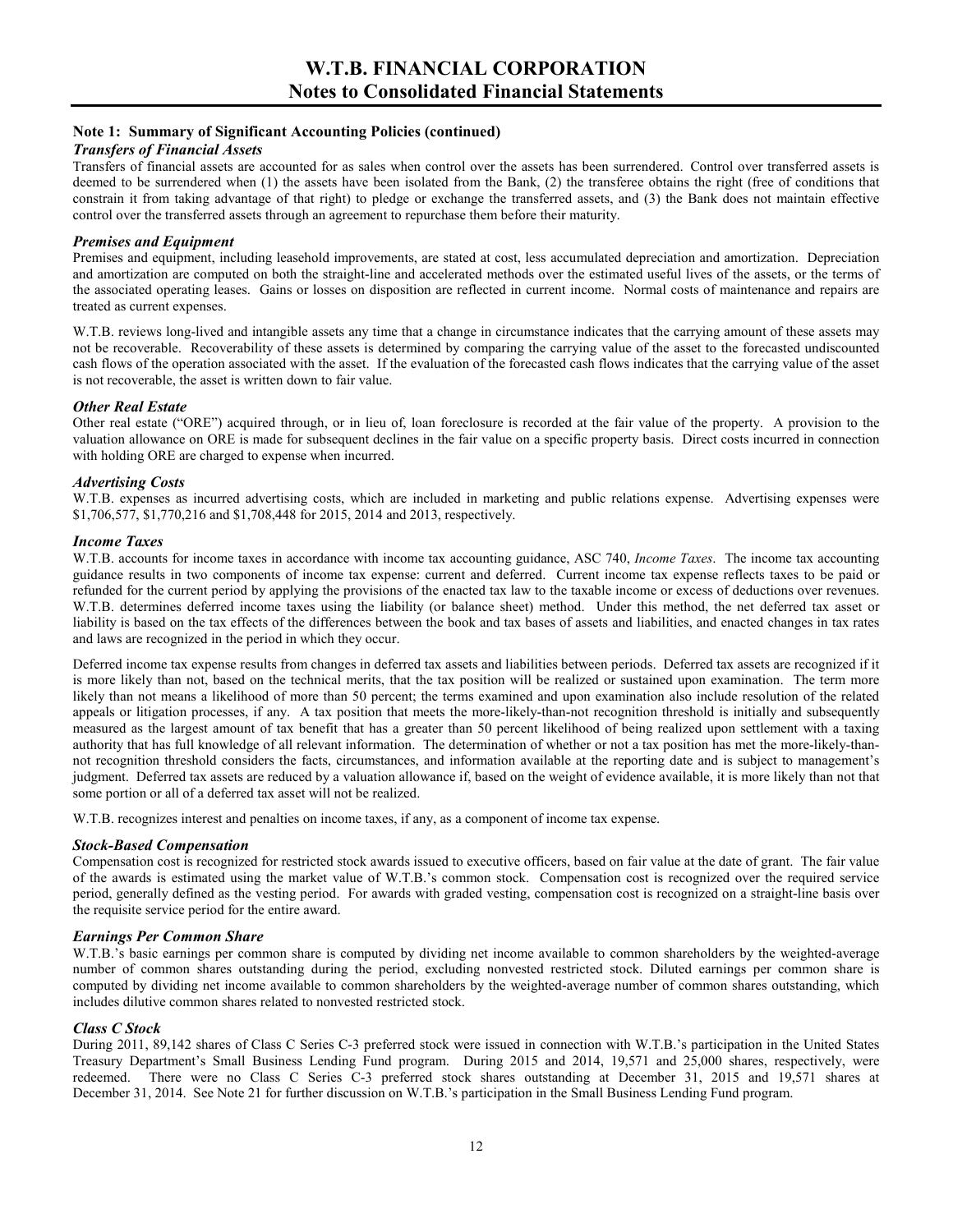#### *Transfers of Financial Assets*

Transfers of financial assets are accounted for as sales when control over the assets has been surrendered. Control over transferred assets is deemed to be surrendered when (1) the assets have been isolated from the Bank, (2) the transferee obtains the right (free of conditions that constrain it from taking advantage of that right) to pledge or exchange the transferred assets, and (3) the Bank does not maintain effective control over the transferred assets through an agreement to repurchase them before their maturity.

#### *Premises and Equipment*

Premises and equipment, including leasehold improvements, are stated at cost, less accumulated depreciation and amortization. Depreciation and amortization are computed on both the straight-line and accelerated methods over the estimated useful lives of the assets, or the terms of the associated operating leases. Gains or losses on disposition are reflected in current income. Normal costs of maintenance and repairs are treated as current expenses.

W.T.B. reviews long-lived and intangible assets any time that a change in circumstance indicates that the carrying amount of these assets may not be recoverable. Recoverability of these assets is determined by comparing the carrying value of the asset to the forecasted undiscounted cash flows of the operation associated with the asset. If the evaluation of the forecasted cash flows indicates that the carrying value of the asset is not recoverable, the asset is written down to fair value.

#### *Other Real Estate*

Other real estate ("ORE") acquired through, or in lieu of, loan foreclosure is recorded at the fair value of the property. A provision to the valuation allowance on ORE is made for subsequent declines in the fair value on a specific property basis. Direct costs incurred in connection with holding ORE are charged to expense when incurred.

#### *Advertising Costs*

W.T.B. expenses as incurred advertising costs, which are included in marketing and public relations expense. Advertising expenses were \$1,706,577, \$1,770,216 and \$1,708,448 for 2015, 2014 and 2013, respectively.

#### *Income Taxes*

W.T.B. accounts for income taxes in accordance with income tax accounting guidance, ASC 740, *Income Taxes*. The income tax accounting guidance results in two components of income tax expense: current and deferred. Current income tax expense reflects taxes to be paid or refunded for the current period by applying the provisions of the enacted tax law to the taxable income or excess of deductions over revenues. W.T.B. determines deferred income taxes using the liability (or balance sheet) method. Under this method, the net deferred tax asset or liability is based on the tax effects of the differences between the book and tax bases of assets and liabilities, and enacted changes in tax rates and laws are recognized in the period in which they occur.

Deferred income tax expense results from changes in deferred tax assets and liabilities between periods. Deferred tax assets are recognized if it is more likely than not, based on the technical merits, that the tax position will be realized or sustained upon examination. The term more likely than not means a likelihood of more than 50 percent; the terms examined and upon examination also include resolution of the related appeals or litigation processes, if any. A tax position that meets the more-likely-than-not recognition threshold is initially and subsequently measured as the largest amount of tax benefit that has a greater than 50 percent likelihood of being realized upon settlement with a taxing authority that has full knowledge of all relevant information. The determination of whether or not a tax position has met the more-likely-thannot recognition threshold considers the facts, circumstances, and information available at the reporting date and is subject to management's judgment. Deferred tax assets are reduced by a valuation allowance if, based on the weight of evidence available, it is more likely than not that some portion or all of a deferred tax asset will not be realized.

W.T.B. recognizes interest and penalties on income taxes, if any, as a component of income tax expense.

#### *Stock-Based Compensation*

Compensation cost is recognized for restricted stock awards issued to executive officers, based on fair value at the date of grant. The fair value of the awards is estimated using the market value of W.T.B.'s common stock. Compensation cost is recognized over the required service period, generally defined as the vesting period. For awards with graded vesting, compensation cost is recognized on a straight-line basis over the requisite service period for the entire award.

#### *Earnings Per Common Share*

W.T.B.'s basic earnings per common share is computed by dividing net income available to common shareholders by the weighted-average number of common shares outstanding during the period, excluding nonvested restricted stock. Diluted earnings per common share is computed by dividing net income available to common shareholders by the weighted-average number of common shares outstanding, which includes dilutive common shares related to nonvested restricted stock.

#### *Class C Stock*

During 2011, 89,142 shares of Class C Series C-3 preferred stock were issued in connection with W.T.B.'s participation in the United States Treasury Department's Small Business Lending Fund program. During 2015 and 2014, 19,571 and 25,000 shares, respectively, were There were no Class C Series C-3 preferred stock shares outstanding at December 31, 2015 and 19,571 shares at December 31, 2014. See Note 21 for further discussion on W.T.B.'s participation in the Small Business Lending Fund program.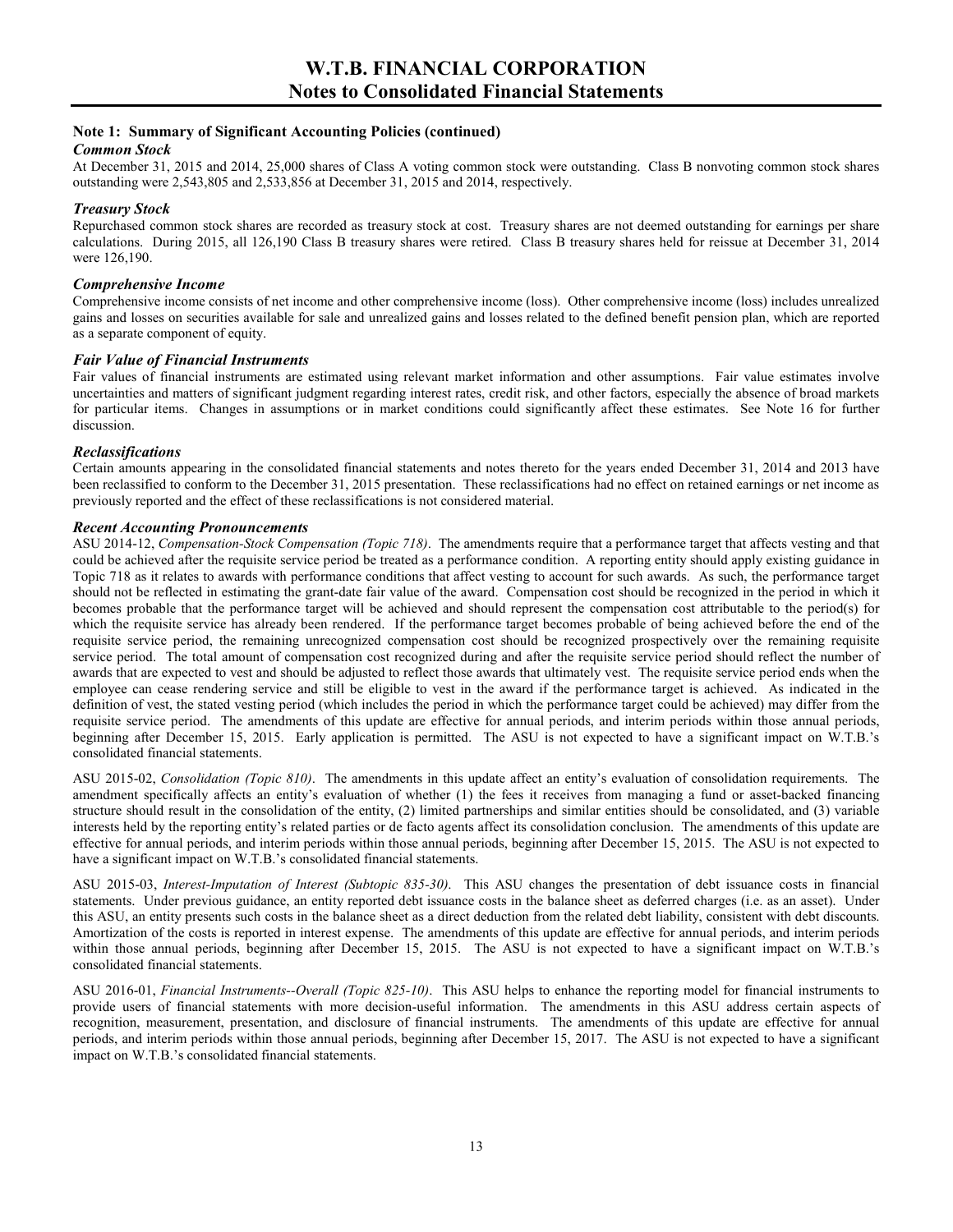#### *Common Stock*

At December 31, 2015 and 2014, 25,000 shares of Class A voting common stock were outstanding. Class B nonvoting common stock shares outstanding were 2,543,805 and 2,533,856 at December 31, 2015 and 2014, respectively.

#### *Treasury Stock*

Repurchased common stock shares are recorded as treasury stock at cost. Treasury shares are not deemed outstanding for earnings per share calculations. During 2015, all 126,190 Class B treasury shares were retired. Class B treasury shares held for reissue at December 31, 2014 were 126,190.

#### *Comprehensive Income*

Comprehensive income consists of net income and other comprehensive income (loss). Other comprehensive income (loss) includes unrealized gains and losses on securities available for sale and unrealized gains and losses related to the defined benefit pension plan, which are reported as a separate component of equity.

#### *Fair Value of Financial Instruments*

Fair values of financial instruments are estimated using relevant market information and other assumptions. Fair value estimates involve uncertainties and matters of significant judgment regarding interest rates, credit risk, and other factors, especially the absence of broad markets for particular items. Changes in assumptions or in market conditions could significantly affect these estimates. See Note 16 for further discussion.

#### *Reclassifications*

Certain amounts appearing in the consolidated financial statements and notes thereto for the years ended December 31, 2014 and 2013 have been reclassified to conform to the December 31, 2015 presentation. These reclassifications had no effect on retained earnings or net income as previously reported and the effect of these reclassifications is not considered material.

#### *Recent Accounting Pronouncements*

ASU 2014-12, *Compensation-Stock Compensation (Topic 718)*. The amendments require that a performance target that affects vesting and that could be achieved after the requisite service period be treated as a performance condition. A reporting entity should apply existing guidance in Topic 718 as it relates to awards with performance conditions that affect vesting to account for such awards. As such, the performance target should not be reflected in estimating the grant-date fair value of the award. Compensation cost should be recognized in the period in which it becomes probable that the performance target will be achieved and should represent the compensation cost attributable to the period(s) for which the requisite service has already been rendered. If the performance target becomes probable of being achieved before the end of the requisite service period, the remaining unrecognized compensation cost should be recognized prospectively over the remaining requisite service period. The total amount of compensation cost recognized during and after the requisite service period should reflect the number of awards that are expected to vest and should be adjusted to reflect those awards that ultimately vest. The requisite service period ends when the employee can cease rendering service and still be eligible to vest in the award if the performance target is achieved. As indicated in the definition of vest, the stated vesting period (which includes the period in which the performance target could be achieved) may differ from the requisite service period. The amendments of this update are effective for annual periods, and interim periods within those annual periods, beginning after December 15, 2015. Early application is permitted. The ASU is not expected to have a significant impact on W.T.B.'s consolidated financial statements.

ASU 2015-02, *Consolidation (Topic 810)*. The amendments in this update affect an entity's evaluation of consolidation requirements. The amendment specifically affects an entity's evaluation of whether (1) the fees it receives from managing a fund or asset-backed financing structure should result in the consolidation of the entity, (2) limited partnerships and similar entities should be consolidated, and (3) variable interests held by the reporting entity's related parties or de facto agents affect its consolidation conclusion. The amendments of this update are effective for annual periods, and interim periods within those annual periods, beginning after December 15, 2015. The ASU is not expected to have a significant impact on W.T.B.'s consolidated financial statements.

ASU 2015-03, *Interest-Imputation of Interest (Subtopic 835-30)*. This ASU changes the presentation of debt issuance costs in financial statements. Under previous guidance, an entity reported debt issuance costs in the balance sheet as deferred charges (i.e. as an asset). Under this ASU, an entity presents such costs in the balance sheet as a direct deduction from the related debt liability, consistent with debt discounts. Amortization of the costs is reported in interest expense. The amendments of this update are effective for annual periods, and interim periods within those annual periods, beginning after December 15, 2015. The ASU is not expected to have a significant impact on W.T.B.'s consolidated financial statements.

ASU 2016-01, *Financial Instruments--Overall (Topic 825-10)*. This ASU helps to enhance the reporting model for financial instruments to provide users of financial statements with more decision-useful information. The amendments in this ASU address certain aspects of recognition, measurement, presentation, and disclosure of financial instruments. The amendments of this update are effective for annual periods, and interim periods within those annual periods, beginning after December 15, 2017. The ASU is not expected to have a significant impact on W.T.B.'s consolidated financial statements.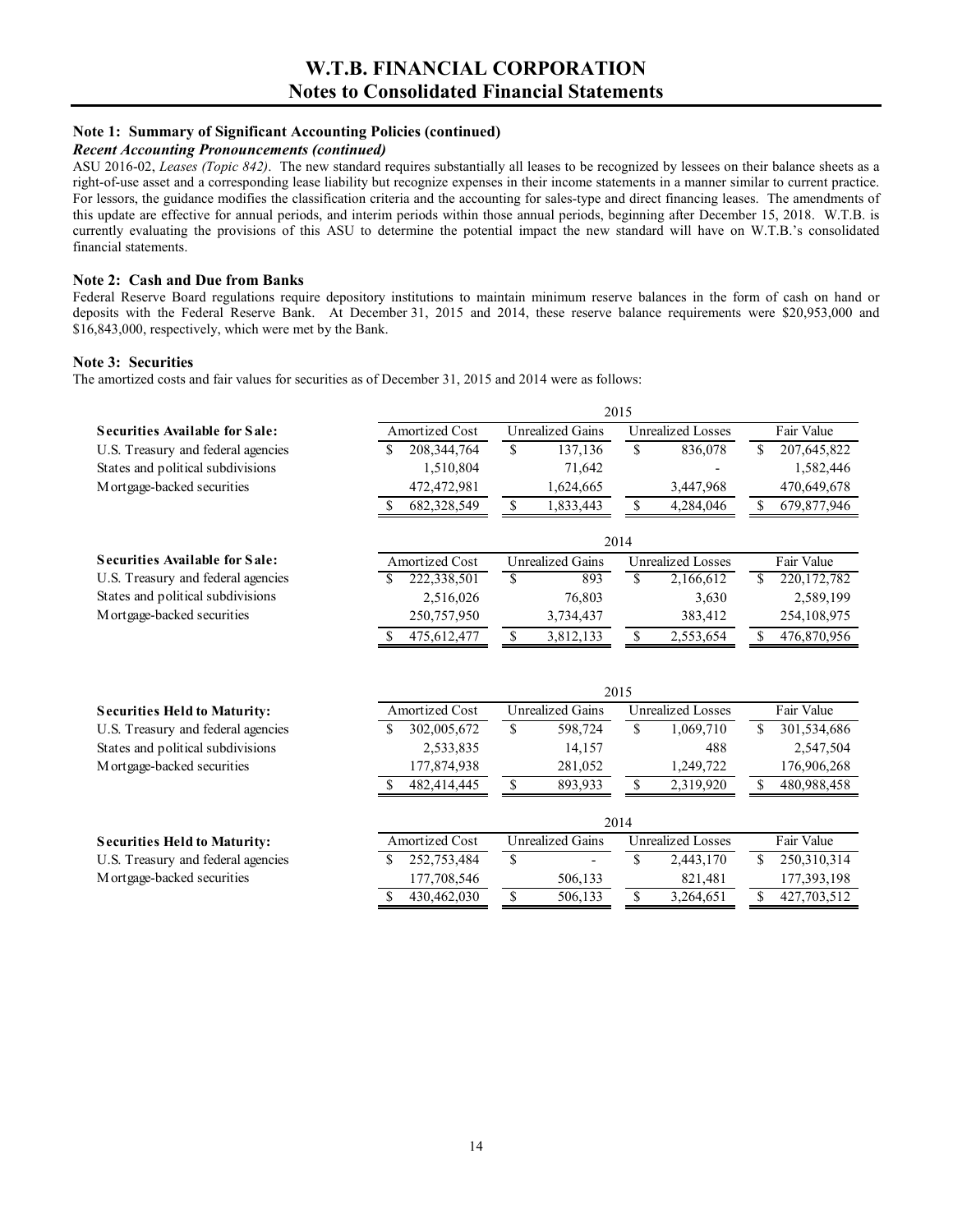#### *Recent Accounting Pronouncements (continued)*

ASU 2016-02, *Leases (Topic 842)*. The new standard requires substantially all leases to be recognized by lessees on their balance sheets as a right-of-use asset and a corresponding lease liability but recognize expenses in their income statements in a manner similar to current practice. For lessors, the guidance modifies the classification criteria and the accounting for sales-type and direct financing leases. The amendments of this update are effective for annual periods, and interim periods within those annual periods, beginning after December 15, 2018. W.T.B. is currently evaluating the provisions of this ASU to determine the potential impact the new standard will have on W.T.B.'s consolidated financial statements.

#### **Note 2: Cash and Due from Banks**

Federal Reserve Board regulations require depository institutions to maintain minimum reserve balances in the form of cash on hand or deposits with the Federal Reserve Bank. At December 31, 2015 and 2014, these reserve balance requirements were \$20,953,000 and \$16,843,000, respectively, which were met by the Bank.

#### **Note 3: Securities**

The amortized costs and fair values for securities as of December 31, 2015 and 2014 were as follows:

|                                       | 2015                  |                         |                          |                     |  |  |  |  |  |
|---------------------------------------|-----------------------|-------------------------|--------------------------|---------------------|--|--|--|--|--|
| <b>Securities Available for Sale:</b> | Amortized Cost        | <b>Unrealized Gains</b> | <b>Unrealized Losses</b> | Fair Value          |  |  |  |  |  |
| U.S. Treasury and federal agencies    | 208, 344, 764         | \$<br>137,136           | \$<br>836,078            | \$<br>207, 645, 822 |  |  |  |  |  |
| States and political subdivisions     | 1,510,804             | 71,642                  |                          | 1,582,446           |  |  |  |  |  |
| Mortgage-backed securities            | 472,472,981           | 1,624,665               | 3,447,968                | 470,649,678         |  |  |  |  |  |
|                                       | 682,328,549<br>S      | \$<br>1,833,443         | \$<br>4,284,046          | \$<br>679,877,946   |  |  |  |  |  |
|                                       |                       |                         |                          |                     |  |  |  |  |  |
|                                       |                       |                         | 2014                     |                     |  |  |  |  |  |
| <b>Securities Available for Sale:</b> | <b>Amortized Cost</b> | <b>Unrealized Gains</b> | <b>Unrealized Losses</b> | Fair Value          |  |  |  |  |  |
| U.S. Treasury and federal agencies    | 222,338,501           | \$<br>893               | \$<br>2,166,612          | \$<br>220, 172, 782 |  |  |  |  |  |
| States and political subdivisions     | 2,516,026             | 76,803                  | 3,630                    | 2,589,199           |  |  |  |  |  |
| M ortgage-backed securities           | 250,757,950           | 3,734,437               | 383,412                  | 254,108,975         |  |  |  |  |  |
|                                       | 475,612,477<br>S      | \$<br>3,812,133         | \$<br>2,553,654          | \$<br>476,870,956   |  |  |  |  |  |
|                                       |                       |                         |                          |                     |  |  |  |  |  |
|                                       |                       |                         |                          |                     |  |  |  |  |  |
|                                       |                       |                         | 2015                     |                     |  |  |  |  |  |
| <b>Securities Held to Maturity:</b>   | <b>Amortized Cost</b> | <b>Unrealized Gains</b> | <b>Unrealized Losses</b> | Fair Value          |  |  |  |  |  |
| U.S. Treasury and federal agencies    | 302,005,672           | \$<br>598,724           | \$<br>1,069,710          | \$<br>301,534,686   |  |  |  |  |  |
| States and political subdivisions     | 2,533,835             | 14,157                  | 488                      | 2,547,504           |  |  |  |  |  |
| M ortgage-backed securities           | 177,874,938           | 281,052                 | 1,249,722                | 176,906,268         |  |  |  |  |  |
|                                       | 482,414,445<br>S      | \$<br>893,933           | \$<br>2,319,920          | \$<br>480,988,458   |  |  |  |  |  |
|                                       |                       |                         |                          |                     |  |  |  |  |  |
|                                       |                       |                         | 2014                     |                     |  |  |  |  |  |
| <b>Securities Held to Maturity:</b>   | <b>Amortized Cost</b> | <b>Unrealized Gains</b> | <b>Unrealized Losses</b> | Fair Value          |  |  |  |  |  |
| U.S. Treasury and federal agencies    | 252,753,484<br>\$     | \$                      | \$<br>2,443,170          | \$<br>250,310,314   |  |  |  |  |  |
| M ortgage-backed securities           | 177,708,546           | 506,133                 | 821,481                  | 177,393,198         |  |  |  |  |  |
|                                       | 430,462,030<br>S      | \$<br>506,133           | \$<br>3,264,651          | \$<br>427,703,512   |  |  |  |  |  |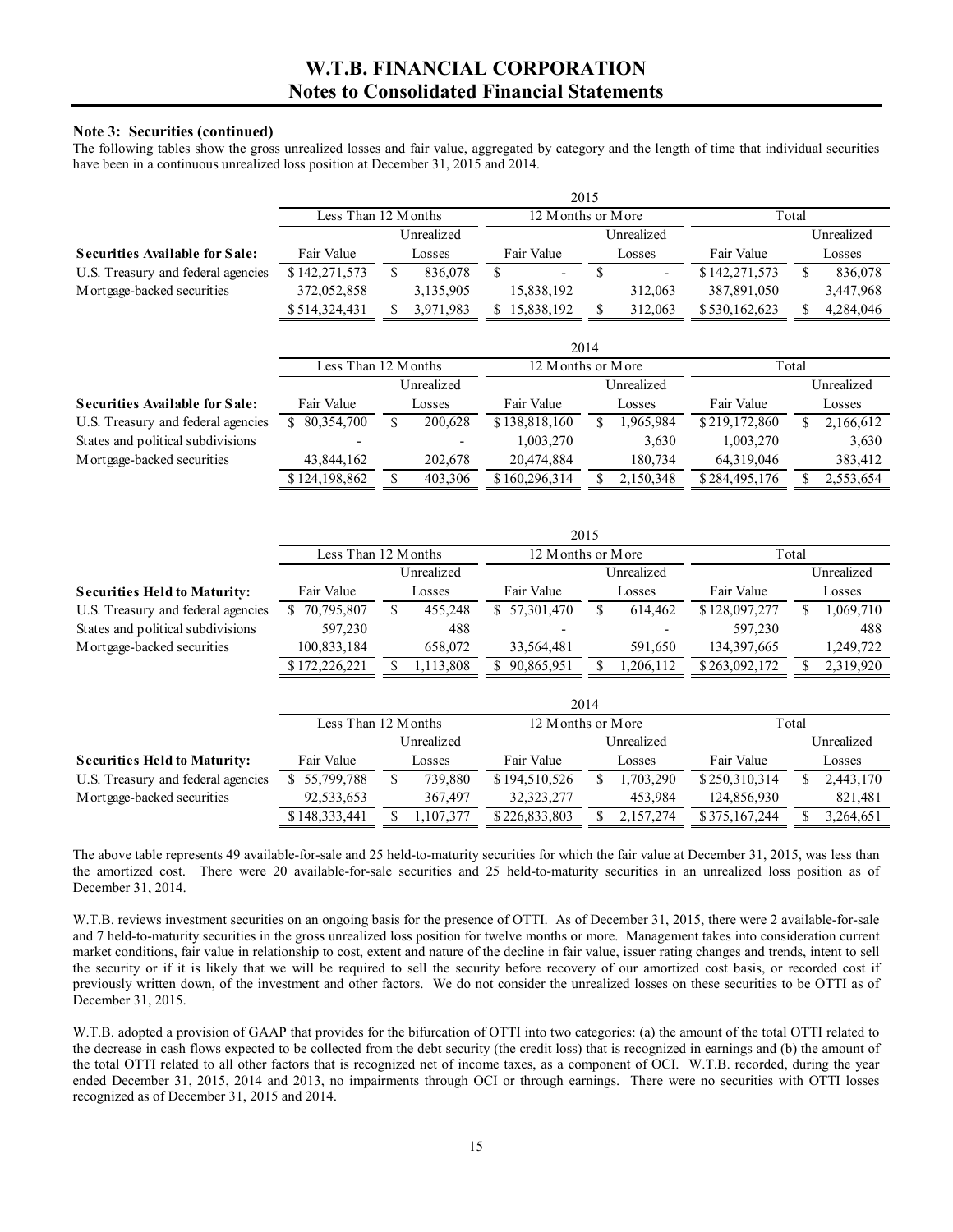#### **Note 3: Securities (continued)**

The following tables show the gross unrealized losses and fair value, aggregated by category and the length of time that individual securities have been in a continuous unrealized loss position at December 31, 2015 and 2014.

|                                       | 2015                |        |                     |                           |            |            |               |            |            |  |  |  |
|---------------------------------------|---------------------|--------|---------------------|---------------------------|------------|------------|---------------|------------|------------|--|--|--|
|                                       | Less Than 12 Months |        | 12 M onths or M ore |                           | Total      |            |               |            |            |  |  |  |
|                                       |                     |        | Unrealized          |                           |            | Unrealized |               |            | Unrealized |  |  |  |
| <b>Securities Available for Sale:</b> | Fair Value          | Losses |                     | Fair Value                |            | Losses     | Fair Value    | Losses     |            |  |  |  |
| U.S. Treasury and federal agencies    | \$142,271,573       | \$     | 836,078             | \$                        | \$         |            | \$142,271,573 | \$         | 836,078    |  |  |  |
| Mortgage-backed securities            | 372,052,858         |        | 3,135,905           | 15,838,192                |            | 312,063    | 387,891,050   |            | 3,447,968  |  |  |  |
|                                       | \$514,324,431       | S      | 3,971,983           | \$15,838,192              | \$         | 312,063    | \$530,162,623 | S          | 4,284,046  |  |  |  |
|                                       | 2014                |        |                     |                           |            |            |               |            |            |  |  |  |
|                                       | Less Than 12 Months |        |                     | 12 Months or More         |            |            |               | Total      |            |  |  |  |
|                                       |                     |        | Unrealized          |                           | Unrealized |            |               | Unrealized |            |  |  |  |
| <b>Securities Available for Sale:</b> | Fair Value          |        | Losses              | Fair Value                |            | Losses     | Fair Value    |            | Losses     |  |  |  |
| U.S. Treasury and federal agencies    | \$ 80,354,700       | \$     | 200,628             | \$138,818,160             | \$         | 1,965,984  | \$219,172,860 | \$         | 2,166,612  |  |  |  |
| States and political subdivisions     |                     |        |                     | 1,003,270                 |            | 3,630      | 1,003,270     |            | 3,630      |  |  |  |
| Mortgage-backed securities            | 43,844,162          |        | 202,678             | 20,474,884                |            | 180,734    | 64,319,046    |            | 383,412    |  |  |  |
|                                       | \$124,198,862       | \$     | 403,306             | \$160,296,314             | \$         | 2,150,348  | \$284,495,176 | \$         | 2,553,654  |  |  |  |
|                                       |                     |        |                     |                           | 2015       |            |               |            |            |  |  |  |
|                                       | Less Than 12 Months |        |                     | 12 Months or More         |            | Total      |               |            |            |  |  |  |
|                                       |                     |        | Unrealized          |                           | Unrealized |            |               | Unrealized |            |  |  |  |
| <b>Securities Held to Maturity:</b>   | Fair Value          |        | Losses              | Fair Value                |            | Losses     | Fair Value    |            | Losses     |  |  |  |
| U.S. Treasury and federal agencies    | \$70,795,807        | \$     | 455,248             | \$57,301,470              | \$         | 614,462    | \$128,097,277 | \$         | 1,069,710  |  |  |  |
| States and political subdivisions     | 597,230             |        | 488                 |                           |            |            | 597,230       |            | 488        |  |  |  |
| Mortgage-backed securities            | 100,833,184         |        | 658,072             | 33,564,481                |            | 591,650    | 134,397,665   |            | 1,249,722  |  |  |  |
|                                       | \$172,226,221       | \$.    | 1,113,808           | \$90,865,951              | \$         | 1,206,112  | \$263,092,172 | \$         | 2,319,920  |  |  |  |
|                                       |                     |        |                     |                           | 2014       |            |               |            |            |  |  |  |
|                                       | Less Than 12 Months |        |                     | 12 M onths or M ore       |            |            |               | Total      |            |  |  |  |
|                                       |                     |        | Unrealized          |                           |            | Unrealized |               |            | Unrealized |  |  |  |
| <b>Securities Held to Maturity:</b>   | Fair Value          |        | Losses              | Fair Value                |            | Losses     | Fair Value    |            | Losses     |  |  |  |
| U.S. Treasury and federal agencies    | \$55,799,788        | \$     | 739,880             | \$194,510,526             | \$         | 1,703,290  | \$250,310,314 | \$         | 2,443,170  |  |  |  |
| Mortgage-backed securities            | 92,533,653          |        | 367,497             | 32,323,277                |            | 453,984    | 124,856,930   |            | 821,481    |  |  |  |
|                                       | \$148,333,441       | \$     | 1,107,377           | $\overline{$}226,833,803$ | \$         | 2,157,274  | \$375,167,244 | \$         | 3,264,651  |  |  |  |
|                                       |                     |        |                     |                           |            |            |               |            |            |  |  |  |

The above table represents 49 available-for-sale and 25 held-to-maturity securities for which the fair value at December 31, 2015, was less than the amortized cost. There were 20 available-for-sale securities and 25 held-to-maturity securities in an unrealized loss position as of December 31, 2014.

W.T.B. reviews investment securities on an ongoing basis for the presence of OTTI. As of December 31, 2015, there were 2 available-for-sale and 7 held-to-maturity securities in the gross unrealized loss position for twelve months or more. Management takes into consideration current market conditions, fair value in relationship to cost, extent and nature of the decline in fair value, issuer rating changes and trends, intent to sell the security or if it is likely that we will be required to sell the security before recovery of our amortized cost basis, or recorded cost if previously written down, of the investment and other factors. We do not consider the unrealized losses on these securities to be OTTI as of December 31, 2015.

W.T.B. adopted a provision of GAAP that provides for the bifurcation of OTTI into two categories: (a) the amount of the total OTTI related to the decrease in cash flows expected to be collected from the debt security (the credit loss) that is recognized in earnings and (b) the amount of the total OTTI related to all other factors that is recognized net of income taxes, as a component of OCI. W.T.B. recorded, during the year ended December 31, 2015, 2014 and 2013, no impairments through OCI or through earnings. There were no securities with OTTI losses recognized as of December 31, 2015 and 2014.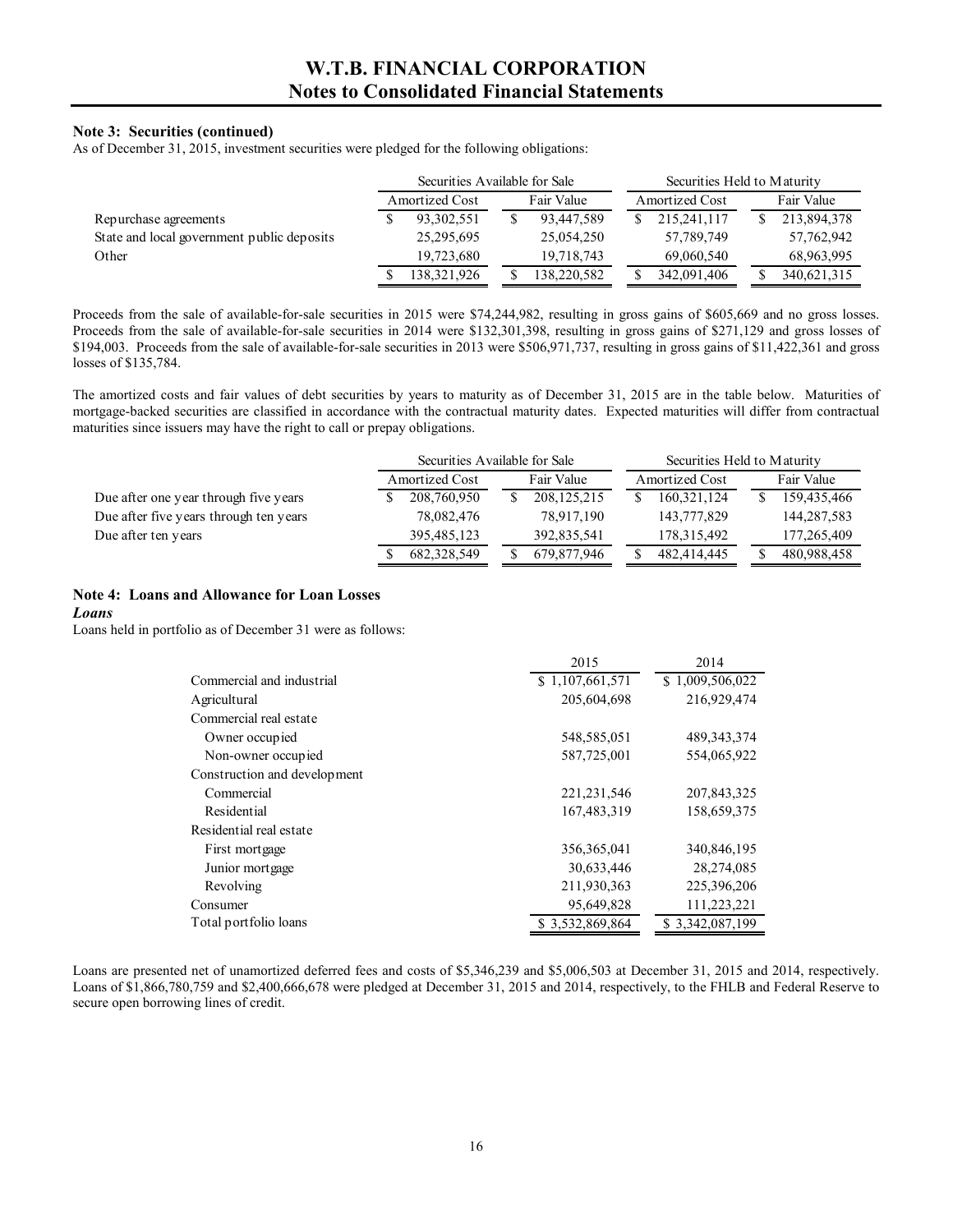#### **Note 3: Securities (continued)**

As of December 31, 2015, investment securities were pledged for the following obligations:

|                                            | Securities Available for Sale |              |            |             |                | Securities Held to Maturity |            |             |  |
|--------------------------------------------|-------------------------------|--------------|------------|-------------|----------------|-----------------------------|------------|-------------|--|
|                                            | Amortized Cost                |              | Fair Value |             | Amortized Cost |                             | Fair Value |             |  |
| Repurchase agreements                      |                               | 93, 302, 551 |            | 93,447,589  |                | 215,241,117                 |            | 213,894,378 |  |
| State and local government public deposits |                               | 25, 295, 695 |            | 25,054,250  |                | 57,789,749                  |            | 57,762,942  |  |
| Other                                      |                               | 19,723,680   |            | 19,718,743  |                | 69,060,540                  |            | 68,963,995  |  |
|                                            |                               | 138,321,926  |            | 138,220,582 |                | 342,091,406                 |            | 340,621,315 |  |

Proceeds from the sale of available-for-sale securities in 2015 were \$74,244,982, resulting in gross gains of \$605,669 and no gross losses. Proceeds from the sale of available-for-sale securities in 2014 were \$132,301,398, resulting in gross gains of \$271,129 and gross losses of \$194,003. Proceeds from the sale of available-for-sale securities in 2013 were \$506,971,737, resulting in gross gains of \$11,422,361 and gross losses of \$135,784.

The amortized costs and fair values of debt securities by years to maturity as of December 31, 2015 are in the table below. Maturities of mortgage-backed securities are classified in accordance with the contractual maturity dates. Expected maturities will differ from contractual maturities since issuers may have the right to call or prepay obligations.

|                                        |                | Securities Available for Sale | Securities Held to Maturity |             |  |  |
|----------------------------------------|----------------|-------------------------------|-----------------------------|-------------|--|--|
|                                        | Amortized Cost | Fair Value                    | Amortized Cost              | Fair Value  |  |  |
| Due after one year through five years  | 208,760,950    | 208, 125, 215                 | 160,321,124                 | 159,435,466 |  |  |
| Due after five years through ten years | 78,082,476     | 78,917,190                    | 143,777,829                 | 144,287,583 |  |  |
| Due after ten years                    | 395,485,123    | 392,835,541                   | 178,315,492                 | 177,265,409 |  |  |
|                                        | 682,328,549    | 679,877,946                   | 482,414,445                 | 480,988,458 |  |  |

#### **Note 4: Loans and Allowance for Loan Losses**

#### *Loans*

Loans held in portfolio as of December 31 were as follows:

|                              | 2015            | 2014            |
|------------------------------|-----------------|-----------------|
| Commercial and industrial    | \$1,107,661,571 | \$1,009,506,022 |
| Agricultural                 | 205,604,698     | 216,929,474     |
| Commercial real estate       |                 |                 |
| Owner occupied               | 548,585,051     | 489, 343, 374   |
| Non-owner occupied           | 587,725,001     | 554,065,922     |
| Construction and development |                 |                 |
| Commercial                   | 221, 231, 546   | 207,843,325     |
| Residential                  | 167,483,319     | 158,659,375     |
| Residential real estate      |                 |                 |
| First mortgage               | 356, 365, 041   | 340,846,195     |
| Junior mortgage              | 30,633,446      | 28,274,085      |
| Revolving                    | 211,930,363     | 225,396,206     |
| Consumer                     | 95,649,828      | 111,223,221     |
| Total portfolio loans        | \$3,532,869,864 | \$3,342,087,199 |

Loans are presented net of unamortized deferred fees and costs of \$5,346,239 and \$5,006,503 at December 31, 2015 and 2014, respectively. Loans of \$1,866,780,759 and \$2,400,666,678 were pledged at December 31, 2015 and 2014, respectively, to the FHLB and Federal Reserve to secure open borrowing lines of credit.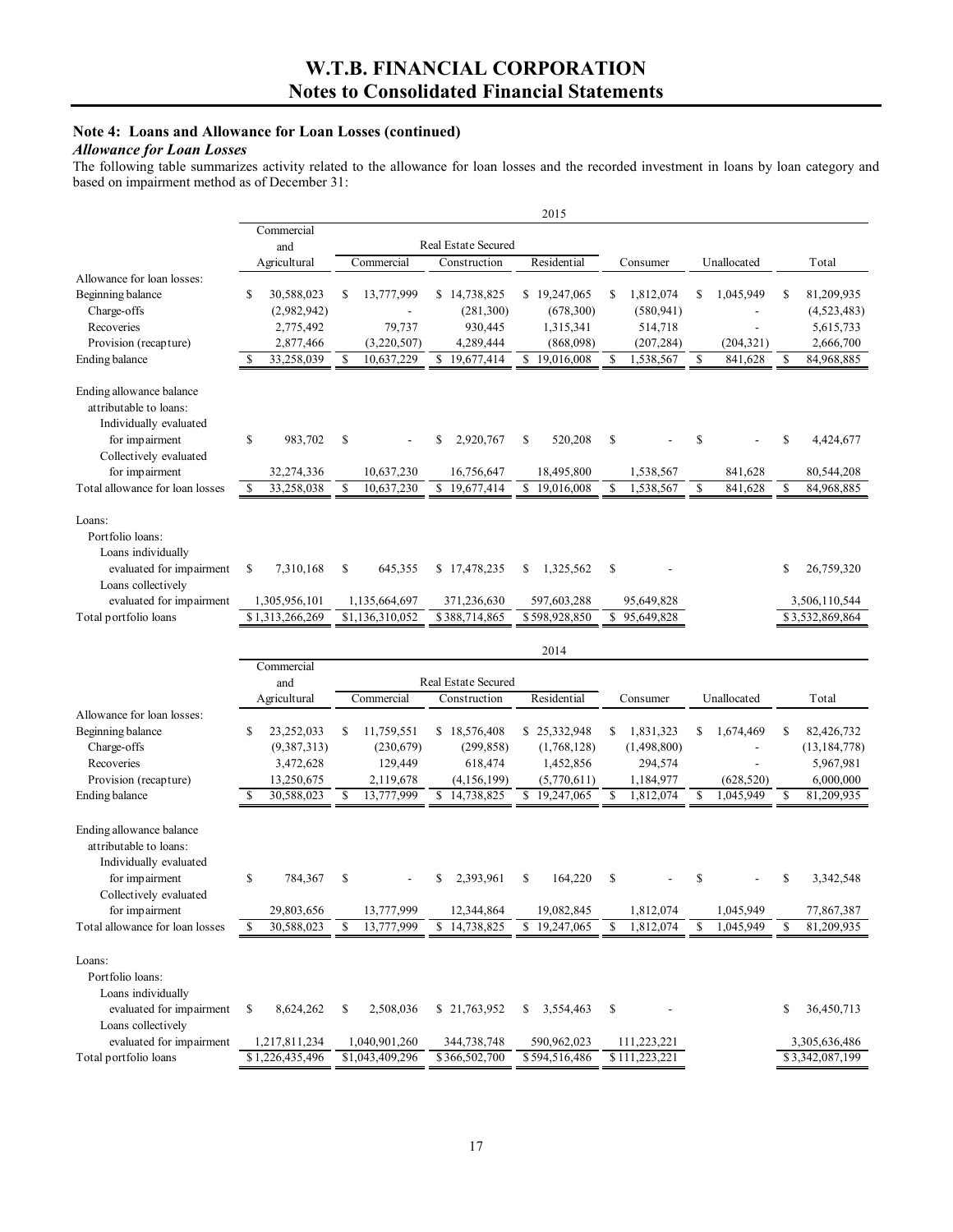#### **Note 4: Loans and Allowance for Loan Losses (continued)**

#### *Allowance for Loan Losses*

The following table summarizes activity related to the allowance for loan losses and the recorded investment in loans by loan category and based on impairment method as of December 31:

|                                                    |    |                                  |             |                                  |                              |    | 2015                         |    |                              |             |                             |                                  |
|----------------------------------------------------|----|----------------------------------|-------------|----------------------------------|------------------------------|----|------------------------------|----|------------------------------|-------------|-----------------------------|----------------------------------|
|                                                    |    | Commercial                       |             |                                  |                              |    |                              |    |                              |             |                             |                                  |
|                                                    |    | and                              |             |                                  | Real Estate Secured          |    |                              |    |                              |             |                             |                                  |
|                                                    |    | Agricultural                     |             | Commercial                       | Construction                 |    | Residential                  |    | Consumer                     |             | Unallocated                 | Total                            |
| Allowance for loan losses:                         |    |                                  |             |                                  |                              |    |                              |    |                              |             |                             |                                  |
| Beginning balance                                  | \$ | 30,588,023                       | \$          | 13,777,999                       | \$14,738,825                 |    | \$19,247,065                 | S  | 1,812,074                    | \$          | 1,045,949                   | \$<br>81,209,935                 |
| Charge-offs                                        |    | (2,982,942)                      |             |                                  | (281, 300)                   |    | (678, 300)                   |    | (580, 941)                   |             |                             | (4,523,483)                      |
| Recoveries                                         |    | 2,775,492                        |             | 79,737                           | 930,445                      |    | 1,315,341                    |    | 514,718                      |             |                             | 5,615,733                        |
| Provision (recapture)                              |    | 2,877,466                        |             | (3,220,507)                      | 4,289,444                    |    | (868,098)                    |    | (207, 284)                   |             | (204, 321)                  | 2,666,700                        |
| Ending balance                                     |    | 33,258,039                       | S           | 10,637,229                       | 19,677,414<br>S.             | S  | 19,016,008                   | S  | 1,538,567                    | \$          | 841.628                     | \$<br>84,968,885                 |
| Ending allowance balance                           |    |                                  |             |                                  |                              |    |                              |    |                              |             |                             |                                  |
| attributable to loans:                             |    |                                  |             |                                  |                              |    |                              |    |                              |             |                             |                                  |
| Individually evaluated                             |    |                                  |             |                                  |                              |    |                              |    |                              |             |                             |                                  |
| for impairment                                     | \$ | 983,702                          | \$          |                                  | 2,920,767<br>\$              | \$ | 520,208                      | \$ |                              | \$          |                             | \$<br>4,424,677                  |
| Collectively evaluated                             |    |                                  |             |                                  |                              |    |                              |    |                              |             |                             |                                  |
| for impairment                                     |    | 32,274,336                       |             | 10,637,230                       | 16,756,647                   |    | 18,495,800                   |    | 1,538,567                    |             | 841,628                     | 80,544,208                       |
| Total allowance for loan losses                    | \$ | 33,258,038                       | $\mathbf S$ | 10,637,230                       | 19,677,414<br>\$             | \$ | 19,016,008                   | \$ | 1,538,567                    | $\mathbf S$ | 841,628                     | \$<br>84,968,885                 |
|                                                    |    |                                  |             |                                  |                              |    |                              |    |                              |             |                             |                                  |
| Loans:                                             |    |                                  |             |                                  |                              |    |                              |    |                              |             |                             |                                  |
| Portfolio loans:                                   |    |                                  |             |                                  |                              |    |                              |    |                              |             |                             |                                  |
| Loans individually                                 |    |                                  |             |                                  |                              |    |                              |    |                              |             |                             |                                  |
| evaluated for impairment                           | \$ | 7,310,168                        | \$          | 645,355                          | \$17,478,235                 | \$ | 1,325,562                    | \$ |                              |             |                             | \$<br>26,759,320                 |
| Loans collectively                                 |    |                                  |             |                                  |                              |    |                              |    |                              |             |                             |                                  |
| evaluated for impairment                           |    | 1,305,956,101                    |             | 1,135,664,697                    | 371,236,630                  |    | 597,603,288                  |    | 95,649,828                   |             |                             | 3,506,110,544                    |
| Total portfolio loans                              |    | \$1,313,266,269                  |             | \$1,136,310,052                  | \$388,714,865                |    | \$598,928,850                |    | \$95,649,828                 |             |                             | \$3,532,869,864                  |
|                                                    |    |                                  |             |                                  |                              |    |                              |    |                              |             |                             |                                  |
|                                                    |    |                                  |             |                                  |                              |    |                              |    |                              |             |                             |                                  |
|                                                    |    |                                  |             |                                  |                              |    | 2014                         |    |                              |             |                             |                                  |
|                                                    |    | Commercial                       |             |                                  |                              |    |                              |    |                              |             |                             |                                  |
|                                                    |    | and                              |             |                                  | Real Estate Secured          |    |                              |    |                              |             |                             |                                  |
|                                                    |    | Agricultural                     |             | Commercial                       | Construction                 |    | Residential                  |    | Consumer                     |             | Unallocated                 | Total                            |
| Allowance for loan losses:                         |    |                                  |             |                                  |                              |    |                              |    |                              |             |                             |                                  |
| Beginning balance                                  | \$ | 23,252,033                       | \$          | 11,759,551                       | \$18,576,408                 |    | \$25,332,948                 | \$ | 1,831,323                    | \$          | 1,674,469<br>$\overline{a}$ | \$<br>82,426,732                 |
| Charge-offs                                        |    | (9,387,313)                      |             | (230,679)                        | (299, 858)                   |    | (1,768,128)                  |    | (1,498,800)                  |             | $\overline{a}$              | (13, 184, 778)                   |
| Recoveries                                         |    | 3,472,628                        |             | 129,449                          | 618,474                      |    | 1,452,856                    |    | 294,574                      |             |                             | 5,967,981                        |
| Provision (recapture)                              | \$ | 13,250,675                       |             | 2,119,678                        | (4,156,199)<br>\$            |    | (5,770,611)                  |    | 1,184,977                    |             | (628, 520)                  | 6,000,000                        |
| Ending balance                                     |    | 30,588,023                       | \$          | 13,777,999                       | 14,738,825                   |    | \$19,247,065                 | \$ | 1,812,074                    | \$          | 1,045,949                   | \$<br>81,209,935                 |
|                                                    |    |                                  |             |                                  |                              |    |                              |    |                              |             |                             |                                  |
| Ending allowance balance<br>attributable to loans: |    |                                  |             |                                  |                              |    |                              |    |                              |             |                             |                                  |
| Individually evaluated                             |    |                                  |             |                                  |                              |    |                              |    |                              |             |                             |                                  |
|                                                    | \$ | 784,367                          | \$          |                                  | 2,393,961<br>S               | \$ | 164,220                      | \$ |                              | S           |                             | \$<br>3,342,548                  |
| for impairment<br>Collectively evaluated           |    |                                  |             |                                  |                              |    |                              |    |                              |             |                             |                                  |
| for impairment                                     |    | 29,803,656                       |             | 13,777,999                       | 12,344,864                   |    | 19,082,845                   |    | 1,812,074                    |             | 1,045,949                   |                                  |
| Total allowance for loan losses                    | S  | 30,588,023                       | \$          | 13,777,999                       | 14,738,825<br>\$             | \$ | 19,247,065                   | \$ | 1,812,074                    | \$          | 1,045,949                   | \$<br>77,867,387<br>81,209,935   |
|                                                    |    |                                  |             |                                  |                              |    |                              |    |                              |             |                             |                                  |
| Loans:                                             |    |                                  |             |                                  |                              |    |                              |    |                              |             |                             |                                  |
| Portfolio loans:                                   |    |                                  |             |                                  |                              |    |                              |    |                              |             |                             |                                  |
| Loans individually                                 |    |                                  |             |                                  |                              |    |                              |    |                              |             |                             |                                  |
| evaluated for impairment                           | \$ | 8,624,262                        | \$          | 2,508,036                        | \$21,763,952                 | \$ | 3,554,463                    | \$ |                              |             |                             | \$<br>36,450,713                 |
| Loans collectively                                 |    |                                  |             |                                  |                              |    |                              |    |                              |             |                             |                                  |
| evaluated for impairment<br>Total portfolio loans  |    | 1,217,811,234<br>\$1,226,435,496 |             | 1,040,901,260<br>\$1,043,409,296 | 344,738,748<br>\$366,502,700 |    | 590,962,023<br>\$594,516,486 |    | 111,223,221<br>\$111,223,221 |             |                             | 3,305,636,486<br>\$3,342,087,199 |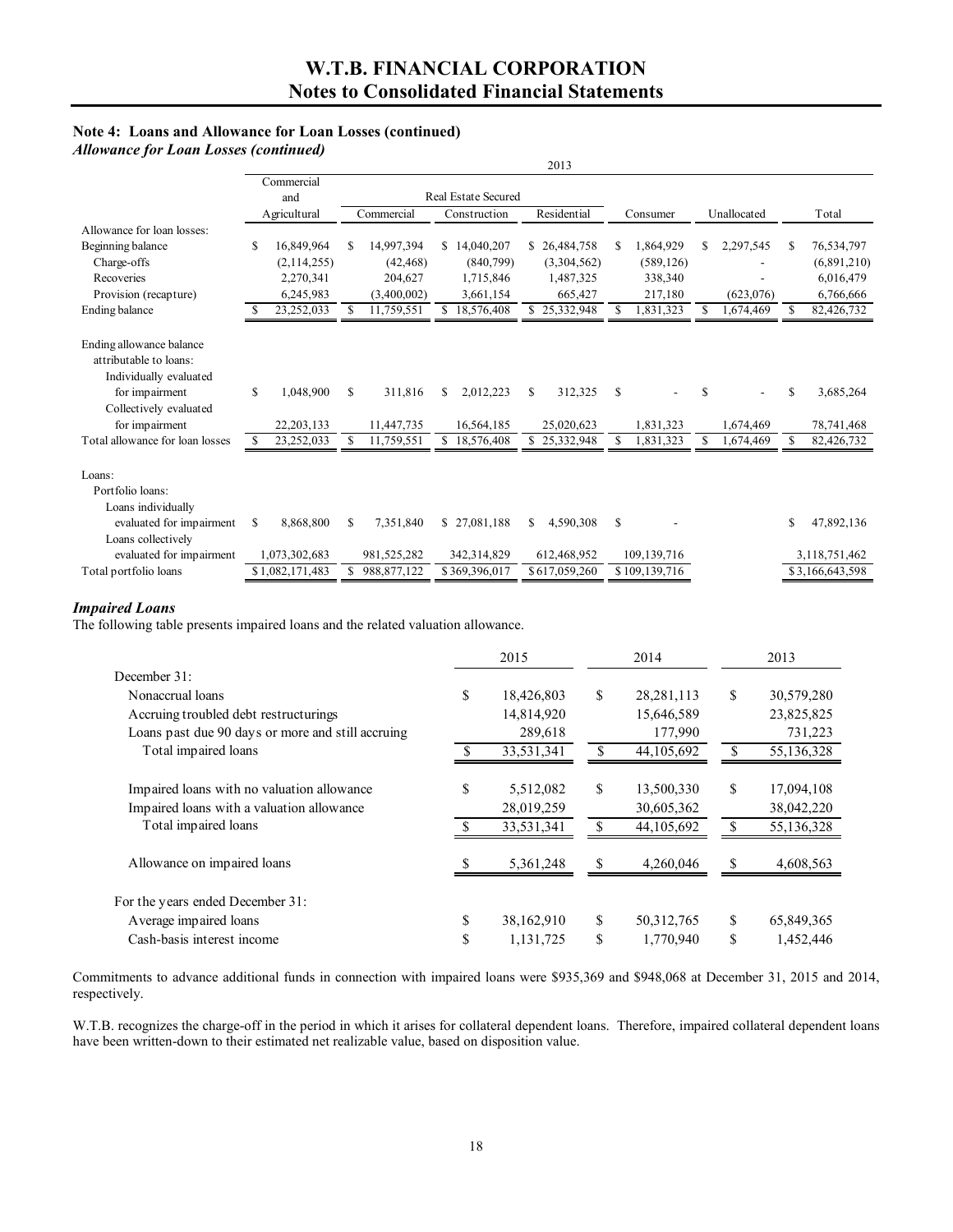#### **Note 4: Loans and Allowance for Loan Losses (continued)**

*Allowance for Loan Losses (continued)* 

|                                                                              |    |                 |     |               |   |                     |    | 2013          |               |               |   |             |    |                 |
|------------------------------------------------------------------------------|----|-----------------|-----|---------------|---|---------------------|----|---------------|---------------|---------------|---|-------------|----|-----------------|
|                                                                              |    | Commercial      |     |               |   |                     |    |               |               |               |   |             |    |                 |
|                                                                              |    | and             |     |               |   | Real Estate Secured |    |               |               |               |   |             |    |                 |
|                                                                              |    | Agricultural    |     | Commercial    |   | Construction        |    | Residential   | Consumer      |               |   | Unallocated |    | Total           |
| Allowance for loan losses:                                                   |    |                 |     |               |   |                     |    |               |               |               |   |             |    |                 |
| Beginning balance                                                            | S  | 16,849,964      | \$. | 14,997,394    |   | 14,040,207          |    | \$26,484,758  | S             | 1,864,929     |   | 2,297,545   | S. | 76,534,797      |
| Charge-offs                                                                  |    | (2,114,255)     |     | (42, 468)     |   | (840,799)           |    | (3,304,562)   |               | (589, 126)    |   |             |    | (6,891,210)     |
| Recoveries                                                                   |    | 2,270,341       |     | 204,627       |   | 1,715,846           |    | 1,487,325     |               | 338,340       |   |             |    | 6,016,479       |
| Provision (recapture)                                                        |    | 6,245,983       |     | (3,400,002)   |   | 3,661,154           |    | 665,427       |               | 217,180       |   | (623, 076)  |    | 6,766,666       |
| Ending balance                                                               |    | 23,252,033      |     | 11,759,551    |   | 18,576,408          |    | 25,332,948    |               | 1,831,323     |   | 1,674,469   |    | 82,426,732      |
|                                                                              |    |                 |     |               |   |                     |    |               |               |               |   |             |    |                 |
| Ending allowance balance<br>attributable to loans:<br>Individually evaluated |    |                 |     |               |   |                     |    |               |               |               |   |             |    |                 |
| for impairment                                                               | \$ | 1,048,900       | S   | 311,816       | S | 2,012,223           | S  | 312,325       | <sup>\$</sup> |               | S |             | \$ | 3,685,264       |
| Collectively evaluated                                                       |    |                 |     |               |   |                     |    |               |               |               |   |             |    |                 |
| for impairment                                                               |    | 22, 203, 133    |     | 11,447,735    |   | 16,564,185          |    | 25,020,623    |               | 1,831,323     |   | 1,674,469   |    | 78,741,468      |
| Total allowance for loan losses                                              | S  | 23,252,033      | S   | 11,759,551    |   | 18,576,408          |    | \$25,332,948  | S             | 1,831,323     |   | 1,674,469   | S. | 82,426,732      |
|                                                                              |    |                 |     |               |   |                     |    |               |               |               |   |             |    |                 |
| Loans:                                                                       |    |                 |     |               |   |                     |    |               |               |               |   |             |    |                 |
| Portfolio loans:                                                             |    |                 |     |               |   |                     |    |               |               |               |   |             |    |                 |
| Loans individually                                                           |    |                 |     |               |   |                     |    |               |               |               |   |             |    |                 |
| evaluated for impairment                                                     | \$ | 8,868,800       | S   | 7,351,840     |   | \$27,081,188        | \$ | 4,590,308     | <sup>\$</sup> |               |   |             |    | 47,892,136      |
| Loans collectively                                                           |    |                 |     |               |   |                     |    |               |               |               |   |             |    |                 |
| evaluated for impairment                                                     |    | 1,073,302,683   |     | 981,525,282   |   | 342,314,829         |    | 612,468,952   |               | 109,139,716   |   |             |    | 3,118,751,462   |
| Total portfolio loans                                                        |    | \$1,082,171,483 | S   | 988, 877, 122 |   | \$369,396,017       |    | \$617,059,260 |               | \$109,139,716 |   |             |    | \$3,166,643,598 |

#### *Impaired Loans*

The following table presents impaired loans and the related valuation allowance.

|                                                   |               | 2015       |     | 2014         | 2013             |
|---------------------------------------------------|---------------|------------|-----|--------------|------------------|
| December 31:                                      |               |            |     |              |                  |
| Nonaccrual loans                                  | \$            | 18,426,803 | \$  | 28, 281, 113 | \$<br>30,579,280 |
| Accruing troubled debt restructurings             |               | 14,814,920 |     | 15,646,589   | 23,825,825       |
| Loans past due 90 days or more and still accruing |               | 289,618    |     | 177,990      | 731,223          |
| Total impaired loans                              | $\mathcal{S}$ | 33,531,341 | \$. | 44,105,692   | 55,136,328       |
| Impaired loans with no valuation allowance        | \$            | 5,512,082  | \$  | 13,500,330   | \$<br>17,094,108 |
| Impaired loans with a valuation allowance         |               | 28,019,259 |     | 30,605,362   | 38,042,220       |
| Total impaired loans                              |               | 33,531,341 |     | 44,105,692   | 55,136,328       |
| Allowance on impaired loans                       |               | 5,361,248  |     | 4,260,046    | 4,608,563        |
| For the years ended December 31:                  |               |            |     |              |                  |
| Average impaired loans                            | \$            | 38,162,910 | \$  | 50,312,765   | \$<br>65,849,365 |
| Cash-basis interest income                        | \$            | 1,131,725  | \$  | 1,770,940    | \$<br>1,452,446  |

Commitments to advance additional funds in connection with impaired loans were \$935,369 and \$948,068 at December 31, 2015 and 2014, respectively.

W.T.B. recognizes the charge-off in the period in which it arises for collateral dependent loans. Therefore, impaired collateral dependent loans have been written-down to their estimated net realizable value, based on disposition value.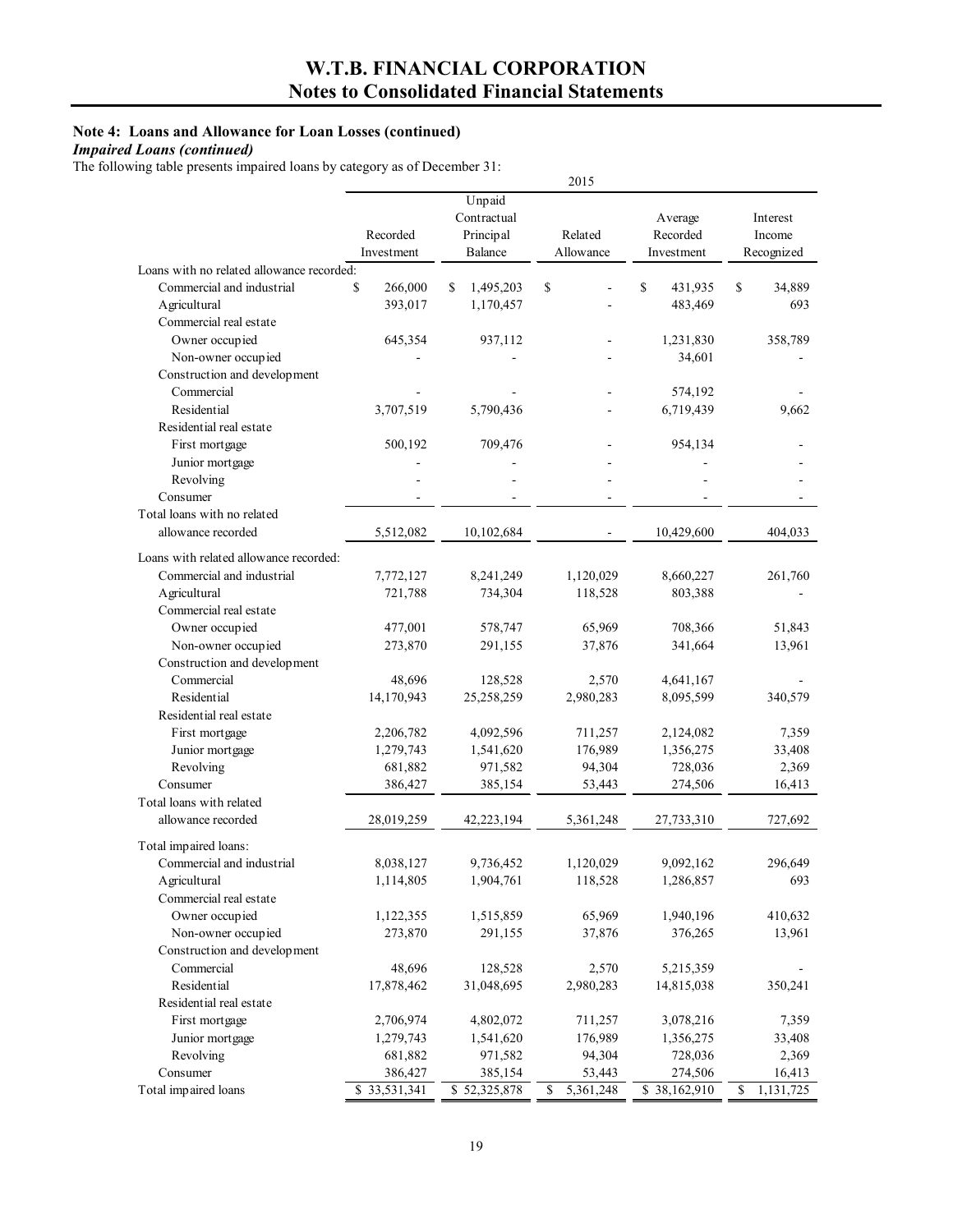### **Note 4: Loans and Allowance for Loan Losses (continued)**

#### *Impaired Loans (continued)*

The following table presents impaired loans by category as of December 31:

|                                           |               |                            | 2015            |               |                 |
|-------------------------------------------|---------------|----------------------------|-----------------|---------------|-----------------|
|                                           |               | Unpaid                     |                 |               |                 |
|                                           |               | Contractual                |                 | Average       | Interest        |
|                                           | Recorded      | Principal                  | Related         | Recorded      | Income          |
|                                           | Investment    | Balance                    | Allowance       | Investment    | Recognized      |
| Loans with no related allowance recorded: |               |                            |                 |               |                 |
| Commercial and industrial                 | \$<br>266,000 | 1,495,203<br>S             | \$              | \$<br>431,935 | \$<br>34,889    |
| Agricultural                              | 393,017       | 1,170,457                  |                 | 483,469       | 693             |
| Commercial real estate                    |               |                            |                 |               |                 |
| Owner occupied                            | 645,354       | 937,112                    |                 | 1,231,830     | 358,789         |
| Non-owner occupied                        |               |                            |                 | 34,601        |                 |
| Construction and development              |               |                            |                 |               |                 |
| Commercial                                |               |                            |                 | 574,192       |                 |
| Residential                               | 3,707,519     | 5,790,436                  |                 | 6,719,439     | 9,662           |
| Residential real estate                   |               |                            |                 |               |                 |
| First mortgage                            | 500,192       | 709,476                    |                 | 954,134       |                 |
| Junior mortgage                           |               |                            |                 |               |                 |
| Revolving                                 |               |                            |                 |               |                 |
| Consumer                                  |               |                            |                 |               |                 |
| Total loans with no related               |               |                            |                 |               |                 |
| allowance recorded                        | 5,512,082     | 10,102,684                 |                 | 10,429,600    | 404,033         |
| Loans with related allowance recorded:    |               |                            |                 |               |                 |
| Commercial and industrial                 | 7,772,127     | 8,241,249                  | 1,120,029       | 8,660,227     | 261,760         |
| Agricultural                              | 721,788       | 734,304                    | 118,528         | 803,388       |                 |
| Commercial real estate                    |               |                            |                 |               |                 |
| Owner occupied                            | 477,001       | 578,747                    | 65,969          | 708,366       | 51,843          |
| Non-owner occupied                        | 273,870       | 291,155                    | 37,876          | 341,664       | 13,961          |
| Construction and development              |               |                            |                 |               |                 |
| Commercial                                | 48,696        | 128,528                    | 2,570           | 4,641,167     |                 |
| Residential                               | 14,170,943    | 25,258,259                 | 2,980,283       | 8,095,599     | 340,579         |
| Residential real estate                   |               |                            |                 |               |                 |
| First mortgage                            | 2,206,782     | 4,092,596                  | 711,257         | 2,124,082     | 7,359           |
| Junior mortgage                           | 1,279,743     | 1,541,620                  | 176,989         | 1,356,275     | 33,408          |
| Revolving                                 | 681,882       | 971,582                    | 94,304          | 728,036       | 2,369           |
| Consumer                                  | 386,427       | 385,154                    | 53,443          | 274,506       | 16,413          |
| Total loans with related                  |               |                            |                 |               |                 |
| allowance recorded                        | 28,019,259    | 42,223,194                 | 5,361,248       | 27,733,310    | 727,692         |
| Total impaired loans:                     |               |                            |                 |               |                 |
| Commercial and industrial                 | 8,038,127     | 9,736,452                  | 1,120,029       | 9,092,162     | 296,649         |
| Agricultural                              | 1,114,805     | 1,904,761                  | 118,528         | 1,286,857     | 693             |
| Commercial real estate                    |               |                            |                 |               |                 |
| Owner occupied                            | 1,122,355     | 1,515,859                  | 65,969          | 1,940,196     | 410,632         |
| Non-owner occupied                        | 273,870       | 291,155                    | 37,876          | 376,265       | 13,961          |
| Construction and development              |               |                            |                 |               |                 |
| Commercial                                | 48,696        | 128,528                    | 2,570           | 5,215,359     |                 |
| Residential                               | 17,878,462    | 31,048,695                 | 2,980,283       | 14,815,038    | 350,241         |
| Residential real estate                   |               |                            |                 |               |                 |
| First mortgage                            | 2,706,974     | 4,802,072                  | 711,257         | 3,078,216     | 7,359           |
| Junior mortgage                           | 1,279,743     | 1,541,620                  | 176,989         | 1,356,275     | 33,408          |
| Revolving                                 | 681,882       | 971,582                    | 94,304          | 728,036       | 2,369           |
| Consumer                                  | 386,427       | 385,154                    | 53,443          | 274,506       | 16,413          |
| Total impaired loans                      | \$33,531,341  | $\overline{\$}$ 52,325,878 | \$<br>5,361,248 | \$38,162,910  | \$<br>1,131,725 |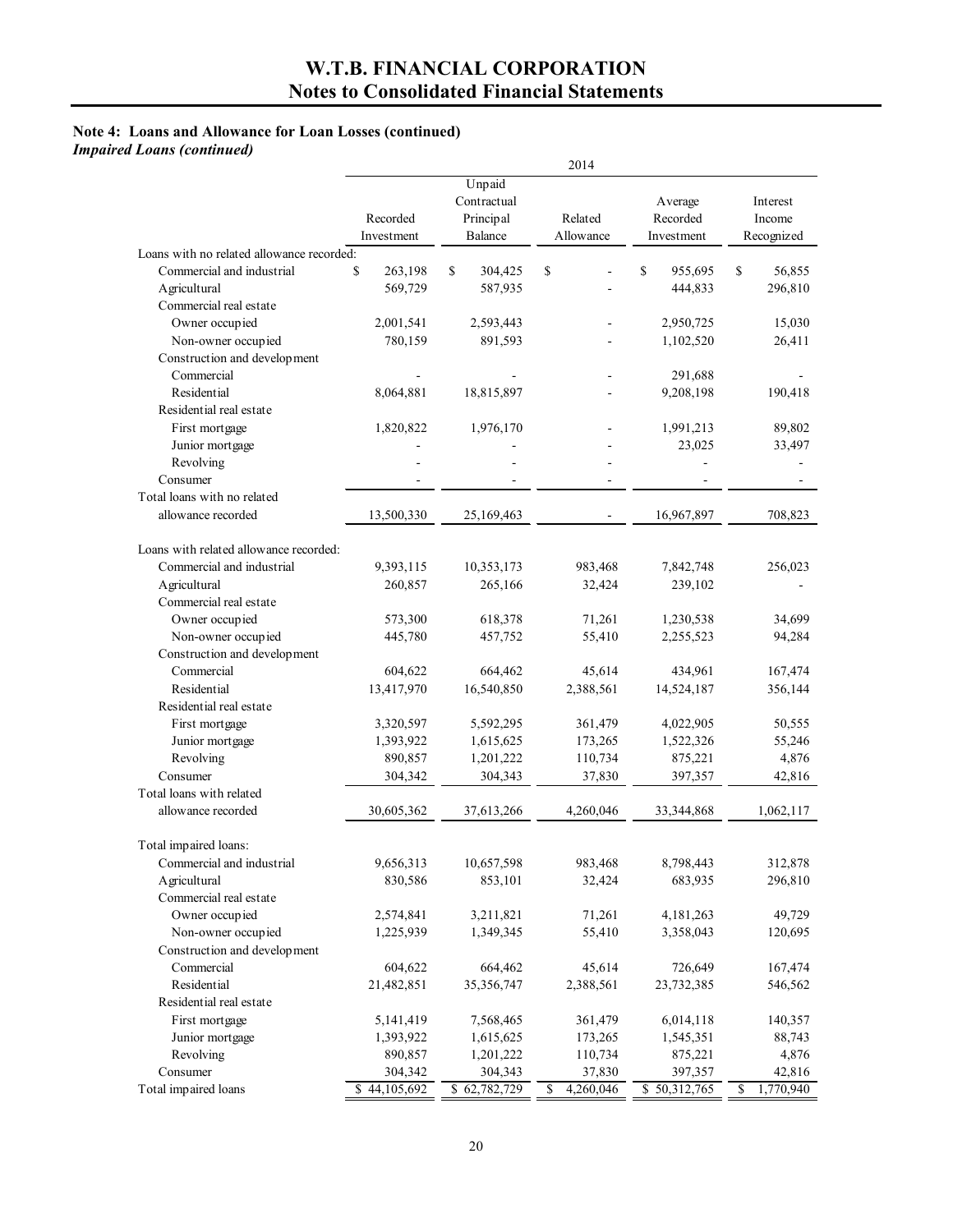### **Note 4: Loans and Allowance for Loan Losses (continued)**

*Impaired Loans (continued)* 

|                                           |               |               | 2014                     |               |                 |
|-------------------------------------------|---------------|---------------|--------------------------|---------------|-----------------|
|                                           |               | Unpaid        |                          |               |                 |
|                                           |               | Contractual   |                          | Average       | Interest        |
|                                           | Recorded      | Principal     | Related                  | Recorded      | Income          |
|                                           | Investment    | Balance       | Allowance                | Investment    | Recognized      |
| Loans with no related allowance recorded: |               |               |                          |               |                 |
| Commercial and industrial                 | \$<br>263,198 | \$<br>304,425 | \$                       | \$<br>955,695 | \$<br>56,855    |
| Agricultural                              | 569,729       | 587,935       |                          | 444,833       | 296,810         |
| Commercial real estate                    |               |               |                          |               |                 |
| Owner occupied                            | 2,001,541     | 2,593,443     |                          | 2,950,725     | 15,030          |
| Non-owner occupied                        | 780,159       | 891,593       |                          | 1,102,520     | 26,411          |
| Construction and development              |               |               |                          |               |                 |
| Commercial                                |               |               |                          | 291,688       |                 |
| Residential                               | 8,064,881     | 18,815,897    |                          | 9,208,198     | 190,418         |
| Residential real estate                   |               |               |                          |               |                 |
| First mortgage                            | 1,820,822     | 1,976,170     |                          | 1,991,213     | 89,802          |
| Junior mortgage                           |               |               |                          | 23,025        | 33,497          |
| Revolving                                 |               |               |                          |               |                 |
| Consumer                                  |               |               | $\overline{\phantom{a}}$ |               |                 |
| Total loans with no related               |               |               |                          |               |                 |
| allowance recorded                        | 13,500,330    | 25,169,463    |                          | 16,967,897    | 708,823         |
|                                           |               |               |                          |               |                 |
| Loans with related allowance recorded:    |               |               |                          |               |                 |
| Commercial and industrial                 | 9,393,115     | 10,353,173    | 983,468                  | 7,842,748     | 256,023         |
| Agricultural                              | 260,857       | 265,166       | 32,424                   | 239,102       |                 |
| Commercial real estate                    |               |               |                          |               |                 |
| Owner occupied                            | 573,300       | 618,378       | 71,261                   | 1,230,538     | 34,699          |
| Non-owner occupied                        | 445,780       | 457,752       | 55,410                   | 2,255,523     | 94,284          |
| Construction and development              |               |               |                          |               |                 |
| Commercial                                | 604,622       | 664,462       | 45,614                   | 434,961       | 167,474         |
| Residential                               | 13,417,970    | 16,540,850    | 2,388,561                | 14,524,187    | 356,144         |
| Residential real estate                   |               |               |                          |               |                 |
| First mortgage                            | 3,320,597     | 5,592,295     | 361,479                  | 4,022,905     | 50,555          |
| Junior mortgage                           | 1,393,922     | 1,615,625     | 173,265                  | 1,522,326     | 55,246          |
| Revolving                                 | 890,857       | 1,201,222     | 110,734                  | 875,221       | 4,876           |
| Consumer                                  | 304,342       | 304,343       | 37,830                   | 397,357       | 42,816          |
| Total loans with related                  |               |               |                          |               |                 |
| allowance recorded                        | 30,605,362    | 37,613,266    | 4,260,046                | 33, 344, 868  | 1,062,117       |
|                                           |               |               |                          |               |                 |
| Total impaired loans:                     |               |               |                          |               |                 |
| Commercial and industrial                 | 9,656,313     | 10,657,598    | 983,468                  | 8,798,443     | 312,878         |
| Agricultural                              | 830,586       | 853,101       | 32,424                   | 683,935       | 296,810         |
| Commercial real estate                    |               |               |                          |               |                 |
| Owner occupied                            | 2,574,841     | 3,211,821     | 71,261                   | 4,181,263     | 49,729          |
| Non-owner occupied                        | 1,225,939     | 1,349,345     | 55,410                   | 3,358,043     | 120,695         |
| Construction and development              |               |               |                          |               |                 |
| Commercial                                | 604,622       | 664,462       | 45,614                   | 726,649       | 167,474         |
| Residential                               | 21,482,851    | 35,356,747    | 2,388,561                | 23,732,385    | 546,562         |
| Residential real estate                   |               |               |                          |               |                 |
| First mortgage                            | 5, 141, 419   | 7,568,465     | 361,479                  | 6,014,118     | 140,357         |
| Junior mortgage                           | 1,393,922     | 1,615,625     | 173,265                  | 1,545,351     | 88,743          |
| Revolving                                 | 890,857       | 1,201,222     | 110,734                  | 875,221       | 4,876           |
| Consumer                                  | 304,342       | 304,343       | 37,830                   | 397,357       | 42,816          |
| Total impaired loans                      | \$44,105,692  | \$62,782,729  | \$<br>4,260,046          | \$50,312,765  | \$<br>1,770,940 |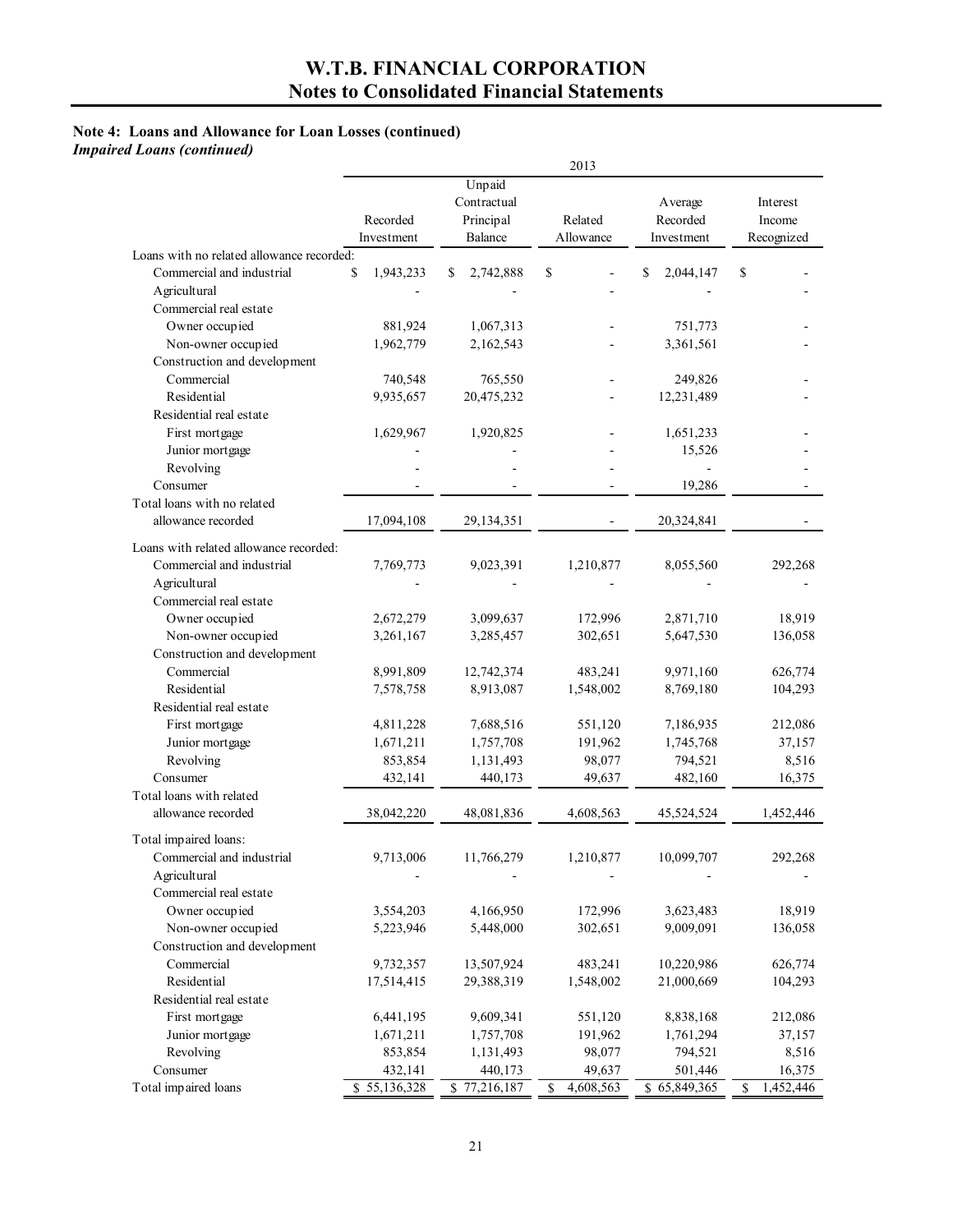### **Note 4: Loans and Allowance for Loan Losses (continued)**

*Impaired Loans (continued)* 

|                                           |                        |                                               | 2013                 |                                   |                                  |
|-------------------------------------------|------------------------|-----------------------------------------------|----------------------|-----------------------------------|----------------------------------|
|                                           | Recorded<br>Investment | Unpaid<br>Contractual<br>Principal<br>Balance | Related<br>Allowance | Average<br>Recorded<br>Investment | Interest<br>Income<br>Recognized |
| Loans with no related allowance recorded: |                        |                                               |                      |                                   |                                  |
| Commercial and industrial<br>Agricultural | \$<br>1,943,233        | \$<br>2,742,888                               | \$                   | \$<br>2,044,147                   | \$                               |
| Commercial real estate                    |                        |                                               |                      |                                   |                                  |
| Owner occupied                            | 881,924                | 1,067,313                                     |                      | 751,773                           |                                  |
| Non-owner occupied                        | 1,962,779              | 2,162,543                                     |                      | 3,361,561                         |                                  |
| Construction and development              |                        |                                               |                      |                                   |                                  |
| Commercial                                | 740,548                | 765,550                                       |                      | 249,826                           |                                  |
| Residential                               | 9,935,657              | 20,475,232                                    |                      | 12,231,489                        |                                  |
| Residential real estate                   |                        |                                               |                      |                                   |                                  |
| First mortgage                            | 1,629,967              | 1,920,825                                     |                      | 1,651,233                         |                                  |
| Junior mortgage                           |                        |                                               |                      | 15,526                            |                                  |
| Revolving                                 |                        |                                               |                      |                                   |                                  |
| Consumer                                  |                        |                                               |                      | 19,286                            |                                  |
| Total loans with no related               |                        |                                               |                      |                                   |                                  |
| allowance recorded                        | 17,094,108             | 29,134,351                                    |                      | 20,324,841                        |                                  |
| Loans with related allowance recorded:    |                        |                                               |                      |                                   |                                  |
| Commercial and industrial                 | 7,769,773              | 9,023,391                                     | 1,210,877            | 8,055,560                         | 292,268                          |
| Agricultural                              |                        |                                               |                      |                                   |                                  |
| Commercial real estate                    |                        |                                               |                      |                                   |                                  |
| Owner occupied                            | 2,672,279              | 3,099,637                                     | 172,996              | 2,871,710                         | 18,919                           |
| Non-owner occupied                        | 3,261,167              | 3,285,457                                     | 302,651              | 5,647,530                         | 136,058                          |
| Construction and development              |                        |                                               |                      |                                   |                                  |
| Commercial                                | 8,991,809              | 12,742,374                                    | 483,241              | 9,971,160                         | 626,774                          |
| Residential                               | 7,578,758              | 8,913,087                                     | 1,548,002            | 8,769,180                         | 104,293                          |
| Residential real estate                   |                        |                                               |                      |                                   |                                  |
| First mortgage                            | 4,811,228              | 7,688,516                                     | 551,120              | 7,186,935                         | 212,086                          |
| Junior mortgage                           | 1,671,211              | 1,757,708                                     | 191,962              | 1,745,768                         | 37,157                           |
| Revolving                                 | 853,854                | 1,131,493                                     | 98,077               | 794,521                           | 8,516                            |
| Consumer                                  | 432,141                | 440,173                                       | 49,637               | 482,160                           | 16,375                           |
| Total loans with related                  |                        |                                               |                      |                                   |                                  |
| allowance recorded                        | 38,042,220             | 48,081,836                                    | 4,608,563            | 45,524,524                        | 1,452,446                        |
| Total impaired loans:                     |                        |                                               |                      |                                   |                                  |
| Commercial and industrial                 | 9,713,006              | 11,766,279                                    | 1,210,877            | 10,099,707                        | 292,268                          |
| Agricultural                              |                        |                                               |                      |                                   |                                  |
| Commercial real estate                    |                        |                                               |                      |                                   |                                  |
| Owner occupied                            | 3,554,203              | 4,166,950                                     | 172,996              | 3,623,483                         | 18,919                           |
| Non-owner occupied                        | 5,223,946              | 5,448,000                                     | 302,651              | 9,009,091                         | 136,058                          |
| Construction and development              |                        |                                               |                      |                                   |                                  |
| Commercial                                | 9,732,357              | 13,507,924                                    | 483,241              | 10,220,986                        | 626,774                          |
| Residential                               | 17,514,415             | 29,388,319                                    | 1,548,002            | 21,000,669                        | 104,293                          |
| Residential real estate                   |                        |                                               |                      |                                   |                                  |
| First mortgage                            | 6,441,195              | 9,609,341                                     | 551,120              | 8,838,168                         | 212,086                          |
| Junior mortgage                           | 1,671,211              | 1,757,708                                     | 191,962              | 1,761,294                         | 37,157                           |
| Revolving                                 | 853,854                | 1,131,493                                     | 98,077               | 794,521                           | 8,516                            |
| Consumer                                  | 432,141                | 440,173                                       | 49,637               | 501,446                           | 16,375                           |
| Total impaired loans                      | \$55,136,328           | \$77,216,187                                  | \$<br>4,608,563      | \$65,849,365                      | $\mathbb{S}$<br>1,452,446        |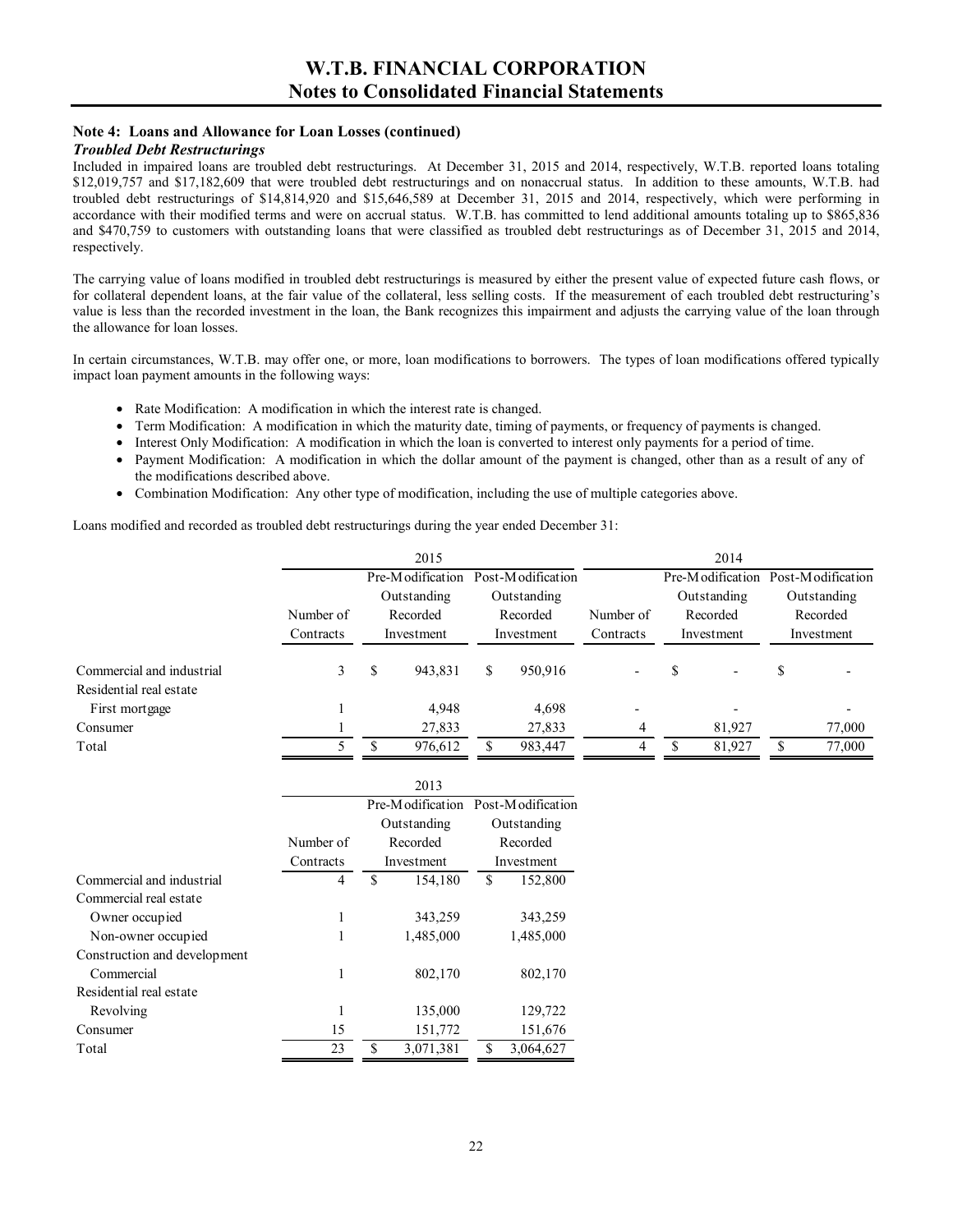#### **Note 4: Loans and Allowance for Loan Losses (continued)**

#### *Troubled Debt Restructurings*

Included in impaired loans are troubled debt restructurings. At December 31, 2015 and 2014, respectively, W.T.B. reported loans totaling \$12,019,757 and \$17,182,609 that were troubled debt restructurings and on nonaccrual status. In addition to these amounts, W.T.B. had troubled debt restructurings of \$14,814,920 and \$15,646,589 at December 31, 2015 and 2014, respectively, which were performing in accordance with their modified terms and were on accrual status. W.T.B. has committed to lend additional amounts totaling up to \$865,836 and \$470,759 to customers with outstanding loans that were classified as troubled debt restructurings as of December 31, 2015 and 2014, respectively.

The carrying value of loans modified in troubled debt restructurings is measured by either the present value of expected future cash flows, or for collateral dependent loans, at the fair value of the collateral, less selling costs. If the measurement of each troubled debt restructuring's value is less than the recorded investment in the loan, the Bank recognizes this impairment and adjusts the carrying value of the loan through the allowance for loan losses.

In certain circumstances, W.T.B. may offer one, or more, loan modifications to borrowers. The types of loan modifications offered typically impact loan payment amounts in the following ways:

- Rate Modification: A modification in which the interest rate is changed.
- Term Modification: A modification in which the maturity date, timing of payments, or frequency of payments is changed.
- Interest Only Modification: A modification in which the loan is converted to interest only payments for a period of time.
- Payment Modification: A modification in which the dollar amount of the payment is changed, other than as a result of any of the modifications described above.
- Combination Modification: Any other type of modification, including the use of multiple categories above.

Loans modified and recorded as troubled debt restructurings during the year ended December 31:

|                           |           |    | 2015             |   |                   |                          |    | 2014                     |    |                   |  |
|---------------------------|-----------|----|------------------|---|-------------------|--------------------------|----|--------------------------|----|-------------------|--|
|                           |           |    | Pre-Modification |   | Post-Modification |                          |    | Pre-Modification         |    | Post-Modification |  |
|                           |           |    | Outstanding      |   | Outstanding       |                          |    | Outstanding              |    | Outstanding       |  |
|                           | Number of |    | Recorded         |   | Recorded          | Number of                |    | Recorded                 |    | Recorded          |  |
|                           | Contracts |    | Investment       |   | Investment        | Contracts                |    | Investment               |    | Investment        |  |
| Commercial and industrial | 3         | \$ | 943,831          | S | 950.916           | $\overline{\phantom{a}}$ | \$ | $\overline{\phantom{0}}$ | \$ |                   |  |
| Residential real estate   |           |    |                  |   |                   |                          |    |                          |    |                   |  |
| First mortgage            |           |    | 4.948            |   | 4,698             | $\overline{\phantom{0}}$ |    |                          |    |                   |  |
| Consumer                  |           |    | 27,833           |   | 27,833            | 4                        |    | 81,927                   |    | 77,000            |  |
| Total                     |           |    | 976.612          |   | 983,447           |                          |    | 81.927                   |    | 77,000            |  |

|                              |           | 2013           |                                    |
|------------------------------|-----------|----------------|------------------------------------|
|                              |           |                | Pre-Modification Post-Modification |
|                              |           | Outstanding    | Outstanding                        |
|                              | Number of | Recorded       | Recorded                           |
|                              | Contracts | Investment     | Investment                         |
| Commercial and industrial    | 4         | \$<br>154,180  | 152,800<br>S                       |
| Commercial real estate       |           |                |                                    |
| Owner occupied               | 1         | 343,259        | 343,259                            |
| Non-owner occupied           | 1         | 1,485,000      | 1,485,000                          |
| Construction and development |           |                |                                    |
| Commercial                   | 1         | 802,170        | 802,170                            |
| Residential real estate      |           |                |                                    |
| Revolving                    |           | 135,000        | 129,722                            |
| Consumer                     | 15        | 151,772        | 151,676                            |
| Total                        | 23        | 3,071,381<br>S | 3,064,627                          |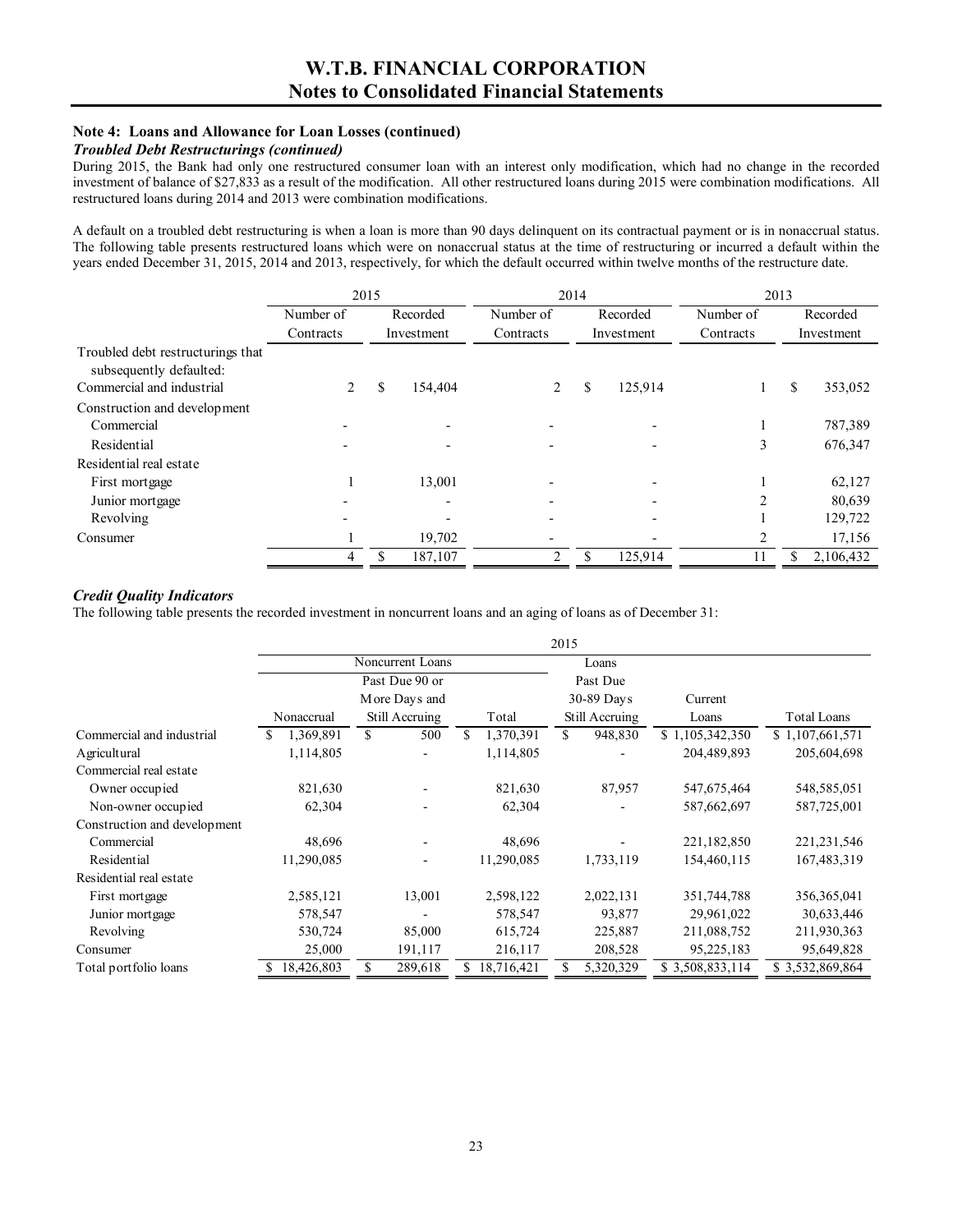#### **Note 4: Loans and Allowance for Loan Losses (continued)**

#### *Troubled Debt Restructurings (continued)*

During 2015, the Bank had only one restructured consumer loan with an interest only modification, which had no change in the recorded investment of balance of \$27,833 as a result of the modification. All other restructured loans during 2015 were combination modifications. All restructured loans during 2014 and 2013 were combination modifications.

A default on a troubled debt restructuring is when a loan is more than 90 days delinquent on its contractual payment or is in nonaccrual status. The following table presents restructured loans which were on nonaccrual status at the time of restructuring or incurred a default within the years ended December 31, 2015, 2014 and 2013, respectively, for which the default occurred within twelve months of the restructure date.

|                                   | 2015      |          |            | 2014           |          |            | 2013      |          |            |  |
|-----------------------------------|-----------|----------|------------|----------------|----------|------------|-----------|----------|------------|--|
|                                   | Number of | Recorded |            | Number of      | Recorded |            | Number of | Recorded |            |  |
|                                   | Contracts |          | Investment | Contracts      |          | Investment | Contracts |          | Investment |  |
| Troubled debt restructurings that |           |          |            |                |          |            |           |          |            |  |
| subsequently defaulted:           |           |          |            |                |          |            |           |          |            |  |
| Commercial and industrial         |           | \$       | 154,404    | $\overline{2}$ | \$       | 125,914    |           | \$       | 353,052    |  |
| Construction and development      |           |          |            |                |          |            |           |          |            |  |
| Commercial                        |           |          |            |                |          |            |           |          | 787,389    |  |
| Residential                       |           |          |            |                |          |            | 3         |          | 676,347    |  |
| Residential real estate           |           |          |            |                |          |            |           |          |            |  |
| First mortgage                    |           |          | 13,001     |                |          |            |           |          | 62,127     |  |
| Junior mortgage                   |           |          |            |                |          |            | 2         |          | 80,639     |  |
| Revolving                         |           |          |            |                |          |            |           |          | 129,722    |  |
| Consumer                          |           |          | 19,702     |                |          |            |           |          | 17,156     |  |
|                                   |           |          | 187,107    |                |          | 125,914    |           |          | 2,106,432  |  |

#### *Credit Quality Indicators*

The following table presents the recorded investment in noncurrent loans and an aging of loans as of December 31:

|                              | 2015           |                |                  |    |              |          |                |                 |                 |  |  |  |  |  |
|------------------------------|----------------|----------------|------------------|----|--------------|----------|----------------|-----------------|-----------------|--|--|--|--|--|
|                              |                |                | Noncurrent Loans |    |              |          | Loans          |                 |                 |  |  |  |  |  |
|                              |                | Past Due 90 or |                  |    |              | Past Due |                |                 |                 |  |  |  |  |  |
|                              | More Days and  |                |                  |    |              |          | 30-89 Days     | Current         |                 |  |  |  |  |  |
|                              | Nonaccrual     | Still Accruing |                  |    | Total        |          | Still Accruing | Loans           | Total Loans     |  |  |  |  |  |
| Commercial and industrial    | S<br>1,369,891 | \$.            | 500              | S. | 1,370,391    | S.       | 948,830        | \$1,105,342,350 | \$1,107,661,571 |  |  |  |  |  |
| Agricultural                 | 1,114,805      |                |                  |    | 1,114,805    |          |                | 204,489,893     | 205,604,698     |  |  |  |  |  |
| Commercial real estate       |                |                |                  |    |              |          |                |                 |                 |  |  |  |  |  |
| Owner occupied               | 821,630        |                |                  |    | 821,630      |          | 87,957         | 547,675,464     | 548,585,051     |  |  |  |  |  |
| Non-owner occupied           | 62,304         |                |                  |    | 62,304       |          |                | 587,662,697     | 587,725,001     |  |  |  |  |  |
| Construction and development |                |                |                  |    |              |          |                |                 |                 |  |  |  |  |  |
| Commercial                   | 48,696         |                |                  |    | 48,696       |          |                | 221,182,850     | 221, 231, 546   |  |  |  |  |  |
| Residential                  | 11,290,085     |                |                  |    | 11,290,085   |          | 1,733,119      | 154,460,115     | 167,483,319     |  |  |  |  |  |
| Residential real estate      |                |                |                  |    |              |          |                |                 |                 |  |  |  |  |  |
| First mortgage               | 2,585,121      |                | 13,001           |    | 2,598,122    |          | 2,022,131      | 351,744,788     | 356,365,041     |  |  |  |  |  |
| Junior mortgage              | 578,547        |                |                  |    | 578,547      |          | 93,877         | 29,961,022      | 30,633,446      |  |  |  |  |  |
| Revolving                    | 530,724        |                | 85,000           |    | 615,724      |          | 225,887        | 211,088,752     | 211,930,363     |  |  |  |  |  |
| Consumer                     | 25,000         |                | 191,117          |    | 216,117      |          | 208,528        | 95,225,183      | 95,649,828      |  |  |  |  |  |
| Total portfolio loans        | \$18,426,803   | \$             | 289,618          |    | \$18,716,421 | \$       | 5,320,329      | \$3,508,833,114 | \$3,532,869,864 |  |  |  |  |  |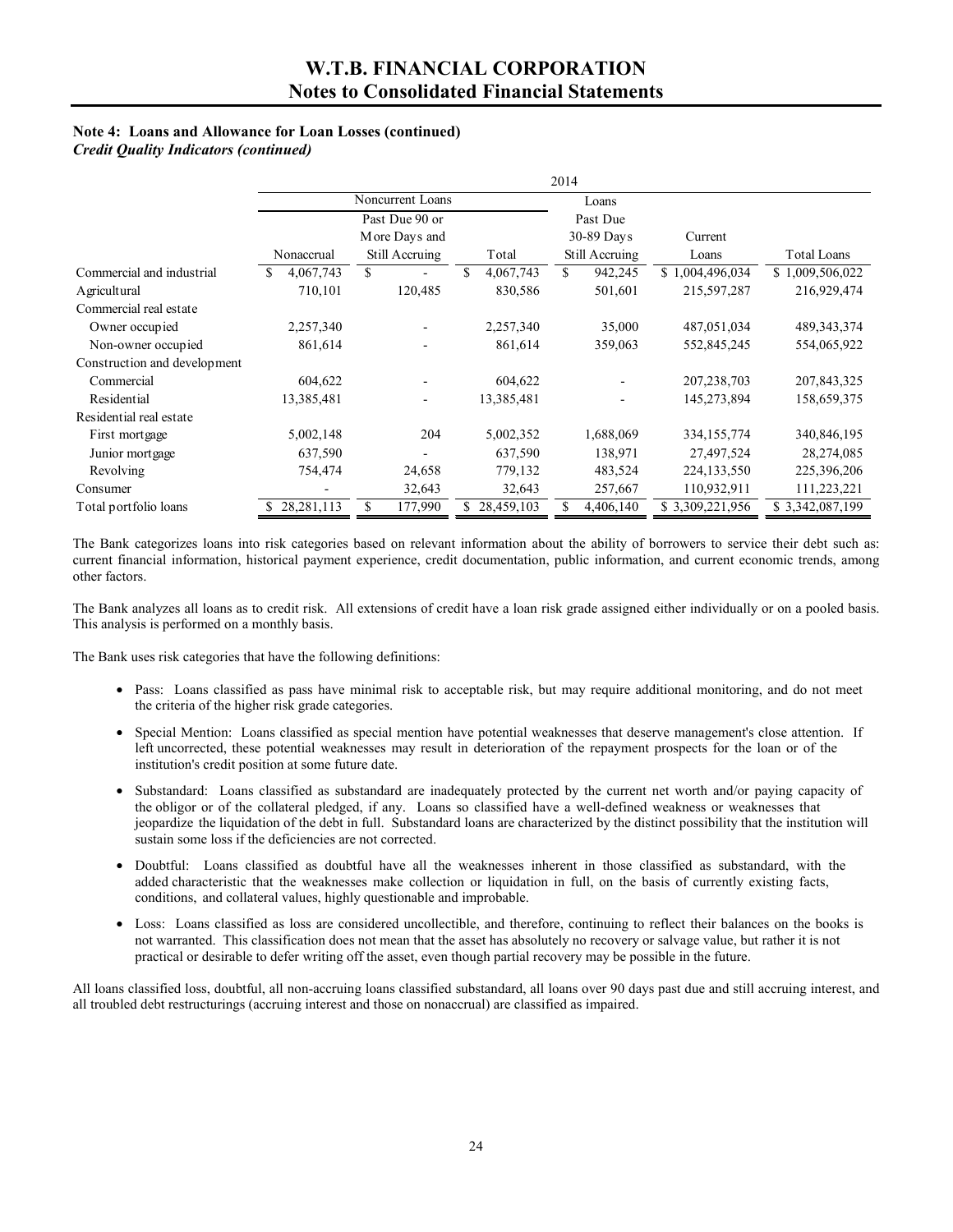#### **Note 4: Loans and Allowance for Loan Losses (continued)**

*Credit Quality Indicators (continued)* 

|                              | 2014            |                  |                 |                |                 |                    |  |  |  |  |  |  |  |  |
|------------------------------|-----------------|------------------|-----------------|----------------|-----------------|--------------------|--|--|--|--|--|--|--|--|
|                              |                 | Noncurrent Loans |                 | Loans          |                 |                    |  |  |  |  |  |  |  |  |
|                              |                 | Past Due 90 or   |                 | Past Due       |                 |                    |  |  |  |  |  |  |  |  |
|                              |                 | More Days and    |                 | 30-89 Days     | Current         |                    |  |  |  |  |  |  |  |  |
|                              | Nonaccrual      | Still Accruing   | Total           | Still Accruing | Loans           | <b>Total Loans</b> |  |  |  |  |  |  |  |  |
| Commercial and industrial    | 4,067,743<br>\$ | \$               | \$<br>4,067,743 | S.<br>942,245  | \$1,004,496,034 | \$1,009,506,022    |  |  |  |  |  |  |  |  |
| Agricultural                 | 710,101         | 120,485          | 830,586         | 501,601        | 215,597,287     | 216,929,474        |  |  |  |  |  |  |  |  |
| Commercial real estate       |                 |                  |                 |                |                 |                    |  |  |  |  |  |  |  |  |
| Owner occupied               | 2,257,340       |                  | 2,257,340       | 35,000         | 487,051,034     | 489, 343, 374      |  |  |  |  |  |  |  |  |
| Non-owner occupied           | 861,614         |                  | 861,614         | 359,063        | 552,845,245     | 554,065,922        |  |  |  |  |  |  |  |  |
| Construction and development |                 |                  |                 |                |                 |                    |  |  |  |  |  |  |  |  |
| Commercial                   | 604,622         |                  | 604,622         |                | 207,238,703     | 207,843,325        |  |  |  |  |  |  |  |  |
| Residential                  | 13,385,481      |                  | 13,385,481      |                | 145,273,894     | 158,659,375        |  |  |  |  |  |  |  |  |
| Residential real estate      |                 |                  |                 |                |                 |                    |  |  |  |  |  |  |  |  |
| First mortgage               | 5,002,148       | 204              | 5,002,352       | 1,688,069      | 334, 155, 774   | 340,846,195        |  |  |  |  |  |  |  |  |
| Junior mortgage              | 637,590         |                  | 637,590         | 138,971        | 27,497,524      | 28,274,085         |  |  |  |  |  |  |  |  |
| Revolving                    | 754,474         | 24,658           | 779,132         | 483,524        | 224, 133, 550   | 225,396,206        |  |  |  |  |  |  |  |  |
| Consumer                     |                 | 32,643           | 32,643          | 257,667        | 110,932,911     | 111,223,221        |  |  |  |  |  |  |  |  |
| Total portfolio loans        | 28, 281, 113    | 177,990          | 28,459,103      | 4,406,140      | \$3,309,221,956 | \$3,342,087,199    |  |  |  |  |  |  |  |  |

The Bank categorizes loans into risk categories based on relevant information about the ability of borrowers to service their debt such as: current financial information, historical payment experience, credit documentation, public information, and current economic trends, among other factors.

The Bank analyzes all loans as to credit risk. All extensions of credit have a loan risk grade assigned either individually or on a pooled basis. This analysis is performed on a monthly basis.

The Bank uses risk categories that have the following definitions:

- Pass: Loans classified as pass have minimal risk to acceptable risk, but may require additional monitoring, and do not meet the criteria of the higher risk grade categories.
- Special Mention: Loans classified as special mention have potential weaknesses that deserve management's close attention. If left uncorrected, these potential weaknesses may result in deterioration of the repayment prospects for the loan or of the institution's credit position at some future date.
- Substandard: Loans classified as substandard are inadequately protected by the current net worth and/or paying capacity of the obligor or of the collateral pledged, if any. Loans so classified have a well-defined weakness or weaknesses that jeopardize the liquidation of the debt in full. Substandard loans are characterized by the distinct possibility that the institution will sustain some loss if the deficiencies are not corrected.
- Doubtful: Loans classified as doubtful have all the weaknesses inherent in those classified as substandard, with the added characteristic that the weaknesses make collection or liquidation in full, on the basis of currently existing facts, conditions, and collateral values, highly questionable and improbable.
- Loss: Loans classified as loss are considered uncollectible, and therefore, continuing to reflect their balances on the books is not warranted. This classification does not mean that the asset has absolutely no recovery or salvage value, but rather it is not practical or desirable to defer writing off the asset, even though partial recovery may be possible in the future.

All loans classified loss, doubtful, all non-accruing loans classified substandard, all loans over 90 days past due and still accruing interest, and all troubled debt restructurings (accruing interest and those on nonaccrual) are classified as impaired.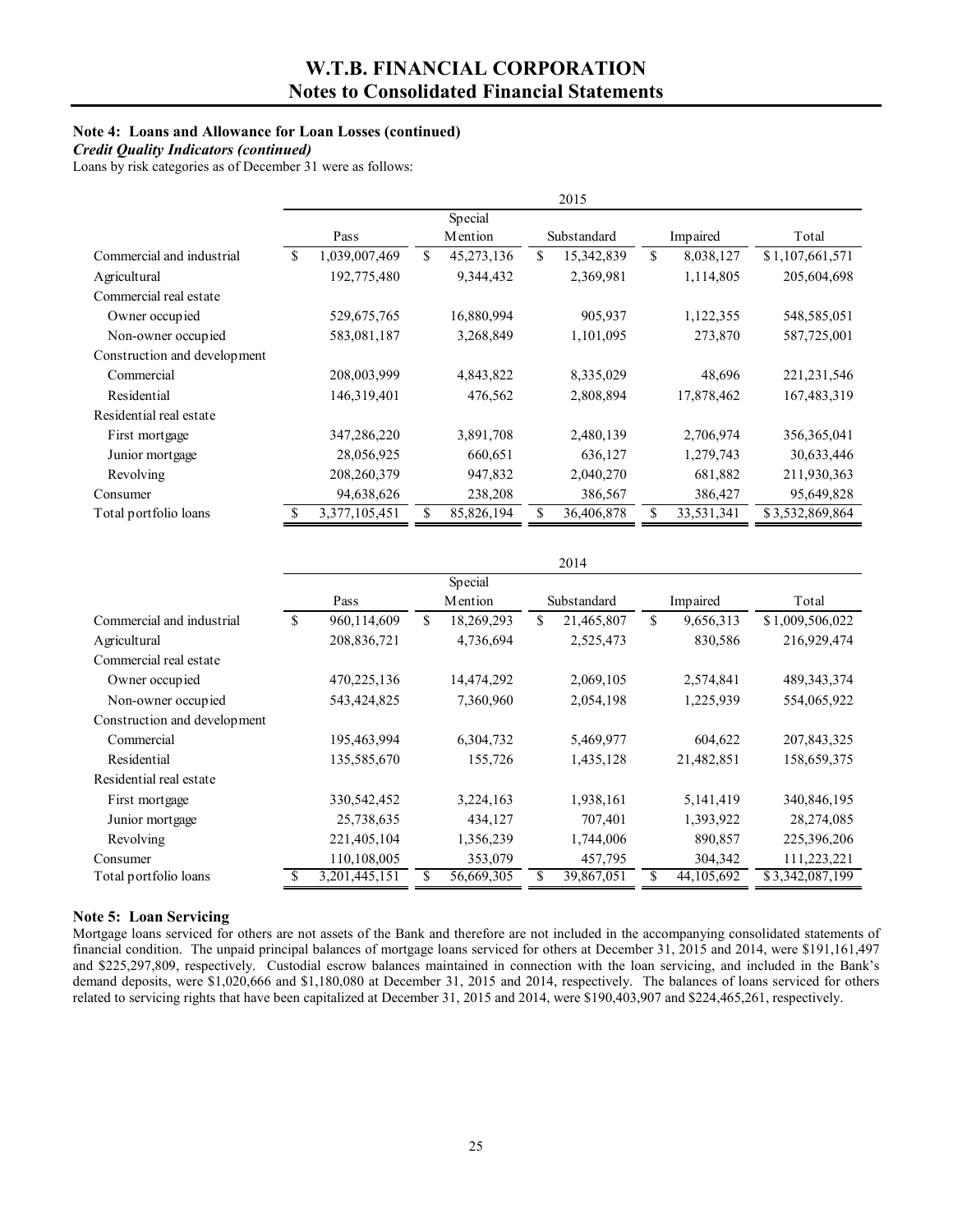#### **Note 4: Loans and Allowance for Loan Losses (continued)**

#### *Credit Quality Indicators (continued)*

Loans by risk categories as of December 31 were as follows:

|                              | 2015 |               |     |                 |    |             |    |            |                 |
|------------------------------|------|---------------|-----|-----------------|----|-------------|----|------------|-----------------|
|                              |      |               |     | Special         |    |             |    |            |                 |
|                              |      | Pass          |     | <b>M</b> ention |    | Substandard |    | Impaired   | Total           |
| Commercial and industrial    | \$   | 1,039,007,469 | \$. | 45,273,136      | \$ | 15,342,839  | \$ | 8,038,127  | \$1,107,661,571 |
| Agricultural                 |      | 192,775,480   |     | 9,344,432       |    | 2,369,981   |    | 1,114,805  | 205,604,698     |
| Commercial real estate       |      |               |     |                 |    |             |    |            |                 |
| Owner occupied               |      | 529,675,765   |     | 16,880,994      |    | 905,937     |    | 1,122,355  | 548,585,051     |
| Non-owner occupied           |      | 583,081,187   |     | 3,268,849       |    | 1,101,095   |    | 273,870    | 587,725,001     |
| Construction and development |      |               |     |                 |    |             |    |            |                 |
| Commercial                   |      | 208,003,999   |     | 4,843,822       |    | 8,335,029   |    | 48,696     | 221, 231, 546   |
| Residential                  |      | 146,319,401   |     | 476,562         |    | 2,808,894   |    | 17,878,462 | 167,483,319     |
| Residential real estate      |      |               |     |                 |    |             |    |            |                 |
| First mortgage               |      | 347,286,220   |     | 3,891,708       |    | 2,480,139   |    | 2,706,974  | 356, 365, 041   |
| Junior mortgage              |      | 28,056,925    |     | 660,651         |    | 636,127     |    | 1,279,743  | 30,633,446      |
| Revolving                    |      | 208,260,379   |     | 947,832         |    | 2,040,270   |    | 681,882    | 211,930,363     |
| Consumer                     |      | 94,638,626    |     | 238,208         |    | 386,567     |    | 386,427    | 95,649,828      |
| Total portfolio loans        | S    | 3,377,105,451 | \$  | 85,826,194      | \$ | 36,406,878  | \$ | 33,531,341 | \$3,532,869,864 |

|                              | 2014 |                            |    |                 |    |             |    |              |                 |
|------------------------------|------|----------------------------|----|-----------------|----|-------------|----|--------------|-----------------|
|                              |      |                            |    | Special         |    |             |    |              |                 |
|                              |      | Pass                       |    | <b>M</b> ention |    | Substandard |    | Impaired     | Total           |
| Commercial and industrial    | \$   | 960,114,609                | \$ | 18,269,293      | \$ | 21,465,807  | \$ | 9,656,313    | \$1,009,506,022 |
| Agricultural                 |      | 208,836,721                |    | 4,736,694       |    | 2,525,473   |    | 830,586      | 216,929,474     |
| Commercial real estate       |      |                            |    |                 |    |             |    |              |                 |
| Owner occupied               |      | 470,225,136                |    | 14,474,292      |    | 2,069,105   |    | 2,574,841    | 489, 343, 374   |
| Non-owner occupied           |      | 543,424,825                |    | 7,360,960       |    | 2,054,198   |    | 1,225,939    | 554,065,922     |
| Construction and development |      |                            |    |                 |    |             |    |              |                 |
| Commercial                   |      | 195,463,994                |    | 6,304,732       |    | 5,469,977   |    | 604,622      | 207,843,325     |
| Residential                  |      | 135,585,670                |    | 155,726         |    | 1,435,128   |    | 21,482,851   | 158,659,375     |
| Residential real estate      |      |                            |    |                 |    |             |    |              |                 |
| First mortgage               |      | 330, 542, 452              |    | 3,224,163       |    | 1,938,161   |    | 5,141,419    | 340,846,195     |
| Junior mortgage              |      | 25,738,635                 |    | 434,127         |    | 707,401     |    | 1,393,922    | 28,274,085      |
| Revolving                    |      | 221,405,104                |    | 1,356,239       |    | 1,744,006   |    | 890,857      | 225,396,206     |
| Consumer                     |      | 110,108,005                |    | 353,079         |    | 457,795     |    | 304,342      | 111,223,221     |
| Total portfolio loans        |      | $\overline{3,201,445,151}$ | S  | 56,669,305      | \$ | 39,867,051  | \$ | 44, 105, 692 | \$3,342,087,199 |

#### **Note 5: Loan Servicing**

Mortgage loans serviced for others are not assets of the Bank and therefore are not included in the accompanying consolidated statements of financial condition. The unpaid principal balances of mortgage loans serviced for others at December 31, 2015 and 2014, were \$191,161,497 and \$225,297,809, respectively. Custodial escrow balances maintained in connection with the loan servicing, and included in the Bank's demand deposits, were \$1,020,666 and \$1,180,080 at December 31, 2015 and 2014, respectively. The balances of loans serviced for others related to servicing rights that have been capitalized at December 31, 2015 and 2014, were \$190,403,907 and \$224,465,261, respectively.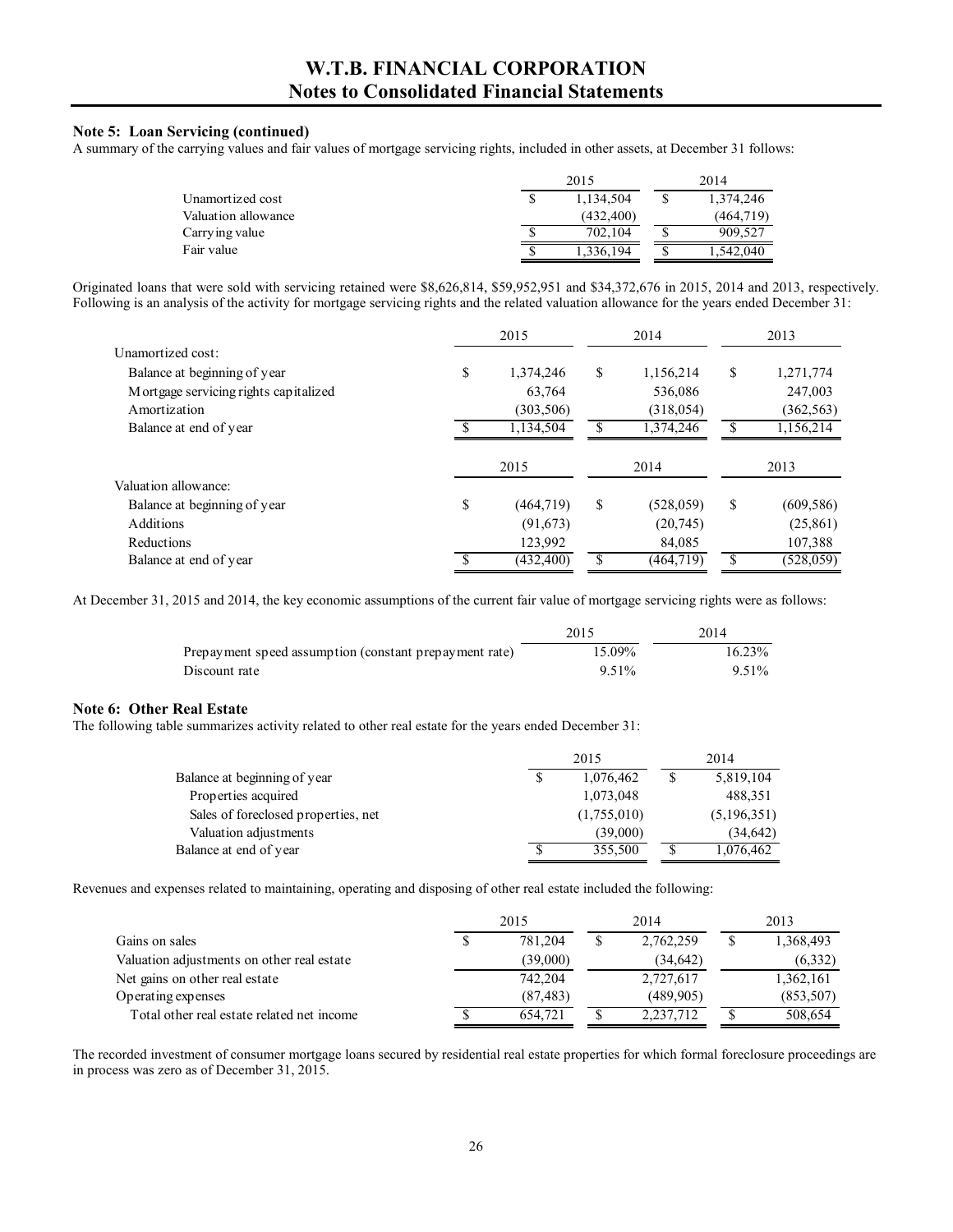#### **Note 5: Loan Servicing (continued)**

A summary of the carrying values and fair values of mortgage servicing rights, included in other assets, at December 31 follows:

|                     | 2015 |            |  | 2014      |
|---------------------|------|------------|--|-----------|
| Unamortized cost    |      | 1.134.504  |  | 1,374,246 |
| Valuation allowance |      | (432, 400) |  | (464,719) |
| Carry ing value     |      | 702,104    |  | 909.527   |
| Fair value          |      | 1.336.194  |  | 1,542,040 |

Originated loans that were sold with servicing retained were \$8,626,814, \$59,952,951 and \$34,372,676 in 2015, 2014 and 2013, respectively. Following is an analysis of the activity for mortgage servicing rights and the related valuation allowance for the years ended December 31:

|                                        | 2015             | 2014             | 2013             |
|----------------------------------------|------------------|------------------|------------------|
| Unamortized cost:                      |                  |                  |                  |
| Balance at beginning of year           | \$<br>1,374,246  | \$<br>1,156,214  | \$<br>1,271,774  |
| M ortgage servicing rights capitalized | 63,764           | 536,086          | 247,003          |
| Amortization                           | (303, 506)       | (318, 054)       | (362, 563)       |
| Balance at end of year                 | 1,134,504        | 1,374,246        | 1,156,214        |
|                                        | 2015             | 2014             | 2013             |
| Valuation allowance:                   |                  |                  |                  |
| Balance at beginning of year           | \$<br>(464, 719) | \$<br>(528, 059) | \$<br>(609, 586) |
| Additions                              | (91,673)         | (20, 745)        | (25, 861)        |
| Reductions                             | 123,992          | 84,085           | 107,388          |
| Balance at end of year                 | (432, 400)       | (464, 719)       | (528, 059)       |

At December 31, 2015 and 2014, the key economic assumptions of the current fair value of mortgage servicing rights were as follows:

|                                                        | 2015     | 2014      |
|--------------------------------------------------------|----------|-----------|
| Prepayment speed assumption (constant prepayment rate) | 15.09%   | $16.23\%$ |
| Discount rate                                          | $9.51\%$ | 9.51%     |

#### **Note 6: Other Real Estate**

The following table summarizes activity related to other real estate for the years ended December 31:

|                                     | 2015        | 2014 |               |  |
|-------------------------------------|-------------|------|---------------|--|
| Balance at beginning of year        | 1,076,462   |      | 5,819,104     |  |
| Properties acquired                 | 1,073,048   |      | 488,351       |  |
| Sales of foreclosed properties, net | (1,755,010) |      | (5, 196, 351) |  |
| Valuation adjustments               | (39,000)    |      | (34, 642)     |  |
| Balance at end of year              | 355,500     |      | 1,076,462     |  |

Revenues and expenses related to maintaining, operating and disposing of other real estate included the following:

|                                            | 2015 |           | 2014 |           | 2013 |            |
|--------------------------------------------|------|-----------|------|-----------|------|------------|
| Gains on sales                             | S    | 781,204   |      | 2,762,259 |      | 1,368,493  |
| Valuation adjustments on other real estate |      | (39,000)  |      | (34, 642) |      | (6,332)    |
| Net gains on other real estate             |      | 742,204   |      | 2,727,617 |      | 1,362,161  |
| Operating expenses                         |      | (87, 483) |      | (489,905) |      | (853, 507) |
| Total other real estate related net income |      | 654,721   |      | 2,237,712 |      | 508,654    |

The recorded investment of consumer mortgage loans secured by residential real estate properties for which formal foreclosure proceedings are in process was zero as of December 31, 2015.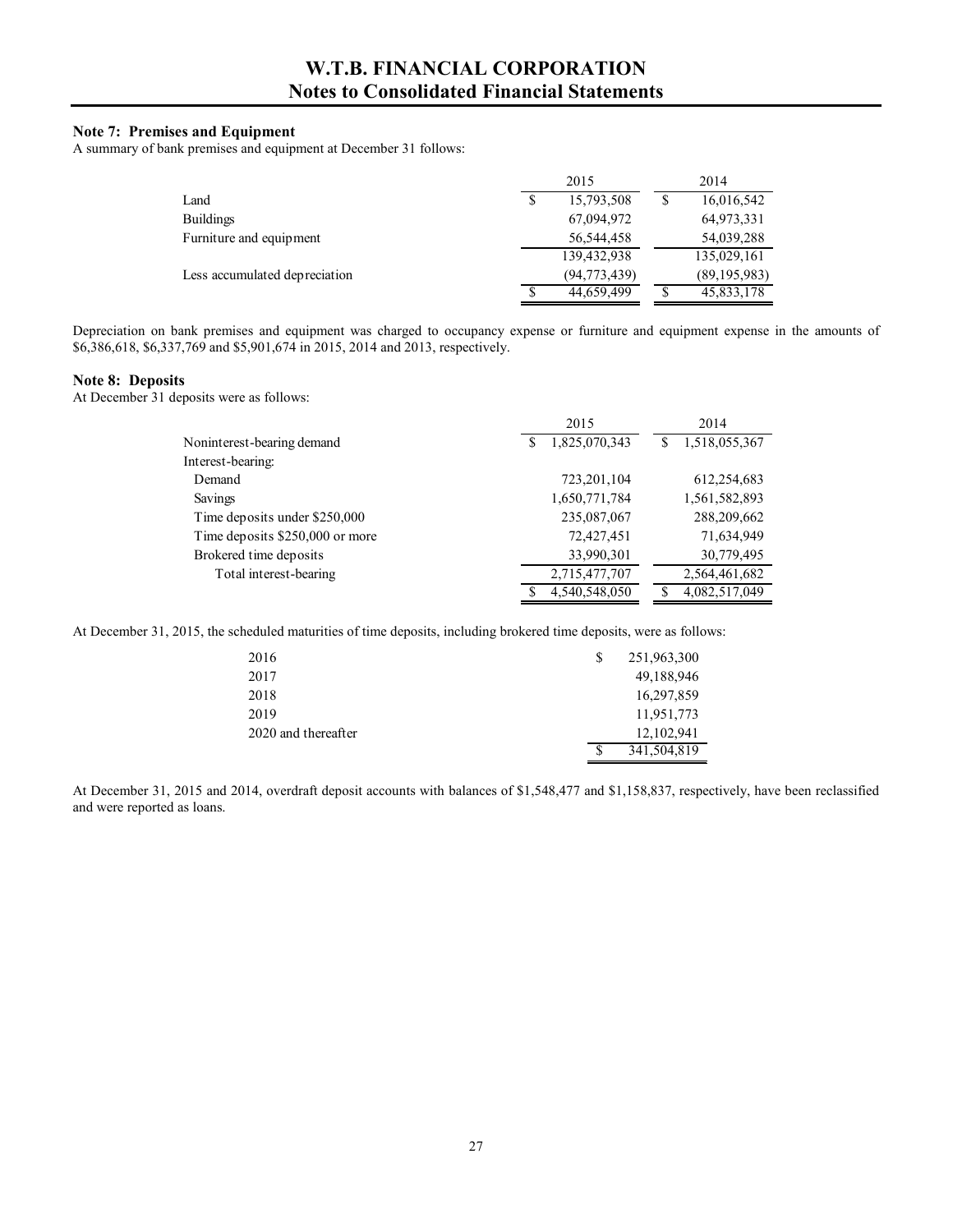#### **Note 7: Premises and Equipment**

A summary of bank premises and equipment at December 31 follows:

|                               | 2015 |                |   | 2014           |  |  |
|-------------------------------|------|----------------|---|----------------|--|--|
| Land                          | S    | 15,793,508     | S | 16,016,542     |  |  |
| <b>Buildings</b>              |      | 67,094,972     |   | 64,973,331     |  |  |
| Furniture and equipment       |      | 56, 544, 458   |   | 54,039,288     |  |  |
|                               |      | 139,432,938    |   | 135,029,161    |  |  |
| Less accumulated depreciation |      | (94, 773, 439) |   | (89, 195, 983) |  |  |
|                               |      | 44,659,499     |   | 45,833,178     |  |  |

Depreciation on bank premises and equipment was charged to occupancy expense or furniture and equipment expense in the amounts of \$6,386,618, \$6,337,769 and \$5,901,674 in 2015, 2014 and 2013, respectively.

#### **Note 8: Deposits**

At December 31 deposits were as follows:

|                                 | 2015               | 2014          |  |  |
|---------------------------------|--------------------|---------------|--|--|
| Noninterest-bearing demand      | 1,825,070,343<br>S | 1,518,055,367 |  |  |
| Interest-bearing:               |                    |               |  |  |
| Demand                          | 723, 201, 104      | 612,254,683   |  |  |
| Savings                         | 1,650,771,784      | 1,561,582,893 |  |  |
| Time deposits under \$250,000   | 235,087,067        | 288,209,662   |  |  |
| Time deposits \$250,000 or more | 72,427,451         | 71,634,949    |  |  |
| Brokered time deposits          | 33,990,301         | 30,779,495    |  |  |
| Total interest-bearing          | 2,715,477,707      | 2,564,461,682 |  |  |
|                                 | 4.540.548.050      | 4,082,517,049 |  |  |

At December 31, 2015, the scheduled maturities of time deposits, including brokered time deposits, were as follows:

| 2016                | 251,963,300  |
|---------------------|--------------|
| 2017                | 49,188,946   |
| 2018                | 16,297,859   |
| 2019                | 11,951,773   |
| 2020 and thereafter | 12, 102, 941 |
|                     | 341,504,819  |

At December 31, 2015 and 2014, overdraft deposit accounts with balances of \$1,548,477 and \$1,158,837, respectively, have been reclassified and were reported as loans.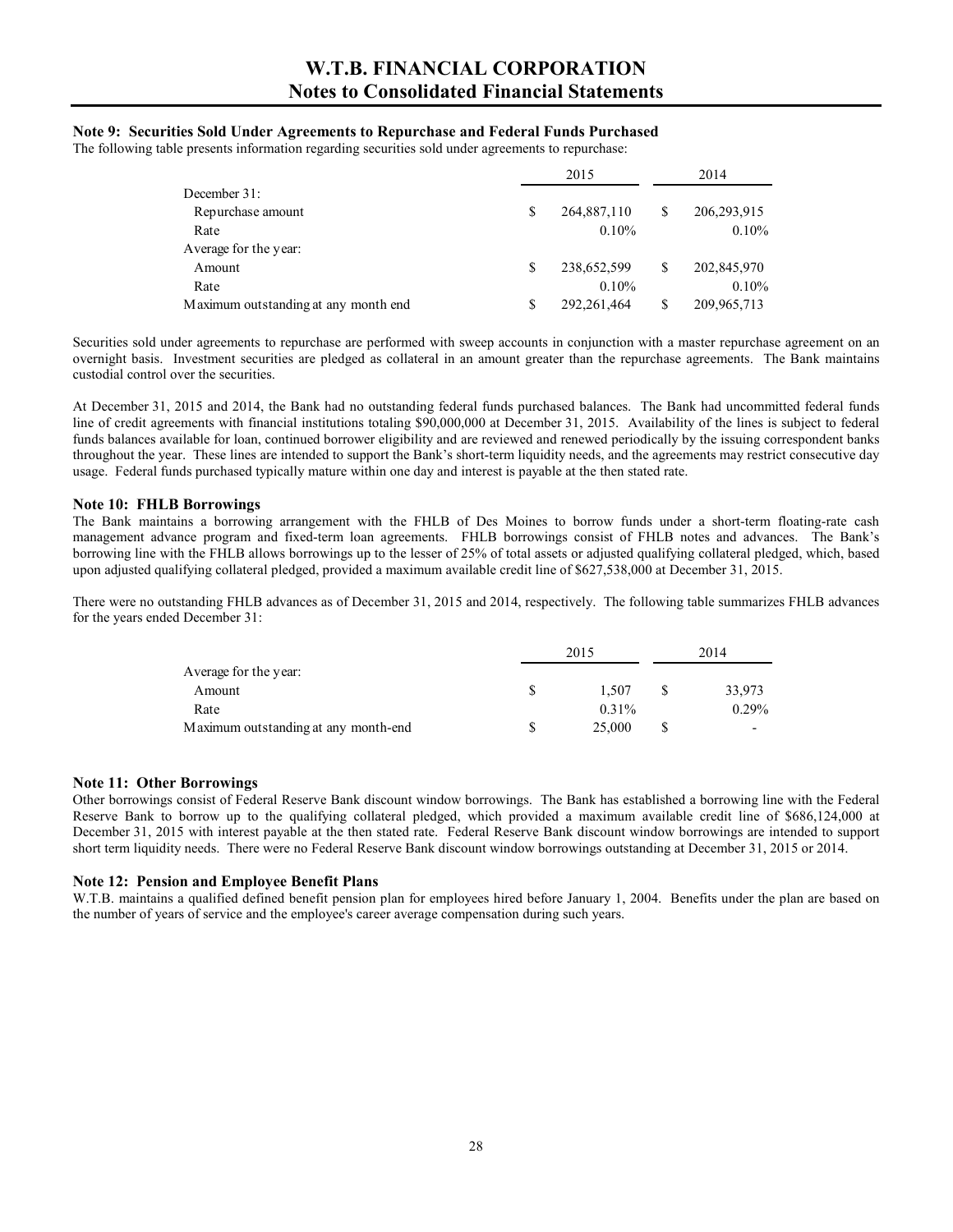#### **Note 9: Securities Sold Under Agreements to Repurchase and Federal Funds Purchased**

The following table presents information regarding securities sold under agreements to repurchase:

|                                      | 2015 |               |   | 2014          |  |
|--------------------------------------|------|---------------|---|---------------|--|
| December 31:                         |      |               |   |               |  |
| Repurchase amount                    |      | 264,887,110   | S | 206, 293, 915 |  |
| Rate                                 |      | $0.10\%$      |   | $0.10\%$      |  |
| Average for the year:                |      |               |   |               |  |
| Amount                               | S    | 238,652,599   | S | 202,845,970   |  |
| Rate                                 |      | 0.10%         |   | 0.10%         |  |
| Maximum outstanding at any month end | S    | 292, 261, 464 | S | 209, 965, 713 |  |

Securities sold under agreements to repurchase are performed with sweep accounts in conjunction with a master repurchase agreement on an overnight basis. Investment securities are pledged as collateral in an amount greater than the repurchase agreements. The Bank maintains custodial control over the securities.

At December 31, 2015 and 2014, the Bank had no outstanding federal funds purchased balances. The Bank had uncommitted federal funds line of credit agreements with financial institutions totaling \$90,000,000 at December 31, 2015. Availability of the lines is subject to federal funds balances available for loan, continued borrower eligibility and are reviewed and renewed periodically by the issuing correspondent banks throughout the year. These lines are intended to support the Bank's short-term liquidity needs, and the agreements may restrict consecutive day usage. Federal funds purchased typically mature within one day and interest is payable at the then stated rate.

#### **Note 10: FHLB Borrowings**

The Bank maintains a borrowing arrangement with the FHLB of Des Moines to borrow funds under a short-term floating-rate cash management advance program and fixed-term loan agreements. FHLB borrowings consist of FHLB notes and advances. The Bank's borrowing line with the FHLB allows borrowings up to the lesser of 25% of total assets or adjusted qualifying collateral pledged, which, based upon adjusted qualifying collateral pledged, provided a maximum available credit line of \$627,538,000 at December 31, 2015.

There were no outstanding FHLB advances as of December 31, 2015 and 2014, respectively. The following table summarizes FHLB advances for the years ended December 31:

|                                      | 2015 | 2014     |        |
|--------------------------------------|------|----------|--------|
| Average for the year:                |      |          |        |
| Amount                               |      | 1.507    | 33,973 |
| Rate                                 |      | $0.31\%$ | 0.29%  |
| Maximum outstanding at any month-end |      | 25,000   |        |

#### **Note 11: Other Borrowings**

Other borrowings consist of Federal Reserve Bank discount window borrowings. The Bank has established a borrowing line with the Federal Reserve Bank to borrow up to the qualifying collateral pledged, which provided a maximum available credit line of \$686,124,000 at December 31, 2015 with interest payable at the then stated rate. Federal Reserve Bank discount window borrowings are intended to support short term liquidity needs. There were no Federal Reserve Bank discount window borrowings outstanding at December 31, 2015 or 2014.

#### **Note 12: Pension and Employee Benefit Plans**

W.T.B. maintains a qualified defined benefit pension plan for employees hired before January 1, 2004. Benefits under the plan are based on the number of years of service and the employee's career average compensation during such years.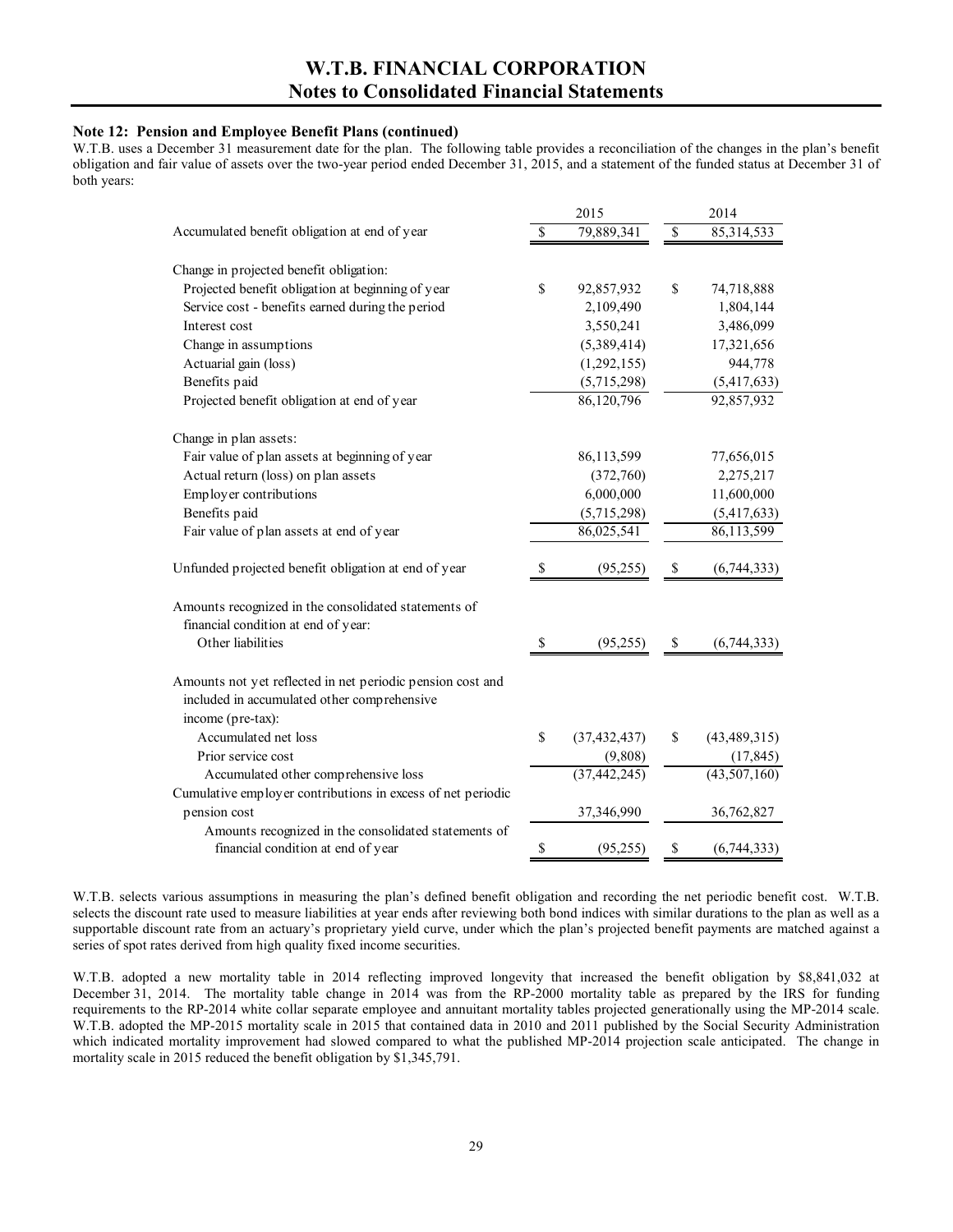#### **Note 12: Pension and Employee Benefit Plans (continued)**

W.T.B. uses a December 31 measurement date for the plan. The following table provides a reconciliation of the changes in the plan's benefit obligation and fair value of assets over the two-year period ended December 31, 2015, and a statement of the funded status at December 31 of both years:

|                                                             |    | 2015           |                         | 2014           |
|-------------------------------------------------------------|----|----------------|-------------------------|----------------|
| Accumulated benefit obligation at end of year               | \$ | 79,889,341     | $\overline{\mathbb{S}}$ | 85, 314, 533   |
| Change in projected benefit obligation:                     |    |                |                         |                |
| Projected benefit obligation at beginning of year           | \$ | 92,857,932     | \$                      | 74,718,888     |
| Service cost - benefits earned during the period            |    | 2,109,490      |                         | 1,804,144      |
| Interest cost                                               |    | 3,550,241      |                         | 3,486,099      |
| Change in assumptions                                       |    | (5,389,414)    |                         | 17,321,656     |
| Actuarial gain (loss)                                       |    | (1,292,155)    |                         | 944,778        |
| Benefits paid                                               |    | (5,715,298)    |                         | (5,417,633)    |
| Projected benefit obligation at end of year                 |    | 86,120,796     |                         | 92,857,932     |
| Change in plan assets:                                      |    |                |                         |                |
| Fair value of plan assets at beginning of year              |    | 86,113,599     |                         | 77,656,015     |
| Actual return (loss) on plan assets                         |    | (372,760)      |                         | 2,275,217      |
| Employer contributions                                      |    | 6,000,000      |                         | 11,600,000     |
| Benefits paid                                               |    | (5,715,298)    |                         | (5,417,633)    |
| Fair value of plan assets at end of year                    |    | 86,025,541     |                         | 86,113,599     |
| Unfunded projected benefit obligation at end of year        | S  | (95, 255)      | \$                      | (6,744,333)    |
| Amounts recognized in the consolidated statements of        |    |                |                         |                |
| financial condition at end of year:                         |    |                |                         |                |
| Other liabilities                                           | \$ | (95,255)       | \$                      | (6,744,333)    |
| Amounts not yet reflected in net periodic pension cost and  |    |                |                         |                |
| included in accumulated other comprehensive                 |    |                |                         |                |
| income (pre-tax):                                           |    |                |                         |                |
| Accumulated net loss                                        | \$ | (37, 432, 437) | \$                      | (43, 489, 315) |
| Prior service cost                                          |    | (9,808)        |                         | (17, 845)      |
| Accumulated other comprehensive loss                        |    | (37, 442, 245) |                         | (43,507,160)   |
| Cumulative employer contributions in excess of net periodic |    |                |                         |                |
| pension cost                                                |    | 37,346,990     |                         | 36,762,827     |
| Amounts recognized in the consolidated statements of        |    |                |                         |                |
| financial condition at end of year                          | \$ | (95,255)       | \$                      | (6,744,333)    |

W.T.B. selects various assumptions in measuring the plan's defined benefit obligation and recording the net periodic benefit cost. W.T.B. selects the discount rate used to measure liabilities at year ends after reviewing both bond indices with similar durations to the plan as well as a supportable discount rate from an actuary's proprietary yield curve, under which the plan's projected benefit payments are matched against a series of spot rates derived from high quality fixed income securities.

W.T.B. adopted a new mortality table in 2014 reflecting improved longevity that increased the benefit obligation by \$8,841,032 at December 31, 2014. The mortality table change in 2014 was from the RP-2000 mortality table as prepared by the IRS for funding requirements to the RP-2014 white collar separate employee and annuitant mortality tables projected generationally using the MP-2014 scale. W.T.B. adopted the MP-2015 mortality scale in 2015 that contained data in 2010 and 2011 published by the Social Security Administration which indicated mortality improvement had slowed compared to what the published MP-2014 projection scale anticipated. The change in mortality scale in 2015 reduced the benefit obligation by \$1,345,791.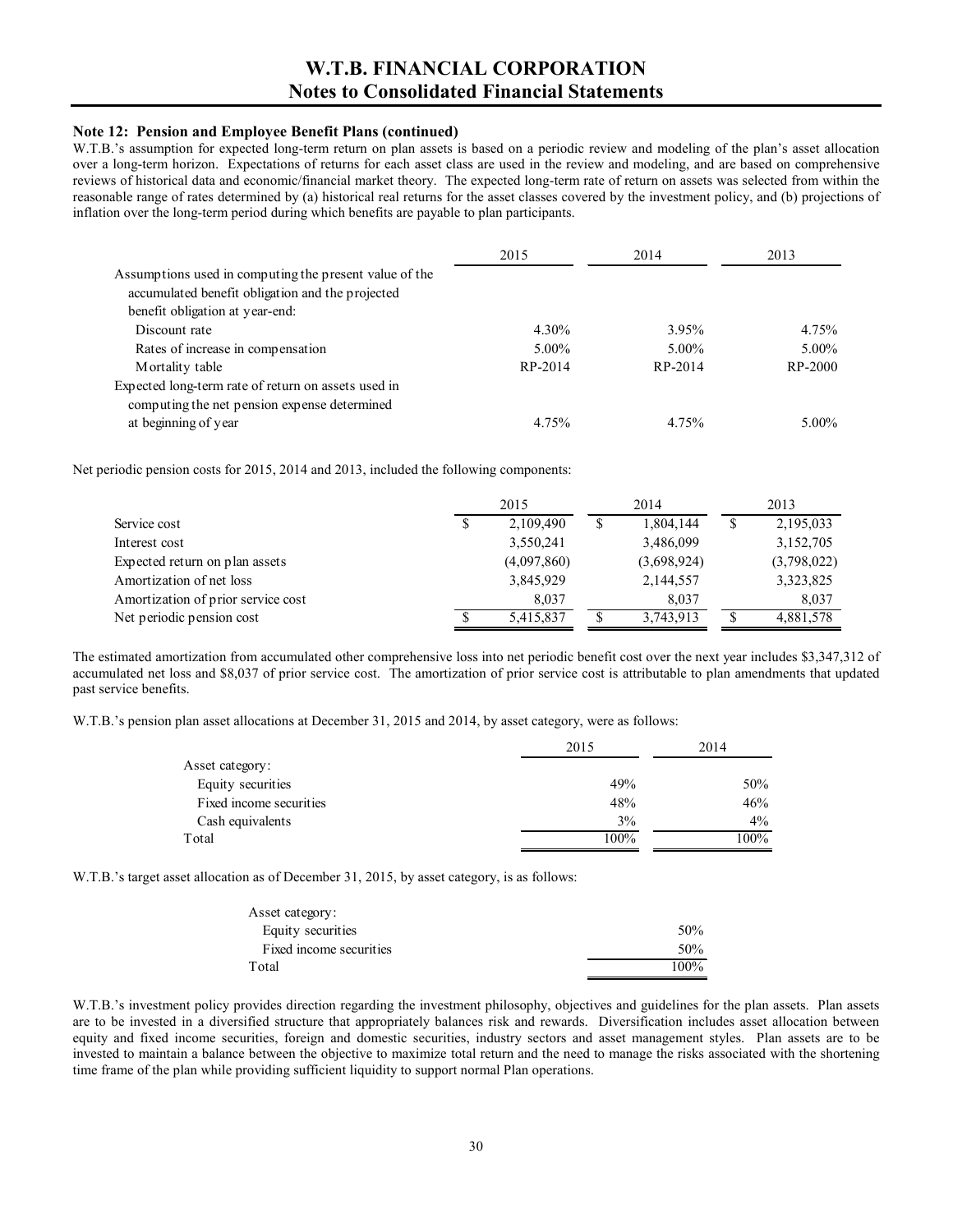#### **Note 12: Pension and Employee Benefit Plans (continued)**

W.T.B.'s assumption for expected long-term return on plan assets is based on a periodic review and modeling of the plan's asset allocation over a long-term horizon. Expectations of returns for each asset class are used in the review and modeling, and are based on comprehensive reviews of historical data and economic/financial market theory. The expected long-term rate of return on assets was selected from within the reasonable range of rates determined by (a) historical real returns for the asset classes covered by the investment policy, and (b) projections of inflation over the long-term period during which benefits are payable to plan participants.

|                                                                                                            | 2015    | 2014    | 2013     |  |
|------------------------------------------------------------------------------------------------------------|---------|---------|----------|--|
| Assumptions used in computing the present value of the<br>accumulated benefit obligation and the projected |         |         |          |  |
| benefit obligation at year-end:                                                                            |         |         |          |  |
| Discount rate                                                                                              | 4.30%   | 3.95%   | 4.75%    |  |
| Rates of increase in compensation                                                                          | 5.00%   | 5.00%   | 5.00%    |  |
| Mortality table                                                                                            | RP-2014 | RP-2014 | RP-2000  |  |
| Expected long-term rate of return on assets used in<br>computing the net pension expense determined        |         |         |          |  |
| at beginning of year                                                                                       | 4.75%   | 4.75%   | $5.00\%$ |  |

Net periodic pension costs for 2015, 2014 and 2013, included the following components:

|                                    | 2015 |             |    | 2014        | 2013 |             |
|------------------------------------|------|-------------|----|-------------|------|-------------|
| Service cost                       | S    | 2,109,490   | \$ | 1,804,144   | S    | 2,195,033   |
| Interest cost                      |      | 3,550,241   |    | 3,486,099   |      | 3,152,705   |
| Expected return on plan assets     |      | (4,097,860) |    | (3,698,924) |      | (3,798,022) |
| Amortization of net loss           |      | 3,845,929   |    | 2,144,557   |      | 3,323,825   |
| Amortization of prior service cost |      | 8.037       |    | 8.037       |      | 8.037       |
| Net periodic pension cost          |      | 5.415.837   |    | 3.743.913   |      | 4,881,578   |

The estimated amortization from accumulated other comprehensive loss into net periodic benefit cost over the next year includes \$3,347,312 of accumulated net loss and \$8,037 of prior service cost. The amortization of prior service cost is attributable to plan amendments that updated past service benefits.

W.T.B.'s pension plan asset allocations at December 31, 2015 and 2014, by asset category, were as follows:

|                         | 2015 | 2014  |  |
|-------------------------|------|-------|--|
| Asset category:         |      |       |  |
| Equity securities       | 49%  | 50%   |  |
| Fixed income securities | 48%  | 46%   |  |
| Cash equivalents        | 3%   | $4\%$ |  |
| Total                   | 100% | 100%  |  |

W.T.B.'s target asset allocation as of December 31, 2015, by asset category, is as follows:

| Asset category:         |         |
|-------------------------|---------|
| Equity securities       | 50%     |
| Fixed income securities | 50%     |
| Total                   | $100\%$ |

W.T.B.'s investment policy provides direction regarding the investment philosophy, objectives and guidelines for the plan assets. Plan assets are to be invested in a diversified structure that appropriately balances risk and rewards. Diversification includes asset allocation between equity and fixed income securities, foreign and domestic securities, industry sectors and asset management styles. Plan assets are to be invested to maintain a balance between the objective to maximize total return and the need to manage the risks associated with the shortening time frame of the plan while providing sufficient liquidity to support normal Plan operations.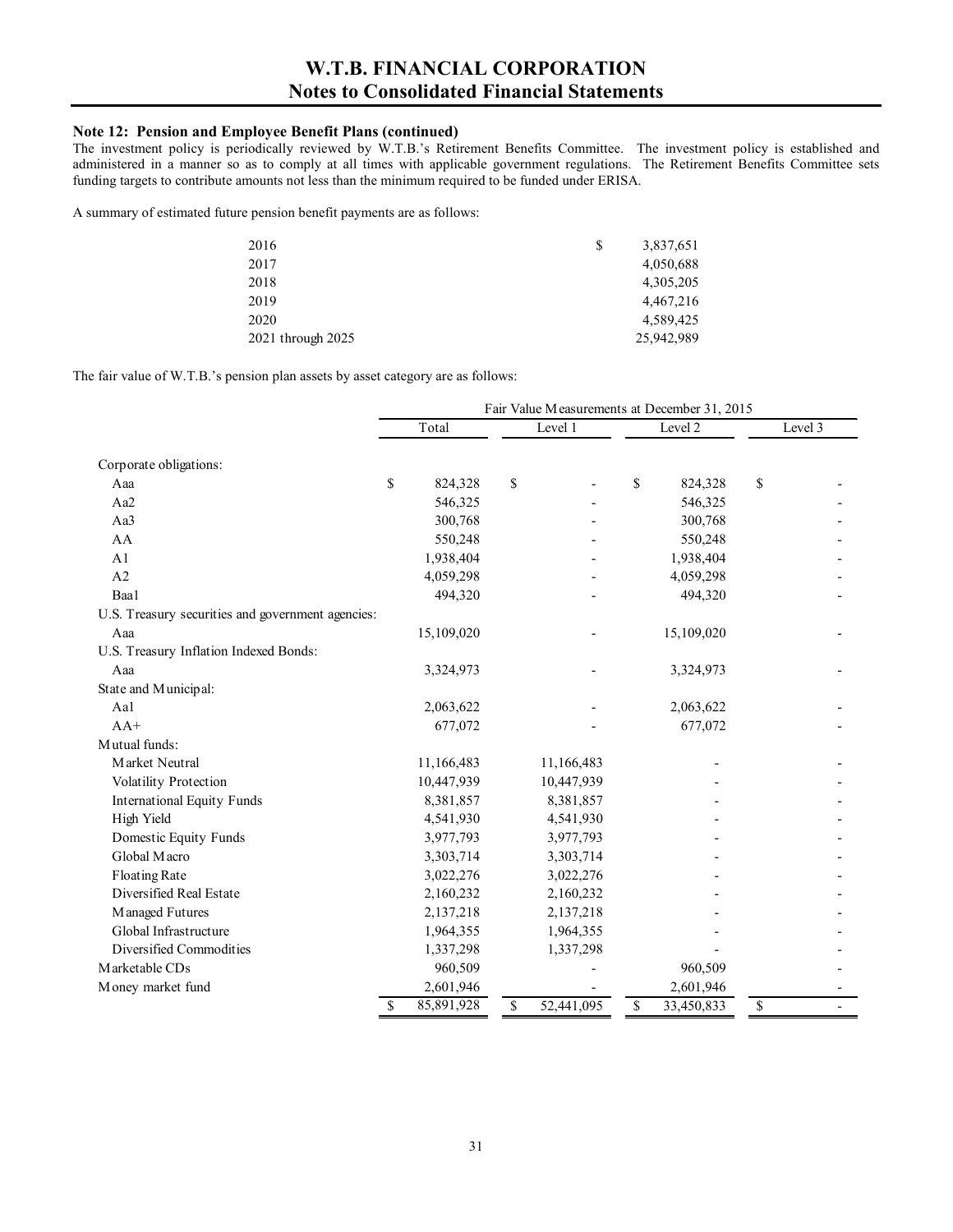#### **Note 12: Pension and Employee Benefit Plans (continued)**

The investment policy is periodically reviewed by W.T.B.'s Retirement Benefits Committee. The investment policy is established and administered in a manner so as to comply at all times with applicable government regulations. The Retirement Benefits Committee sets funding targets to contribute amounts not less than the minimum required to be funded under ERISA.

A summary of estimated future pension benefit payments are as follows:

| 2016              | S | 3,837,651  |
|-------------------|---|------------|
| 2017              |   | 4,050,688  |
| 2018              |   | 4,305,205  |
| 2019              |   | 4,467,216  |
| 2020              |   | 4,589,425  |
| 2021 through 2025 |   | 25,942,989 |

The fair value of W.T.B.'s pension plan assets by asset category are as follows:

|                                                   | Fair Value M easurements at December 31, 2015 |            |    |            |    |            |    |         |
|---------------------------------------------------|-----------------------------------------------|------------|----|------------|----|------------|----|---------|
|                                                   |                                               | Total      |    | Level 1    |    | Level 2    |    | Level 3 |
| Corporate obligations:                            |                                               |            |    |            |    |            |    |         |
| Aaa                                               | \$                                            | 824,328    | \$ |            | \$ | 824,328    | \$ |         |
| Aa2                                               |                                               | 546,325    |    |            |    | 546,325    |    |         |
| Aa3                                               |                                               | 300,768    |    |            |    | 300,768    |    |         |
| AA                                                |                                               | 550,248    |    |            |    | 550,248    |    |         |
| A <sub>1</sub>                                    |                                               | 1,938,404  |    |            |    | 1,938,404  |    |         |
| A2                                                |                                               | 4,059,298  |    |            |    | 4,059,298  |    |         |
| Baa1                                              |                                               | 494,320    |    |            |    | 494,320    |    |         |
| U.S. Treasury securities and government agencies: |                                               |            |    |            |    |            |    |         |
| Aaa                                               |                                               | 15,109,020 |    |            |    | 15,109,020 |    |         |
| U.S. Treasury Inflation Indexed Bonds:            |                                               |            |    |            |    |            |    |         |
| Aaa                                               |                                               | 3,324,973  |    |            |    | 3,324,973  |    |         |
| State and Municipal:                              |                                               |            |    |            |    |            |    |         |
| Aa1                                               |                                               | 2,063,622  |    |            |    | 2,063,622  |    |         |
| $AA+$                                             |                                               | 677,072    |    |            |    | 677,072    |    |         |
| Mutual funds:                                     |                                               |            |    |            |    |            |    |         |
| Market Neutral                                    |                                               | 11,166,483 |    | 11,166,483 |    |            |    |         |
| Volatility Protection                             |                                               | 10,447,939 |    | 10,447,939 |    |            |    |         |
| <b>International Equity Funds</b>                 |                                               | 8,381,857  |    | 8,381,857  |    |            |    |         |
| High Yield                                        |                                               | 4,541,930  |    | 4,541,930  |    |            |    |         |
| Domestic Equity Funds                             |                                               | 3,977,793  |    | 3,977,793  |    |            |    |         |
| Global Macro                                      |                                               | 3,303,714  |    | 3,303,714  |    |            |    |         |
| Floating Rate                                     |                                               | 3,022,276  |    | 3,022,276  |    |            |    |         |
| Diversified Real Estate                           |                                               | 2,160,232  |    | 2,160,232  |    |            |    |         |
| Managed Futures                                   |                                               | 2,137,218  |    | 2,137,218  |    |            |    |         |
| Global Infrastructure                             |                                               | 1,964,355  |    | 1,964,355  |    |            |    |         |
| Diversified Commodities                           |                                               | 1,337,298  |    | 1,337,298  |    |            |    |         |
| Marketable CDs                                    |                                               | 960,509    |    |            |    | 960,509    |    |         |
| Money market fund                                 |                                               | 2,601,946  |    |            |    | 2,601,946  |    |         |
|                                                   | \$                                            | 85,891,928 | \$ | 52,441,095 | \$ | 33,450,833 | \$ |         |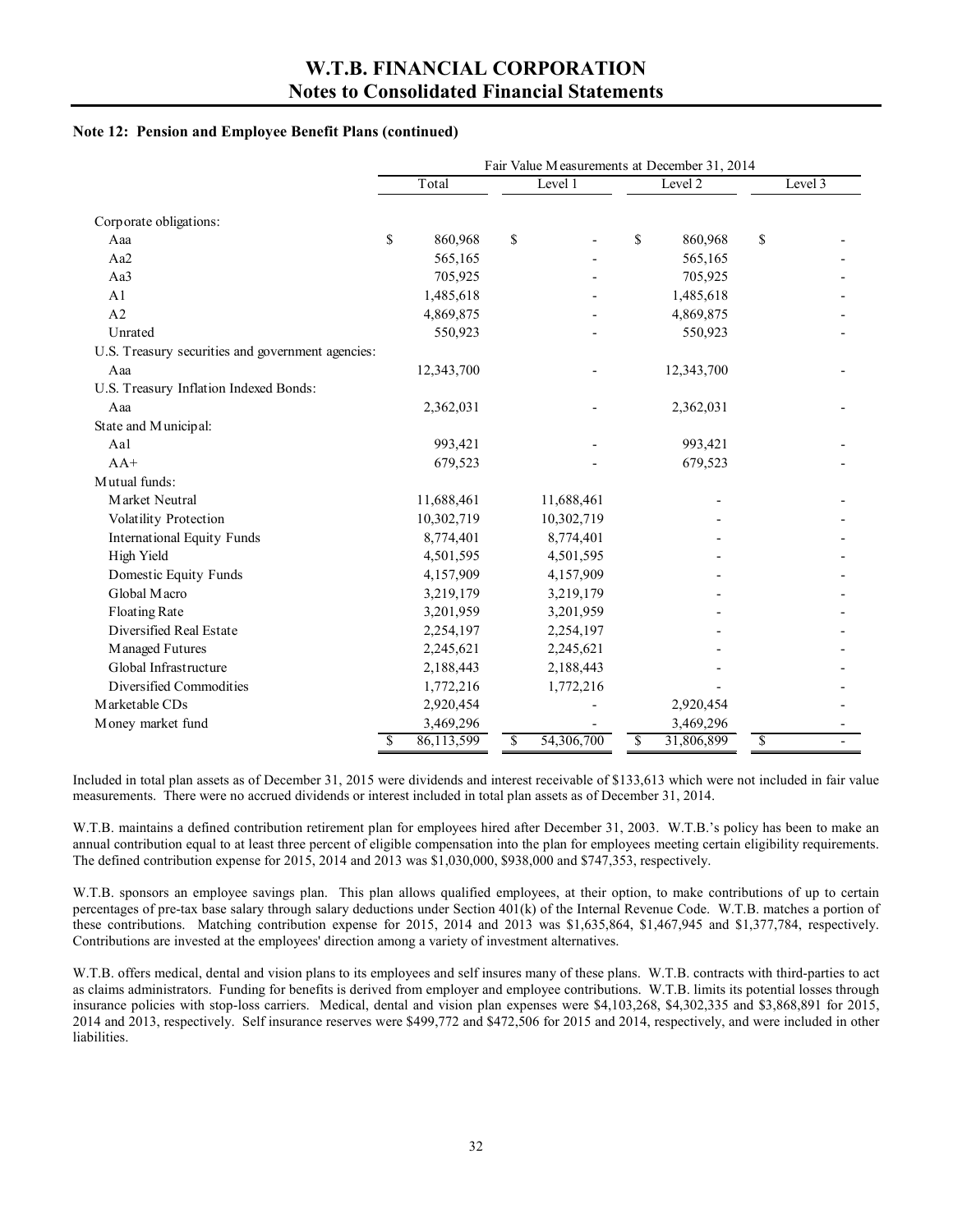#### **Note 12: Pension and Employee Benefit Plans (continued)**

|                                                   | Fair Value M easurements at December 31, 2014 |            |         |            |    |            |    |         |
|---------------------------------------------------|-----------------------------------------------|------------|---------|------------|----|------------|----|---------|
|                                                   |                                               | Total      | Level 1 |            |    | Level 2    |    | Level 3 |
|                                                   |                                               |            |         |            |    |            |    |         |
| Corporate obligations:<br>Aaa                     | \$                                            | 860,968    | \$      |            | \$ |            | \$ |         |
| Aa2                                               |                                               |            |         |            |    | 860,968    |    |         |
|                                                   |                                               | 565,165    |         |            |    | 565,165    |    |         |
| Aa3                                               |                                               | 705,925    |         |            |    | 705,925    |    |         |
| A <sub>1</sub>                                    |                                               | 1,485,618  |         |            |    | 1,485,618  |    |         |
| A2                                                |                                               | 4,869,875  |         |            |    | 4,869,875  |    |         |
| Unrated                                           |                                               | 550,923    |         |            |    | 550,923    |    |         |
| U.S. Treasury securities and government agencies: |                                               |            |         |            |    |            |    |         |
| Aaa                                               |                                               | 12,343,700 |         |            |    | 12,343,700 |    |         |
| U.S. Treasury Inflation Indexed Bonds:            |                                               |            |         |            |    |            |    |         |
| Aaa                                               |                                               | 2,362,031  |         |            |    | 2,362,031  |    |         |
| State and Municipal:                              |                                               |            |         |            |    |            |    |         |
| Aal                                               |                                               | 993,421    |         |            |    | 993,421    |    |         |
| $AA+$                                             |                                               | 679,523    |         |            |    | 679,523    |    |         |
| Mutual funds:                                     |                                               |            |         |            |    |            |    |         |
| Market Neutral                                    |                                               | 11,688,461 |         | 11,688,461 |    |            |    |         |
| Volatility Protection                             |                                               | 10,302,719 |         | 10,302,719 |    |            |    |         |
| <b>International Equity Funds</b>                 |                                               | 8,774,401  |         | 8,774,401  |    |            |    |         |
| High Yield                                        |                                               | 4,501,595  |         | 4,501,595  |    |            |    |         |
| Domestic Equity Funds                             |                                               | 4,157,909  |         | 4,157,909  |    |            |    |         |
| Global Macro                                      |                                               | 3,219,179  |         | 3,219,179  |    |            |    |         |
| Floating Rate                                     |                                               | 3,201,959  |         | 3,201,959  |    |            |    |         |
| Diversified Real Estate                           |                                               | 2,254,197  |         | 2,254,197  |    |            |    |         |
| Managed Futures                                   |                                               | 2,245,621  |         | 2,245,621  |    |            |    |         |
| Global Infrastructure                             |                                               | 2,188,443  |         | 2,188,443  |    |            |    |         |
| Diversified Commodities                           |                                               | 1,772,216  |         | 1,772,216  |    |            |    |         |
| Marketable CDs                                    |                                               | 2,920,454  |         |            |    | 2,920,454  |    |         |
| Money market fund                                 |                                               | 3,469,296  |         |            |    | 3,469,296  |    |         |
|                                                   | \$                                            | 86,113,599 | \$      | 54,306,700 | \$ | 31,806,899 | \$ |         |
|                                                   |                                               |            |         |            |    |            |    |         |

Included in total plan assets as of December 31, 2015 were dividends and interest receivable of \$133,613 which were not included in fair value measurements. There were no accrued dividends or interest included in total plan assets as of December 31, 2014.

W.T.B. maintains a defined contribution retirement plan for employees hired after December 31, 2003. W.T.B.'s policy has been to make an annual contribution equal to at least three percent of eligible compensation into the plan for employees meeting certain eligibility requirements. The defined contribution expense for 2015, 2014 and 2013 was \$1,030,000, \$938,000 and \$747,353, respectively.

W.T.B. sponsors an employee savings plan. This plan allows qualified employees, at their option, to make contributions of up to certain percentages of pre-tax base salary through salary deductions under Section 401(k) of the Internal Revenue Code. W.T.B. matches a portion of these contributions. Matching contribution expense for 2015, 2014 and 2013 was \$1,635,864, \$1,467,945 and \$1,377,784, respectively. Contributions are invested at the employees' direction among a variety of investment alternatives.

W.T.B. offers medical, dental and vision plans to its employees and self insures many of these plans. W.T.B. contracts with third-parties to act as claims administrators. Funding for benefits is derived from employer and employee contributions. W.T.B. limits its potential losses through insurance policies with stop-loss carriers. Medical, dental and vision plan expenses were \$4,103,268, \$4,302,335 and \$3,868,891 for 2015, 2014 and 2013, respectively. Self insurance reserves were \$499,772 and \$472,506 for 2015 and 2014, respectively, and were included in other liabilities.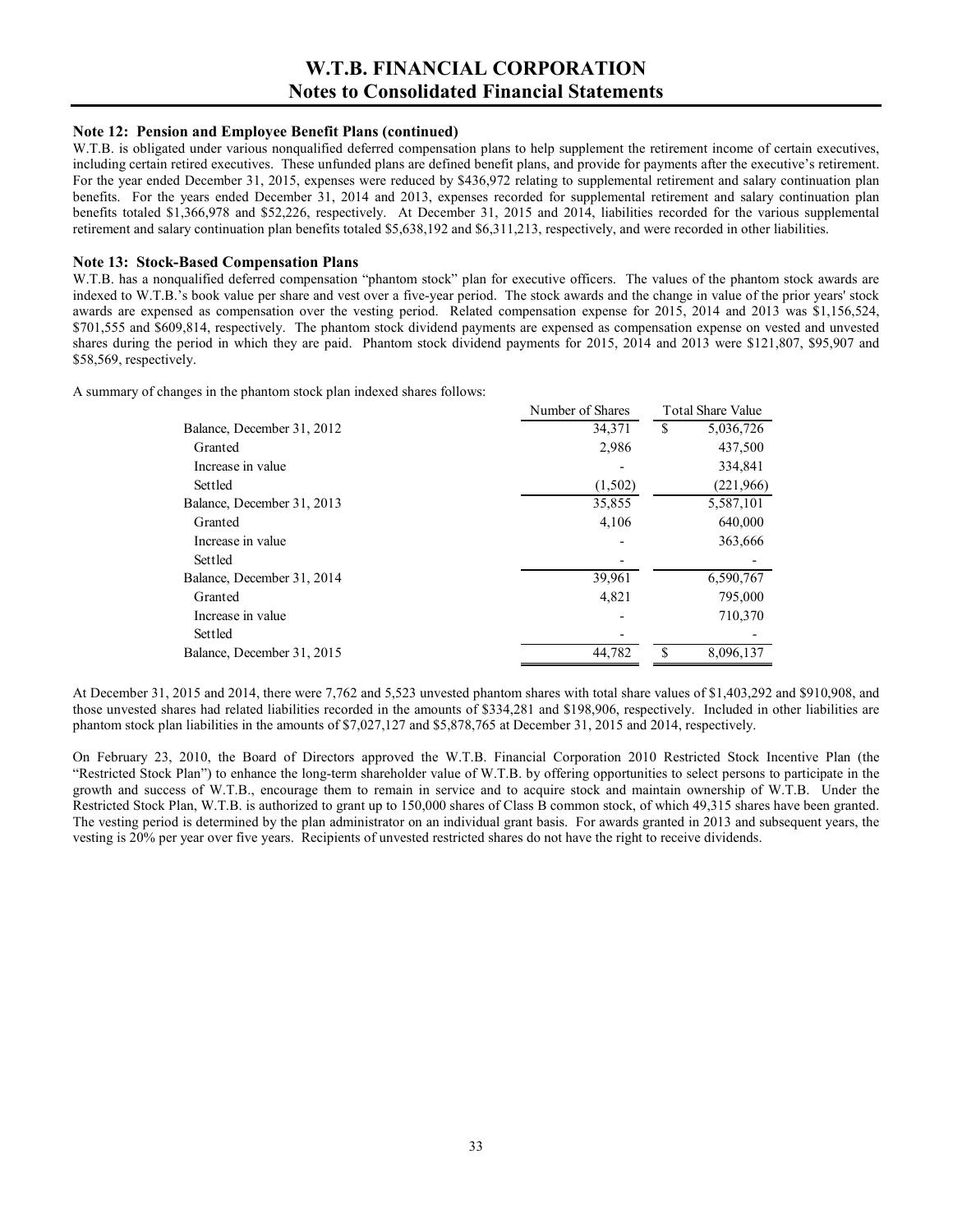#### **Note 12: Pension and Employee Benefit Plans (continued)**

W.T.B. is obligated under various nonqualified deferred compensation plans to help supplement the retirement income of certain executives, including certain retired executives. These unfunded plans are defined benefit plans, and provide for payments after the executive's retirement. For the year ended December 31, 2015, expenses were reduced by \$436,972 relating to supplemental retirement and salary continuation plan benefits. For the years ended December 31, 2014 and 2013, expenses recorded for supplemental retirement and salary continuation plan benefits totaled \$1,366,978 and \$52,226, respectively. At December 31, 2015 and 2014, liabilities recorded for the various supplemental retirement and salary continuation plan benefits totaled \$5,638,192 and \$6,311,213, respectively, and were recorded in other liabilities.

#### **Note 13: Stock-Based Compensation Plans**

W.T.B. has a nonqualified deferred compensation "phantom stock" plan for executive officers. The values of the phantom stock awards are indexed to W.T.B.'s book value per share and vest over a five-year period. The stock awards and the change in value of the prior years' stock awards are expensed as compensation over the vesting period. Related compensation expense for 2015, 2014 and 2013 was \$1,156,524, \$701,555 and \$609,814, respectively. The phantom stock dividend payments are expensed as compensation expense on vested and unvested shares during the period in which they are paid. Phantom stock dividend payments for 2015, 2014 and 2013 were \$121,807, \$95,907 and \$58,569, respectively.

A summary of changes in the phantom stock plan indexed shares follows:

|                            | Number of Shares | <b>Total Share Value</b> |           |  |
|----------------------------|------------------|--------------------------|-----------|--|
| Balance, December 31, 2012 | 34,371           | \$                       | 5,036,726 |  |
| Granted                    | 2,986            |                          | 437,500   |  |
| Increase in value          |                  |                          | 334,841   |  |
| Settled                    | (1,502)          |                          | (221,966) |  |
| Balance, December 31, 2013 | 35,855           |                          | 5,587,101 |  |
| Granted                    | 4,106            |                          | 640,000   |  |
| Increase in value          |                  |                          | 363,666   |  |
| Settled                    |                  |                          |           |  |
| Balance, December 31, 2014 | 39,961           |                          | 6,590,767 |  |
| Granted                    | 4,821            |                          | 795,000   |  |
| Increase in value          |                  |                          | 710,370   |  |
| Settled                    |                  |                          |           |  |
| Balance, December 31, 2015 | 44.782           | \$                       | 8,096,137 |  |

At December 31, 2015 and 2014, there were 7,762 and 5,523 unvested phantom shares with total share values of \$1,403,292 and \$910,908, and those unvested shares had related liabilities recorded in the amounts of \$334,281 and \$198,906, respectively. Included in other liabilities are phantom stock plan liabilities in the amounts of \$7,027,127 and \$5,878,765 at December 31, 2015 and 2014, respectively.

On February 23, 2010, the Board of Directors approved the W.T.B. Financial Corporation 2010 Restricted Stock Incentive Plan (the "Restricted Stock Plan") to enhance the long-term shareholder value of W.T.B. by offering opportunities to select persons to participate in the growth and success of W.T.B., encourage them to remain in service and to acquire stock and maintain ownership of W.T.B. Under the Restricted Stock Plan, W.T.B. is authorized to grant up to 150,000 shares of Class B common stock, of which 49,315 shares have been granted. The vesting period is determined by the plan administrator on an individual grant basis. For awards granted in 2013 and subsequent years, the vesting is 20% per year over five years. Recipients of unvested restricted shares do not have the right to receive dividends.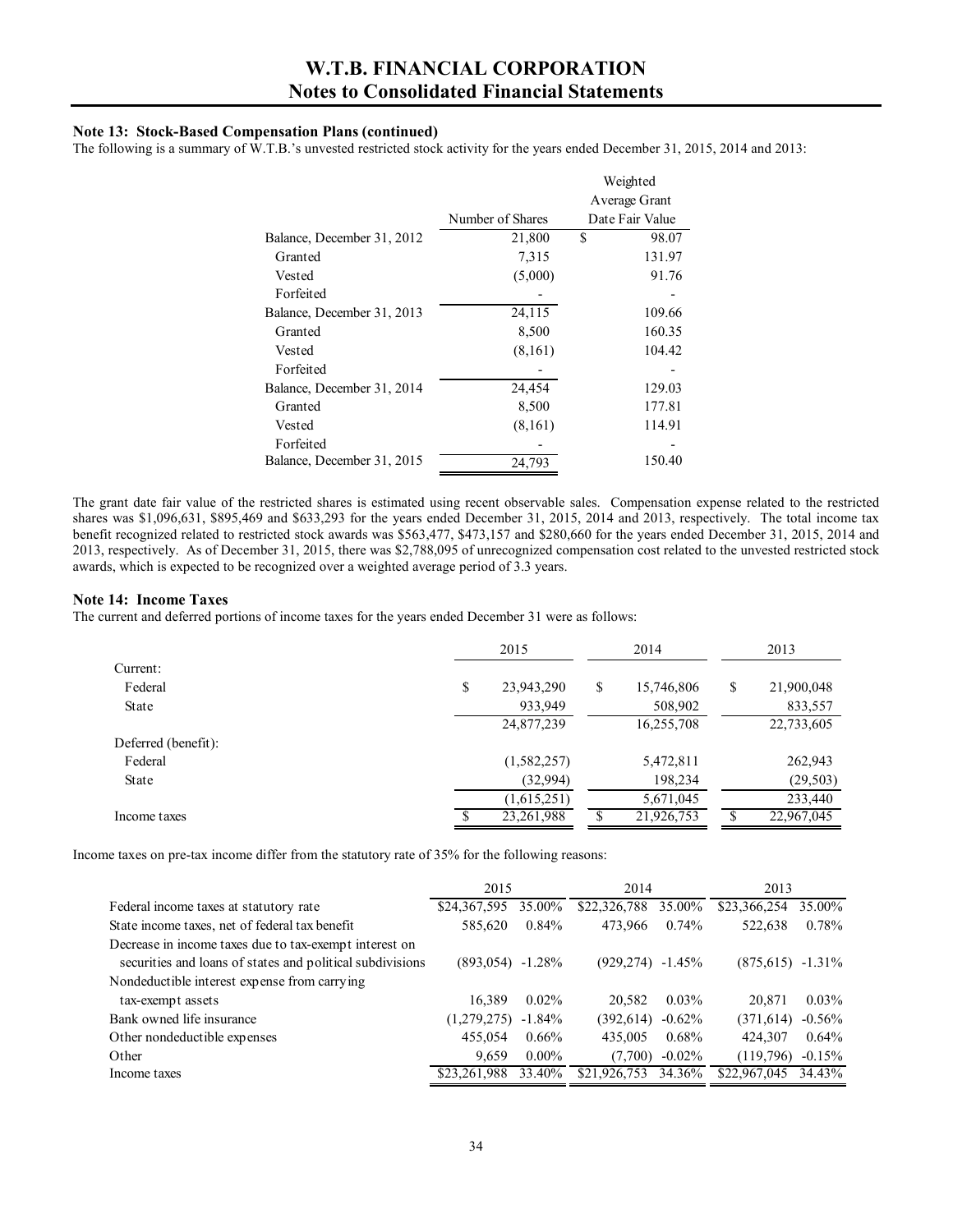#### **Note 13: Stock-Based Compensation Plans (continued)**

The following is a summary of W.T.B.'s unvested restricted stock activity for the years ended December 31, 2015, 2014 and 2013:

|                  | Weighted        |  |  |
|------------------|-----------------|--|--|
|                  | Average Grant   |  |  |
| Number of Shares | Date Fair Value |  |  |
| 21,800           | \$<br>98.07     |  |  |
| 7,315            | 131.97          |  |  |
| (5,000)          | 91.76           |  |  |
|                  |                 |  |  |
| 24,115           | 109.66          |  |  |
| 8,500            | 160.35          |  |  |
| (8,161)          | 104.42          |  |  |
|                  |                 |  |  |
| 24,454           | 129.03          |  |  |
| 8,500            | 177.81          |  |  |
| (8,161)          | 114.91          |  |  |
|                  |                 |  |  |
| 24,793           | 150.40          |  |  |
|                  |                 |  |  |

The grant date fair value of the restricted shares is estimated using recent observable sales. Compensation expense related to the restricted shares was \$1,096,631, \$895,469 and \$633,293 for the years ended December 31, 2015, 2014 and 2013, respectively. The total income tax benefit recognized related to restricted stock awards was \$563,477, \$473,157 and \$280,660 for the years ended December 31, 2015, 2014 and 2013, respectively. As of December 31, 2015, there was \$2,788,095 of unrecognized compensation cost related to the unvested restricted stock awards, which is expected to be recognized over a weighted average period of 3.3 years.

#### **Note 14: Income Taxes**

The current and deferred portions of income taxes for the years ended December 31 were as follows:

|                     | 2015 |              | 2014 |            | 2013 |            |
|---------------------|------|--------------|------|------------|------|------------|
| Current:            |      |              |      |            |      |            |
| Federal             | \$   | 23,943,290   | \$   | 15,746,806 | \$   | 21,900,048 |
| State               |      | 933,949      |      | 508,902    |      | 833,557    |
|                     |      | 24,877,239   |      | 16,255,708 |      | 22,733,605 |
| Deferred (benefit): |      |              |      |            |      |            |
| Federal             |      | (1,582,257)  |      | 5,472,811  |      | 262,943    |
| State               |      | (32,994)     |      | 198,234    |      | (29, 503)  |
|                     |      | (1,615,251)  |      | 5,671,045  |      | 233,440    |
| Income taxes        |      | 23, 261, 988 |      | 21,926,753 |      | 22,967,045 |

Income taxes on pre-tax income differ from the statutory rate of 35% for the following reasons:

|                                                           | 2015         |           | 2014         |           | 2013         |          |
|-----------------------------------------------------------|--------------|-----------|--------------|-----------|--------------|----------|
| Federal income taxes at statutory rate                    | \$24,367,595 | 35.00%    | \$22,326,788 | 35.00%    | \$23,366,254 | 35.00%   |
| State income taxes, net of federal tax benefit            | 585,620      | 0.84%     | 473,966      | $0.74\%$  | 522,638      | 0.78%    |
| Decrease in income taxes due to tax-exempt interest on    |              |           |              |           |              |          |
| securities and loans of states and political subdivisions | (893,054)    | $-1.28\%$ | (929, 274)   | $-1.45%$  | (875, 615)   | $-1.31%$ |
| Nondeductible interest expense from carrying              |              |           |              |           |              |          |
| tax-exempt assets                                         | 16.389       | $0.02\%$  | 20.582       | $0.03\%$  | 20,871       | $0.03\%$ |
| Bank owned life insurance                                 | (1,279,275)  | $-1.84\%$ | (392, 614)   | $-0.62%$  | (371, 614)   | $-0.56%$ |
| Other nondeductible expenses                              | 455,054      | $0.66\%$  | 435,005      | $0.68\%$  | 424,307      | $0.64\%$ |
| Other                                                     | 9.659        | $0.00\%$  | (7,700)      | $-0.02\%$ | (119,796)    | $-0.15%$ |
| Income taxes                                              | \$23,261,988 | 33.40%    | \$21,926,753 | 34.36%    | \$22,967,045 | 34.43%   |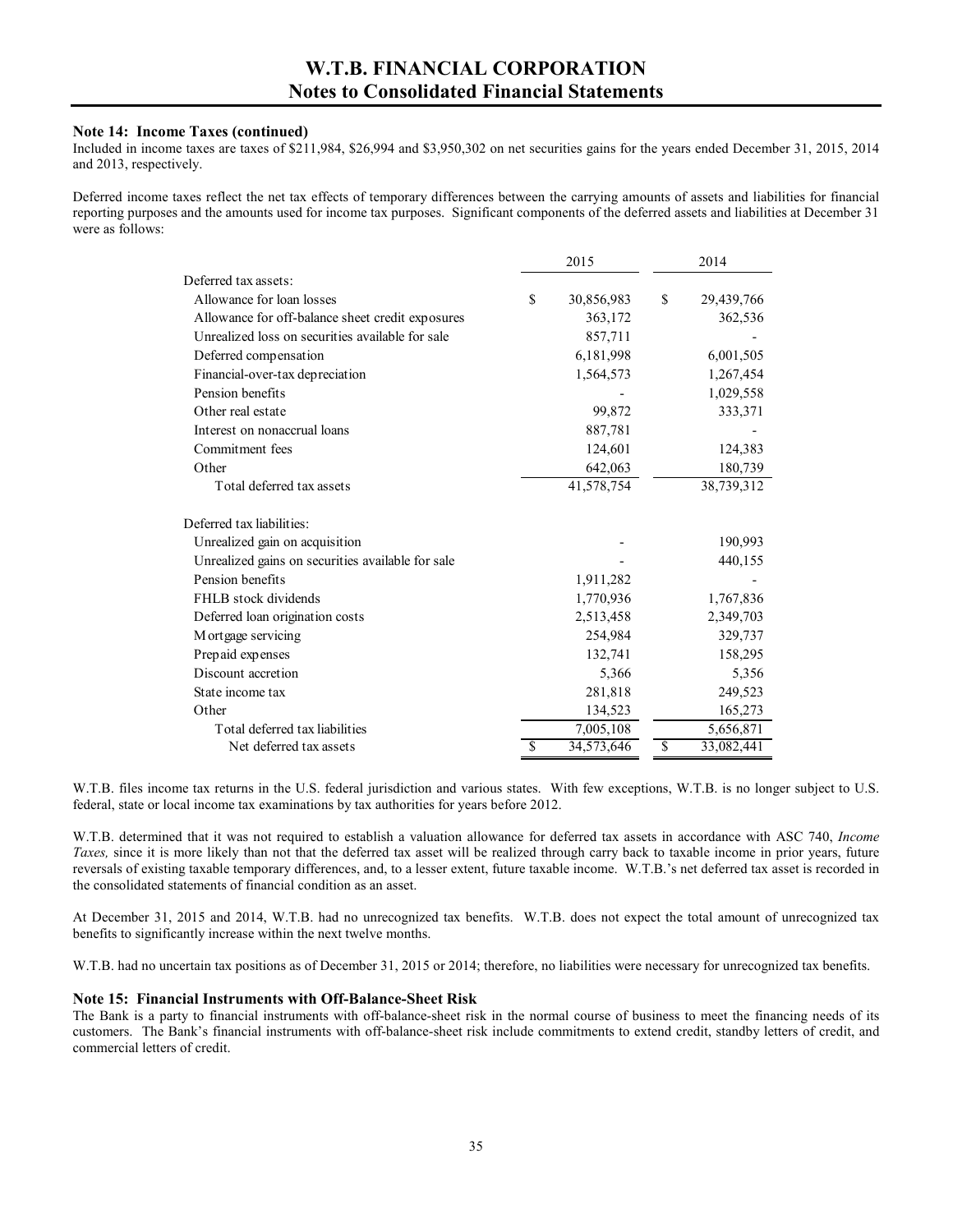#### **Note 14: Income Taxes (continued)**

Included in income taxes are taxes of \$211,984, \$26,994 and \$3,950,302 on net securities gains for the years ended December 31, 2015, 2014 and 2013, respectively.

Deferred income taxes reflect the net tax effects of temporary differences between the carrying amounts of assets and liabilities for financial reporting purposes and the amounts used for income tax purposes. Significant components of the deferred assets and liabilities at December 31 were as follows:

|                                                   |    | 2015       | 2014             |
|---------------------------------------------------|----|------------|------------------|
| Deferred tax assets:                              |    |            |                  |
| Allowance for loan losses                         | \$ | 30,856,983 | \$<br>29,439,766 |
| Allowance for off-balance sheet credit exposures  |    | 363,172    | 362,536          |
| Unrealized loss on securities available for sale  |    | 857,711    |                  |
| Deferred compensation                             |    | 6,181,998  | 6,001,505        |
| Financial-over-tax depreciation                   |    | 1,564,573  | 1,267,454        |
| Pension benefits                                  |    |            | 1,029,558        |
| Other real estate                                 |    | 99,872     | 333,371          |
| Interest on nonaccrual loans                      |    | 887,781    |                  |
| Commitment fees                                   |    | 124,601    | 124,383          |
| Other                                             |    | 642,063    | 180,739          |
| Total deferred tax assets                         |    | 41,578,754 | 38,739,312       |
| Deferred tax liabilities:                         |    |            |                  |
| Unrealized gain on acquisition                    |    |            | 190,993          |
| Unrealized gains on securities available for sale |    |            | 440,155          |
| Pension benefits                                  |    | 1,911,282  |                  |
| FHLB stock dividends                              |    | 1,770,936  | 1,767,836        |
| Deferred loan origination costs                   |    | 2,513,458  | 2,349,703        |
| Mortgage servicing                                |    | 254,984    | 329,737          |
| Prepaid expenses                                  |    | 132,741    | 158,295          |
| Discount accretion                                |    | 5,366      | 5,356            |
| State income tax                                  |    | 281,818    | 249,523          |
| Other                                             |    | 134,523    | 165,273          |
| Total deferred tax liabilities                    |    | 7,005,108  | 5,656,871        |
| Net deferred tax assets                           | S  | 34,573,646 | \$<br>33,082,441 |

W.T.B. files income tax returns in the U.S. federal jurisdiction and various states. With few exceptions, W.T.B. is no longer subject to U.S. federal, state or local income tax examinations by tax authorities for years before 2012.

W.T.B. determined that it was not required to establish a valuation allowance for deferred tax assets in accordance with ASC 740, *Income Taxes,* since it is more likely than not that the deferred tax asset will be realized through carry back to taxable income in prior years, future reversals of existing taxable temporary differences, and, to a lesser extent, future taxable income. W.T.B.'s net deferred tax asset is recorded in the consolidated statements of financial condition as an asset.

At December 31, 2015 and 2014, W.T.B. had no unrecognized tax benefits. W.T.B. does not expect the total amount of unrecognized tax benefits to significantly increase within the next twelve months.

W.T.B. had no uncertain tax positions as of December 31, 2015 or 2014; therefore, no liabilities were necessary for unrecognized tax benefits.

#### **Note 15: Financial Instruments with Off-Balance-Sheet Risk**

The Bank is a party to financial instruments with off-balance-sheet risk in the normal course of business to meet the financing needs of its customers. The Bank's financial instruments with off-balance-sheet risk include commitments to extend credit, standby letters of credit, and commercial letters of credit.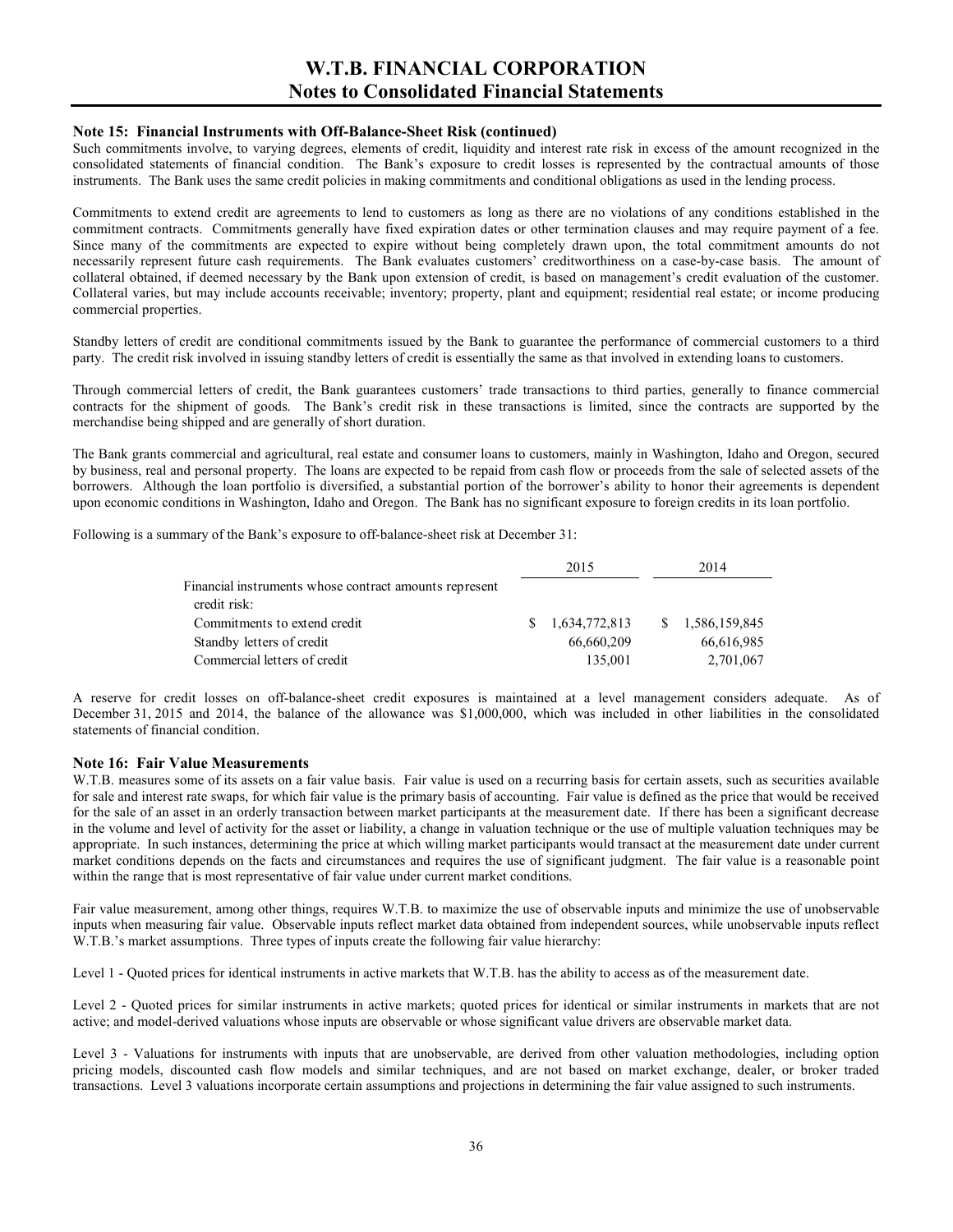#### **Note 15: Financial Instruments with Off-Balance-Sheet Risk (continued)**

Such commitments involve, to varying degrees, elements of credit, liquidity and interest rate risk in excess of the amount recognized in the consolidated statements of financial condition. The Bank's exposure to credit losses is represented by the contractual amounts of those instruments. The Bank uses the same credit policies in making commitments and conditional obligations as used in the lending process.

Commitments to extend credit are agreements to lend to customers as long as there are no violations of any conditions established in the commitment contracts. Commitments generally have fixed expiration dates or other termination clauses and may require payment of a fee. Since many of the commitments are expected to expire without being completely drawn upon, the total commitment amounts do not necessarily represent future cash requirements. The Bank evaluates customers' creditworthiness on a case-by-case basis. The amount of collateral obtained, if deemed necessary by the Bank upon extension of credit, is based on management's credit evaluation of the customer. Collateral varies, but may include accounts receivable; inventory; property, plant and equipment; residential real estate; or income producing commercial properties.

Standby letters of credit are conditional commitments issued by the Bank to guarantee the performance of commercial customers to a third party. The credit risk involved in issuing standby letters of credit is essentially the same as that involved in extending loans to customers.

Through commercial letters of credit, the Bank guarantees customers' trade transactions to third parties, generally to finance commerci al contracts for the shipment of goods. The Bank's credit risk in these transactions is limited, since the contracts are supported by th e merchandise being shipped and are generally of short duration.

The Bank grants commercial and agricultural, real estate and consumer loans to customers, mainly in Washington, Idaho and Oregon, secured by business, real and personal property. The loans are expected to be repaid from cash flow or proceeds from the sale of selected assets of the borrowers. Although the loan portfolio is diversified, a substantial portion of the borrower's ability to honor their agreements is dependent upon economic conditions in Washington, Idaho and Oregon. The Bank has no significant exposure to foreign credits in its loan portfolio.

Following is a summary of the Bank's exposure to off-balance-sheet risk at December 31:

|                                                        |    | 2015          |  | 2014            |
|--------------------------------------------------------|----|---------------|--|-----------------|
| Financial instruments whose contract amounts represent |    |               |  |                 |
| credit risk:                                           |    |               |  |                 |
| Commitments to extend credit                           | S. | 1,634,772,813 |  | \$1,586,159,845 |
| Standby letters of credit                              |    | 66,660,209    |  | 66,616,985      |
| Commercial letters of credit                           |    | 135,001       |  | 2,701,067       |

A reserve for credit losses on off-balance-sheet credit exposures is maintained at a level management considers adequate. As of December 31, 2015 and 2014, the balance of the allowance was \$1,000,000, which was included in other liabilities in the consolidated statements of financial condition.

#### **Note 16: Fair Value Measurements**

W.T.B. measures some of its assets on a fair value basis. Fair value is used on a recurring basis for certain assets, such as securities available for sale and interest rate swaps, for which fair value is the primary basis of accounting. Fair value is defined as the price that would be received for the sale of an asset in an orderly transaction between market participants at the measurement date. If there has been a significant decrease in the volume and level of activity for the asset or liability, a change in valuation technique or the use of multiple valuation techniques may be appropriate. In such instances, determining the price at which willing market participants would transact at the measurement date under current market conditions depends on the facts and circumstances and requires the use of significant judgment. The fair value is a reasonable point within the range that is most representative of fair value under current market conditions.

Fair value measurement, among other things, requires W.T.B. to maximize the use of observable inputs and minimize the use of unobservable inputs when measuring fair value. Observable inputs reflect market data obtained from independent sources, while unobservable inputs reflect W.T.B.'s market assumptions. Three types of inputs create the following fair value hierarchy:

Level 1 - Quoted prices for identical instruments in active markets that W.T.B. has the ability to access as of the measurement date.

Level 2 - Quoted prices for similar instruments in active markets; quoted prices for identical or similar instruments in markets that are not active; and model-derived valuations whose inputs are observable or whose significant value drivers are observable market data.

Level 3 - Valuations for instruments with inputs that are unobservable, are derived from other valuation methodologies, including option pricing models, discounted cash flow models and similar techniques, and are not based on market exchange, dealer, or broker traded transactions. Level 3 valuations incorporate certain assumptions and projections in determining the fair value assigned to such instruments.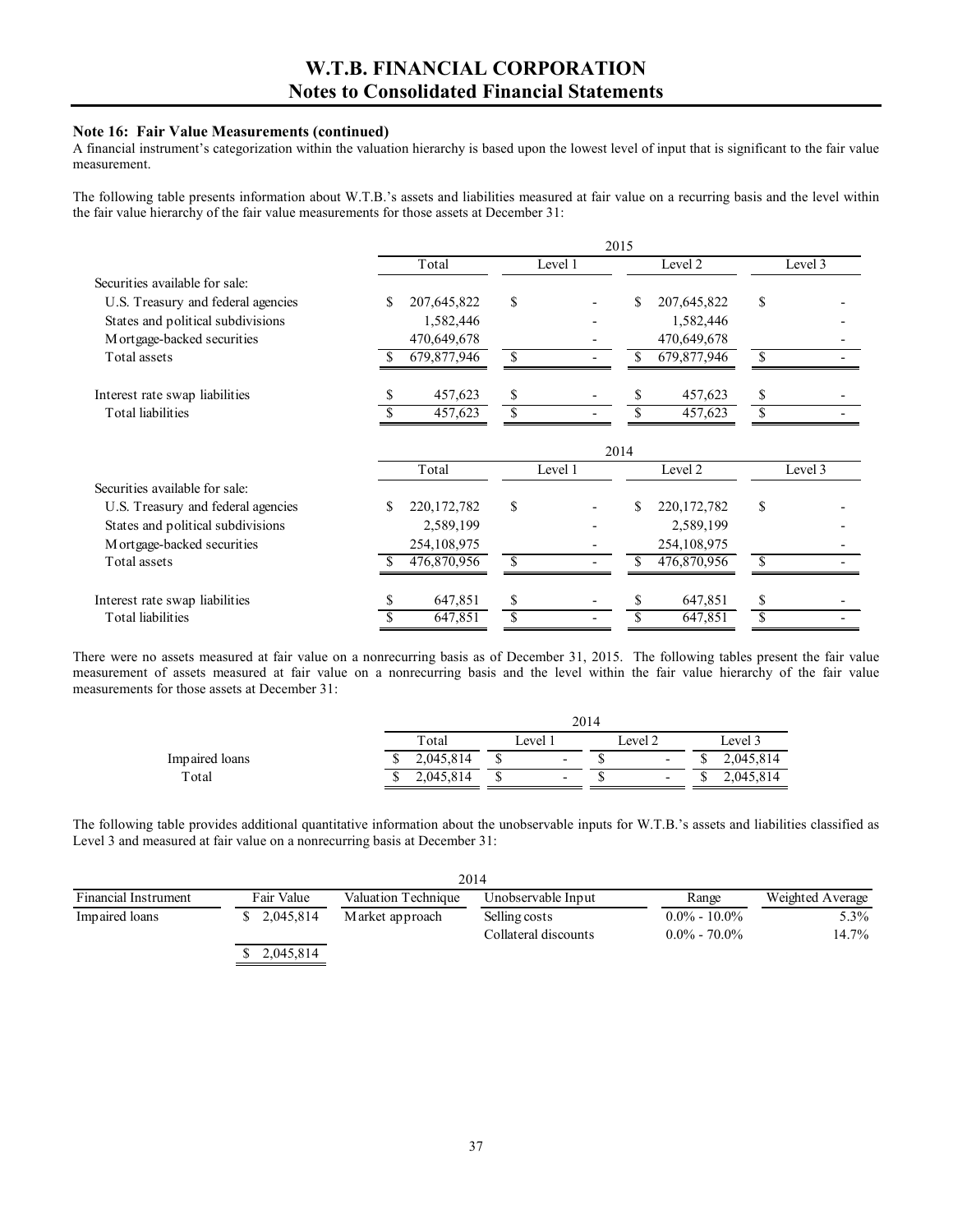#### **Note 16: Fair Value Measurements (continued)**

A financial instrument's categorization within the valuation hierarchy is based upon the lowest level of input that is significant to the fair value measurement.

The following table presents information about W.T.B.'s assets and liabilities measured at fair value on a recurring basis and the level within the fair value hierarchy of the fair value measurements for those assets at December 31:

|                                    | 2015  |                     |         |    |               |    |         |
|------------------------------------|-------|---------------------|---------|----|---------------|----|---------|
|                                    | Total |                     | Level 1 |    | Level 2       |    | Level 3 |
| Securities available for sale:     |       |                     |         |    |               |    |         |
| U.S. Treasury and federal agencies | S.    | \$<br>207,645,822   |         | S  | 207,645,822   | \$ |         |
| States and political subdivisions  |       | 1,582,446           |         |    | 1,582,446     |    |         |
| M ortgage-backed securities        |       | 470,649,678         |         |    | 470,649,678   |    |         |
| Total assets                       |       | 679,877,946<br>\$   |         | \$ | 679,877,946   | \$ |         |
| Interest rate swap liabilities     |       | \$<br>457,623       |         | S  | 457,623       | \$ |         |
| Total liabilities                  |       | \$<br>457,623       |         |    | 457,623       |    |         |
|                                    |       |                     | 2014    |    |               |    |         |
|                                    | Total |                     | Level 1 |    | Level 2       |    | Level 3 |
| Securities available for sale:     |       |                     |         |    |               |    |         |
| U.S. Treasury and federal agencies |       | \$<br>220, 172, 782 |         | \$ | 220, 172, 782 | \$ |         |
| States and political subdivisions  |       | 2,589,199           |         |    | 2,589,199     |    |         |
| M ortgage-backed securities        |       | 254,108,975         |         |    | 254,108,975   |    |         |
| Total assets                       |       | 476,870,956<br>\$   |         | S  | 476,870,956   | \$ |         |
| Interest rate swap liabilities     |       | \$<br>647,851       |         |    | 647,851       | \$ |         |
| Total liabilities                  |       | \$<br>647,851       |         |    | 647,851       | \$ |         |

There were no assets measured at fair value on a nonrecurring basis as of December 31, 2015. The following tables present the fair value measurement of assets measured at fair value on a nonrecurring basis and the level within the fair value hierarchy of the fair value measurements for those assets at December 31:

|                | 2014           |                                |                          |           |  |  |  |
|----------------|----------------|--------------------------------|--------------------------|-----------|--|--|--|
|                | Total          | evel                           | evel 2                   | Level 3   |  |  |  |
| Impaired loans | 2,045,814<br>Φ | $\overline{\phantom{0}}$       | $\overline{\phantom{a}}$ | 2,045,814 |  |  |  |
| Total          | 2,045,814<br>Φ | $\overline{\phantom{a}}$<br>۰D | $\overline{\phantom{0}}$ | 2,045,814 |  |  |  |

The following table provides additional quantitative information about the unobservable inputs for W.T.B.'s assets and liabilities classified as Level 3 and measured at fair value on a nonrecurring basis at December 31:

| 2014                        |            |                     |                      |                  |                  |  |  |  |
|-----------------------------|------------|---------------------|----------------------|------------------|------------------|--|--|--|
| <b>Financial Instrument</b> | Fair Value | Valuation Technique | Unobservable Input   | Range            | Weighted Average |  |  |  |
| Impaired loans              | 2.045.814  | Market approach     | Selling costs        | $0.0\% - 10.0\%$ | 5.3%             |  |  |  |
|                             |            |                     | Collateral discounts | $0.0\%$ - 70.0%  | 14.7%            |  |  |  |
|                             | 2,045,814  |                     |                      |                  |                  |  |  |  |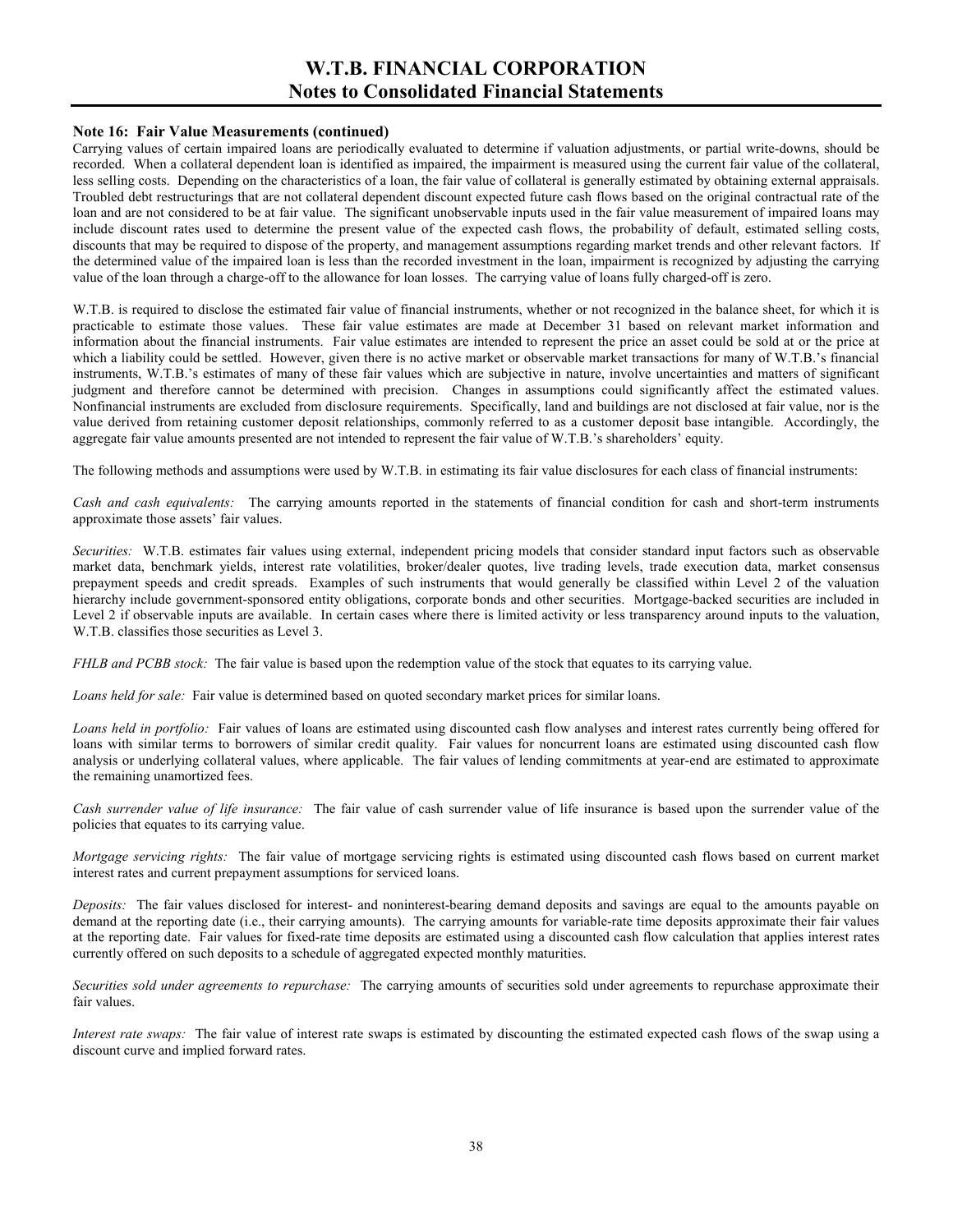#### **Note 16: Fair Value Measurements (continued)**

Carrying values of certain impaired loans are periodically evaluated to determine if valuation adjustments, or partial write-downs, should be recorded. When a collateral dependent loan is identified as impaired, the impairment is measured using the current fair value of the collateral, less selling costs. Depending on the characteristics of a loan, the fair value of collateral is generally estimated by obtaining external appraisals. Troubled debt restructurings that are not collateral dependent discount expected future cash flows based on the original contractual rate of the loan and are not considered to be at fair value. The significant unobservable inputs used in the fair value measurement of impaired loans may include discount rates used to determine the present value of the expected cash flows, the probability of default, estimated selling costs, discounts that may be required to dispose of the property, and management assumptions regarding market trends and other relevant factors. If the determined value of the impaired loan is less than the recorded investment in the loan, impairment is recognized by adjusting the carrying value of the loan through a charge-off to the allowance for loan losses. The carrying value of loans fully charged-off is zero.

W.T.B. is required to disclose the estimated fair value of financial instruments, whether or not recognized in the balance sheet, for which it is practicable to estimate those values. These fair value estimates are made at December 31 based on relevant market information and information about the financial instruments. Fair value estimates are intended to represent the price an asset could be sold at or the price at which a liability could be settled. However, given there is no active market or observable market transactions for many of W.T.B.'s financial instruments, W.T.B.'s estimates of many of these fair values which are subjective in nature, involve uncertainties and matters of significant judgment and therefore cannot be determined with precision. Changes in assumptions could significantly affect the estimated values. Nonfinancial instruments are excluded from disclosure requirements. Specifically, land and buildings are not disclosed at fair value, nor is the value derived from retaining customer deposit relationships, commonly referred to as a customer deposit base intangible. Accordingly, the aggregate fair value amounts presented are not intended to represent the fair value of W.T.B.'s shareholders' equity.

The following methods and assumptions were used by W.T.B. in estimating its fair value disclosures for each class of financial instruments:

*Cash and cash equivalents:* The carrying amounts reported in the statements of financial condition for cash and short-term instruments approximate those assets' fair values.

*Securities:* W.T.B. estimates fair values using external, independent pricing models that consider standard input factors such as observable market data, benchmark yields, interest rate volatilities, broker/dealer quotes, live trading levels, trade execution data, market consensus prepayment speeds and credit spreads. Examples of such instruments that would generally be classified within Level 2 of the valuation hierarchy include government-sponsored entity obligations, corporate bonds and other securities. Mortgage-backed securities are included in Level 2 if observable inputs are available. In certain cases where there is limited activity or less transparency around inputs to the valuation, W.T.B. classifies those securities as Level 3.

*FHLB and PCBB stock:* The fair value is based upon the redemption value of the stock that equates to its carrying value.

*Loans held for sale:* Fair value is determined based on quoted secondary market prices for similar loans.

*Loans held in portfolio:* Fair values of loans are estimated using discounted cash flow analyses and interest rates currently being offered for loans with similar terms to borrowers of similar credit quality. Fair values for noncurrent loans are estimated using discounted cash flow analysis or underlying collateral values, where applicable. The fair values of lending commitments at year-end are estimated to approximate the remaining unamortized fees.

*Cash surrender value of life insurance:* The fair value of cash surrender value of life insurance is based upon the surrender value of the policies that equates to its carrying value.

*Mortgage servicing rights:* The fair value of mortgage servicing rights is estimated using discounted cash flows based on current market interest rates and current prepayment assumptions for serviced loans.

*Deposits:* The fair values disclosed for interest- and noninterest-bearing demand deposits and savings are equal to the amounts payable on demand at the reporting date (i.e., their carrying amounts). The carrying amounts for variable-rate time deposits approximate their fair values at the reporting date. Fair values for fixed-rate time deposits are estimated using a discounted cash flow calculation that applies interest rates currently offered on such deposits to a schedule of aggregated expected monthly maturities.

*Securities sold under agreements to repurchase:* The carrying amounts of securities sold under agreements to repurchase approximate their fair values.

*Interest rate swaps:* The fair value of interest rate swaps is estimated by discounting the estimated expected cash flows of the swap using a discount curve and implied forward rates.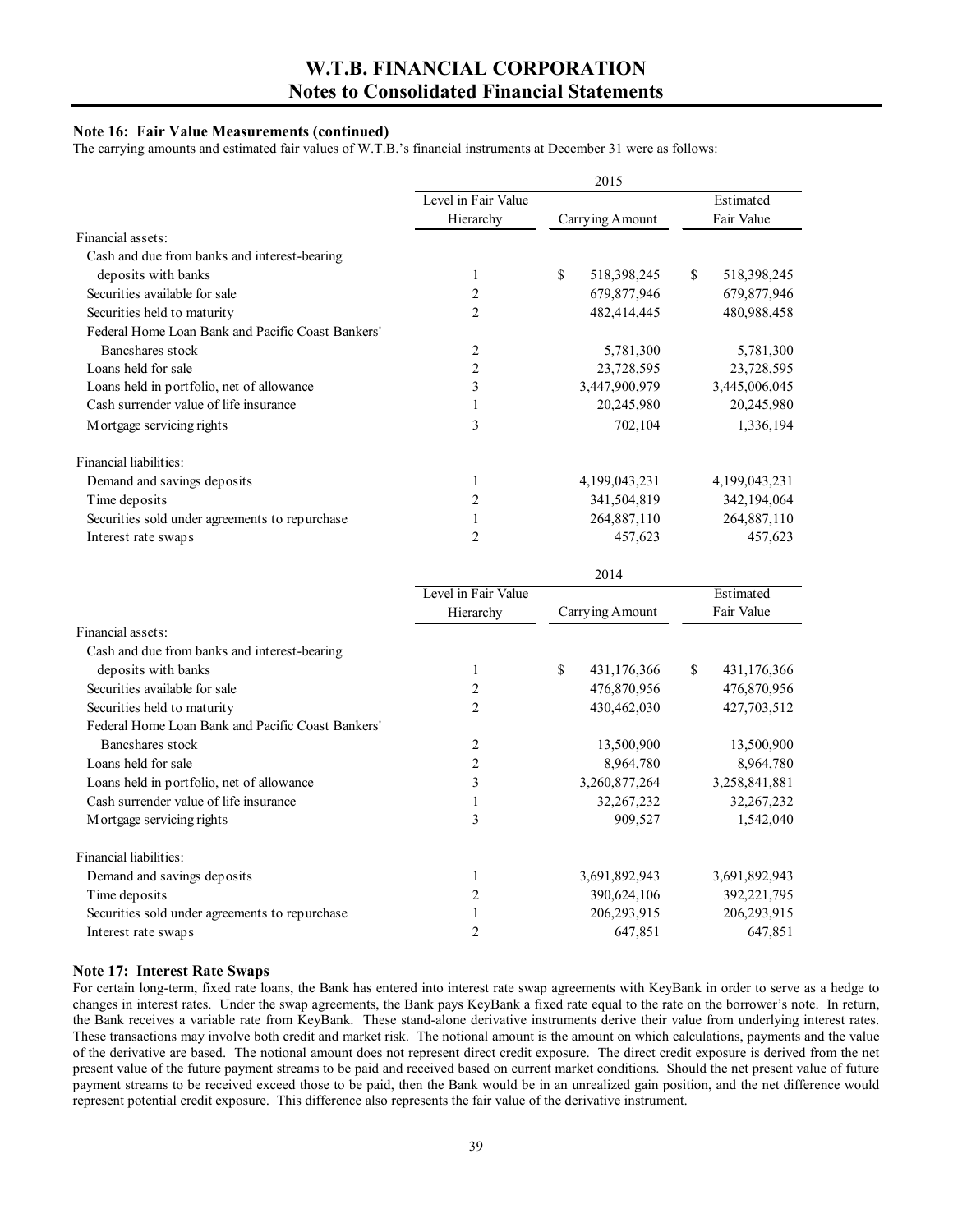#### **Note 16: Fair Value Measurements (continued)**

The carrying amounts and estimated fair values of W.T.B.'s financial instruments at December 31 were as follows:

|                                                   | 2015                |    |                 |    |               |  |  |
|---------------------------------------------------|---------------------|----|-----------------|----|---------------|--|--|
|                                                   | Level in Fair Value |    |                 |    | Estimated     |  |  |
|                                                   | Hierarchy           |    | Carrying Amount |    | Fair Value    |  |  |
| Financial assets:                                 |                     |    |                 |    |               |  |  |
| Cash and due from banks and interest-bearing      |                     |    |                 |    |               |  |  |
| deposits with banks                               | 1                   | \$ | 518,398,245     | \$ | 518,398,245   |  |  |
| Securities available for sale                     | $\overline{c}$      |    | 679,877,946     |    | 679,877,946   |  |  |
| Securities held to maturity                       | 2                   |    | 482,414,445     |    | 480,988,458   |  |  |
| Federal Home Loan Bank and Pacific Coast Bankers' |                     |    |                 |    |               |  |  |
| Bancshares stock                                  | 2                   |    | 5,781,300       |    | 5,781,300     |  |  |
| Loans held for sale                               | 2                   |    | 23,728,595      |    | 23,728,595    |  |  |
| Loans held in portfolio, net of allowance         | 3                   |    | 3,447,900,979   |    | 3,445,006,045 |  |  |
| Cash surrender value of life insurance            | 1                   |    | 20,245,980      |    | 20,245,980    |  |  |
| Mortgage servicing rights                         | 3                   |    | 702,104         |    | 1,336,194     |  |  |
| Financial liabilities:                            |                     |    |                 |    |               |  |  |
| Demand and savings deposits                       | 1                   |    | 4,199,043,231   |    | 4,199,043,231 |  |  |
| Time deposits                                     | 2                   |    | 341,504,819     |    | 342,194,064   |  |  |
| Securities sold under agreements to repurchase    |                     |    | 264,887,110     |    | 264,887,110   |  |  |
| Interest rate swaps                               | $\overline{2}$      |    | 457,623         |    | 457,623       |  |  |
|                                                   |                     |    | 2014            |    |               |  |  |
|                                                   | Level in Fair Value |    |                 |    | Estimated     |  |  |
|                                                   | Hierarchy           |    | Carrying Amount |    | Fair Value    |  |  |
| Financial assets:                                 |                     |    |                 |    |               |  |  |
| Cash and due from banks and interest-bearing      |                     |    |                 |    |               |  |  |
| deposits with banks                               | 1                   | \$ | 431,176,366     | \$ | 431,176,366   |  |  |
| Securities available for sale                     | $\overline{2}$      |    | 476,870,956     |    | 476,870,956   |  |  |

| Securities held to maturity                       |   | 430,462,030   | 427,703,512   |
|---------------------------------------------------|---|---------------|---------------|
| Federal Home Loan Bank and Pacific Coast Bankers' |   |               |               |
| Bancshares stock                                  | 2 | 13,500,900    | 13,500,900    |
| Loans held for sale                               |   | 8,964,780     | 8,964,780     |
| Loans held in portfolio, net of allowance         | 3 | 3,260,877,264 | 3,258,841,881 |
| Cash surrender value of life insurance            |   | 32, 267, 232  | 32, 267, 232  |
| M ortgage servicing rights                        | 3 | 909,527       | 1,542,040     |
| Financial liabilities:                            |   |               |               |
| Demand and savings deposits                       |   | 3,691,892,943 | 3,691,892,943 |
| Time deposits                                     |   | 390,624,106   | 392, 221, 795 |
| Securities sold under agreements to repurchase    |   | 206,293,915   | 206,293,915   |
| Interest rate swaps                               |   | 647,851       | 647,851       |

#### **Note 17: Interest Rate Swaps**

For certain long-term, fixed rate loans, the Bank has entered into interest rate swap agreements with KeyBank in order to serve as a hedge to changes in interest rates. Under the swap agreements, the Bank pays KeyBank a fixed rate equal to the rate on the borrower's note. In return, the Bank receives a variable rate from KeyBank. These stand-alone derivative instruments derive their value from underlying interest rates. These transactions may involve both credit and market risk. The notional amount is the amount on which calculations, payments and the value of the derivative are based. The notional amount does not represent direct credit exposure. The direct credit exposure is derived from the net present value of the future payment streams to be paid and received based on current market conditions. Should the net present value of future payment streams to be received exceed those to be paid, then the Bank would be in an unrealized gain position, and the net difference would represent potential credit exposure. This difference also represents the fair value of the derivative instrument.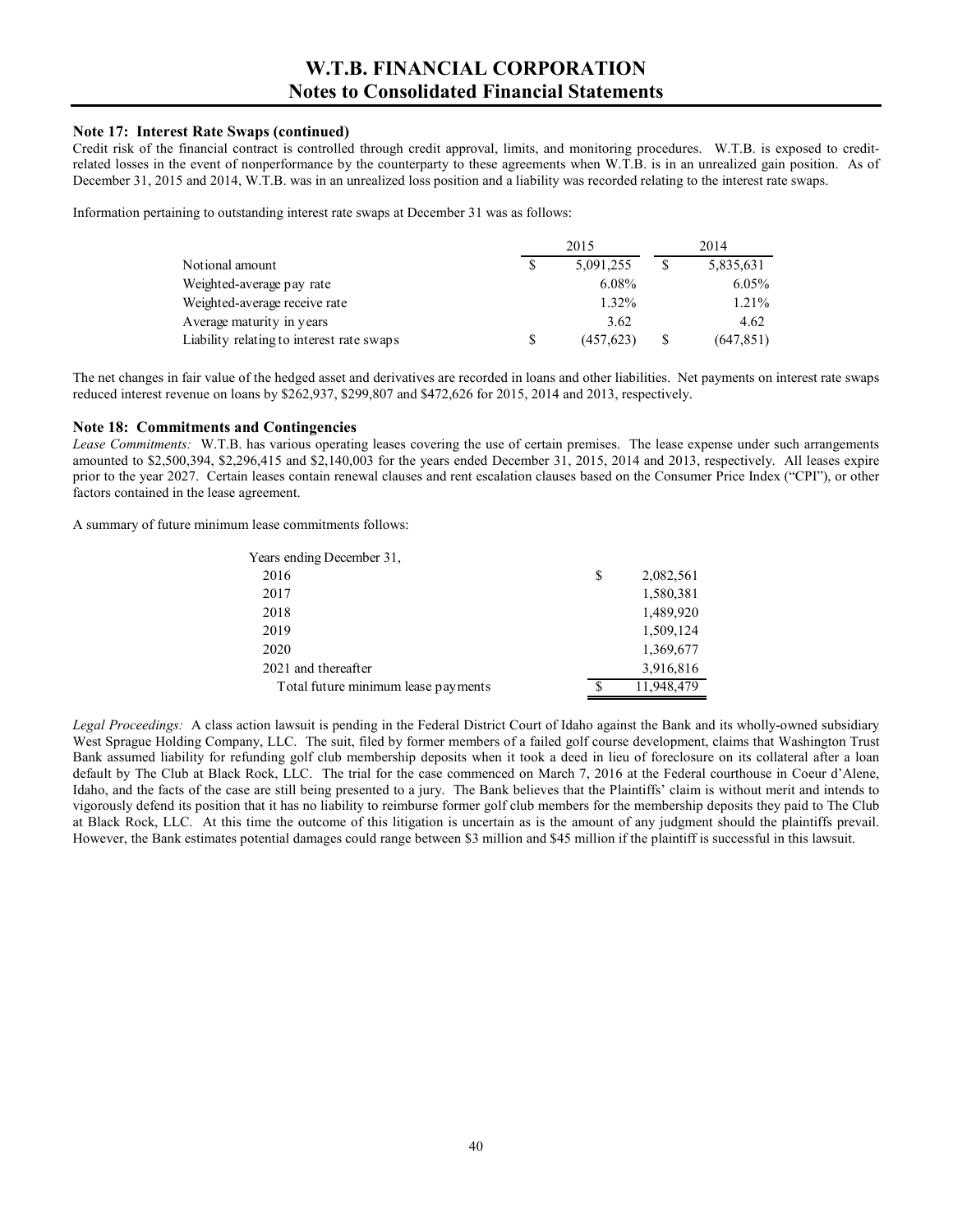#### **Note 17: Interest Rate Swaps (continued)**

Credit risk of the financial contract is controlled through credit approval, limits, and monitoring procedures.W.T.B. is exposed to creditrelated losses in the event of nonperformance by the counterparty to these agreements when W.T.B. is in an unrealized gain position. As of December 31, 2015 and 2014, W.T.B. was in an unrealized loss position and a liability was recorded relating to the interest rate swaps.

Information pertaining to outstanding interest rate swaps at December 31 was as follows:

|                                           |   | 2015       | 2014 |            |  |
|-------------------------------------------|---|------------|------|------------|--|
| Notional amount                           |   | 5,091,255  | S    | 5,835,631  |  |
| Weighted-average pay rate                 |   | 6.08%      |      | $6.05\%$   |  |
| Weighted-average receive rate             |   | 1.32%      |      | 1.21%      |  |
| Average maturity in years                 |   | 3.62       |      | 4.62       |  |
| Liability relating to interest rate swaps | S | (457, 623) |      | (647, 851) |  |

The net changes in fair value of the hedged asset and derivatives are recorded in loans and other liabilities. Net payments on interest rate swaps reduced interest revenue on loans by \$262,937, \$299,807 and \$472,626 for 2015, 2014 and 2013, respectively.

#### **Note 18: Commitments and Contingencies**

*Lease Commitments:* W.T.B. has various operating leases covering the use of certain premises. The lease expense under such arrangements amounted to \$2,500,394, \$2,296,415 and \$2,140,003 for the years ended December 31, 2015, 2014 and 2013, respectively. All leases expire prior to the year 2027. Certain leases contain renewal clauses and rent escalation clauses based on the Consumer Price Index ("CPI"), or other factors contained in the lease agreement.

A summary of future minimum lease commitments follows:

| Years ending December 31,           |    |            |
|-------------------------------------|----|------------|
| 2016                                | S  | 2,082,561  |
| 2017                                |    | 1,580,381  |
| 2018                                |    | 1,489,920  |
| 2019                                |    | 1,509,124  |
| 2020                                |    | 1,369,677  |
| 2021 and thereafter                 |    | 3,916,816  |
| Total future minimum lease payments | £. | 11.948.479 |
|                                     |    |            |

*Legal Proceedings:* A class action lawsuit is pending in the Federal District Court of Idaho against the Bank and its wholly-owned subsidiary West Sprague Holding Company, LLC. The suit, filed by former members of a failed golf course development, claims that Washington Trust Bank assumed liability for refunding golf club membership deposits when it took a deed in lieu of foreclosure on its collateral after a loan default by The Club at Black Rock, LLC. The trial for the case commenced on March 7, 2016 at the Federal courthouse in Coeur d'Alene, Idaho, and the facts of the case are still being presented to a jury. The Bank believes that the Plaintiffs' claim is without merit and intends to vigorously defend its position that it has no liability to reimburse former golf club members for the membership deposits they paid to The Club at Black Rock, LLC. At this time the outcome of this litigation is uncertain as is the amount of any judgment should the plaintiffs prevail. However, the Bank estimates potential damages could range between \$3 million and \$45 million if the plaintiff is successful in this lawsuit.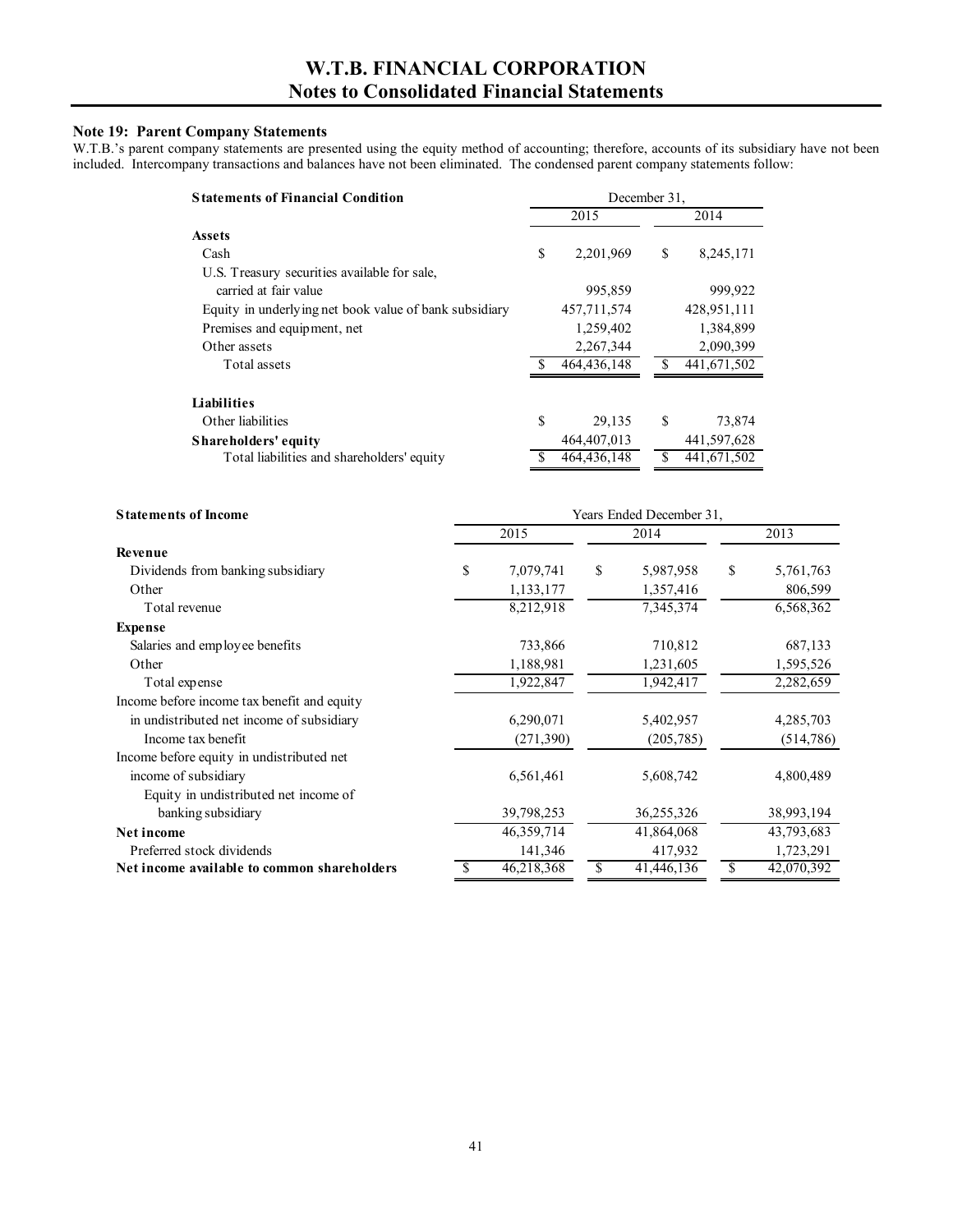#### **Note 19: Parent Company Statements**

W.T.B.'s parent company statements are presented using the equity method of accounting; therefore, accounts of its subsidiary have not been included. Intercompany transactions and balances have not been eliminated. The condensed parent company statements follow:

| <b>Statements of Financial Condition</b>               | December 31, |               |    |             |  |  |  |
|--------------------------------------------------------|--------------|---------------|----|-------------|--|--|--|
|                                                        |              | 2015          |    | 2014        |  |  |  |
| Assets                                                 |              |               |    |             |  |  |  |
| Cash                                                   | \$           | 2,201,969     | S  | 8,245,171   |  |  |  |
| U.S. Treasury securities available for sale,           |              |               |    |             |  |  |  |
| carried at fair value                                  |              | 995,859       |    | 999,922     |  |  |  |
| Equity in underlying net book value of bank subsidiary |              | 457,711,574   |    | 428,951,111 |  |  |  |
| Premises and equipment, net                            |              | 1,259,402     |    | 1,384,899   |  |  |  |
| Other assets                                           |              | 2,267,344     |    | 2,090,399   |  |  |  |
| Total assets                                           |              | 464, 436, 148 |    | 441,671,502 |  |  |  |
| Liabilities                                            |              |               |    |             |  |  |  |
| Other liabilities                                      | \$           | 29,135        | \$ | 73,874      |  |  |  |
| Shareholders' equity                                   |              | 464, 407, 013 |    | 441,597,628 |  |  |  |
| Total liabilities and shareholders' equity             |              | 464, 436, 148 | \$ | 441,671,502 |  |  |  |

| <b>Statements of Income</b>                 | Years Ended December 31, |            |    |            |   |            |  |
|---------------------------------------------|--------------------------|------------|----|------------|---|------------|--|
|                                             |                          | 2015       |    | 2014       |   | 2013       |  |
| Revenue                                     |                          |            |    |            |   |            |  |
| Dividends from banking subsidiary           | \$                       | 7,079,741  | \$ | 5,987,958  | S | 5,761,763  |  |
| Other                                       |                          | 1,133,177  |    | 1,357,416  |   | 806,599    |  |
| Total revenue                               |                          | 8,212,918  |    | 7,345,374  |   | 6,568,362  |  |
| <b>Expense</b>                              |                          |            |    |            |   |            |  |
| Salaries and employee benefits              |                          | 733,866    |    | 710,812    |   | 687,133    |  |
| Other                                       |                          | 1,188,981  |    | 1,231,605  |   | 1,595,526  |  |
| Total expense                               |                          | 1,922,847  |    | 1,942,417  |   | 2,282,659  |  |
| Income before income tax benefit and equity |                          |            |    |            |   |            |  |
| in undistributed net income of subsidiary   |                          | 6,290,071  |    | 5,402,957  |   | 4,285,703  |  |
| Income tax benefit                          |                          | (271, 390) |    | (205, 785) |   | (514, 786) |  |
| Income before equity in undistributed net   |                          |            |    |            |   |            |  |
| income of subsidiary                        |                          | 6,561,461  |    | 5,608,742  |   | 4,800,489  |  |
| Equity in undistributed net income of       |                          |            |    |            |   |            |  |
| banking subsidiary                          |                          | 39,798,253 |    | 36,255,326 |   | 38,993,194 |  |
| Net income                                  |                          | 46,359,714 |    | 41,864,068 |   | 43,793,683 |  |
| Preferred stock dividends                   |                          | 141,346    |    | 417,932    |   | 1,723,291  |  |
| Net income available to common shareholders |                          | 46,218,368 | S  | 41,446,136 | S | 42,070,392 |  |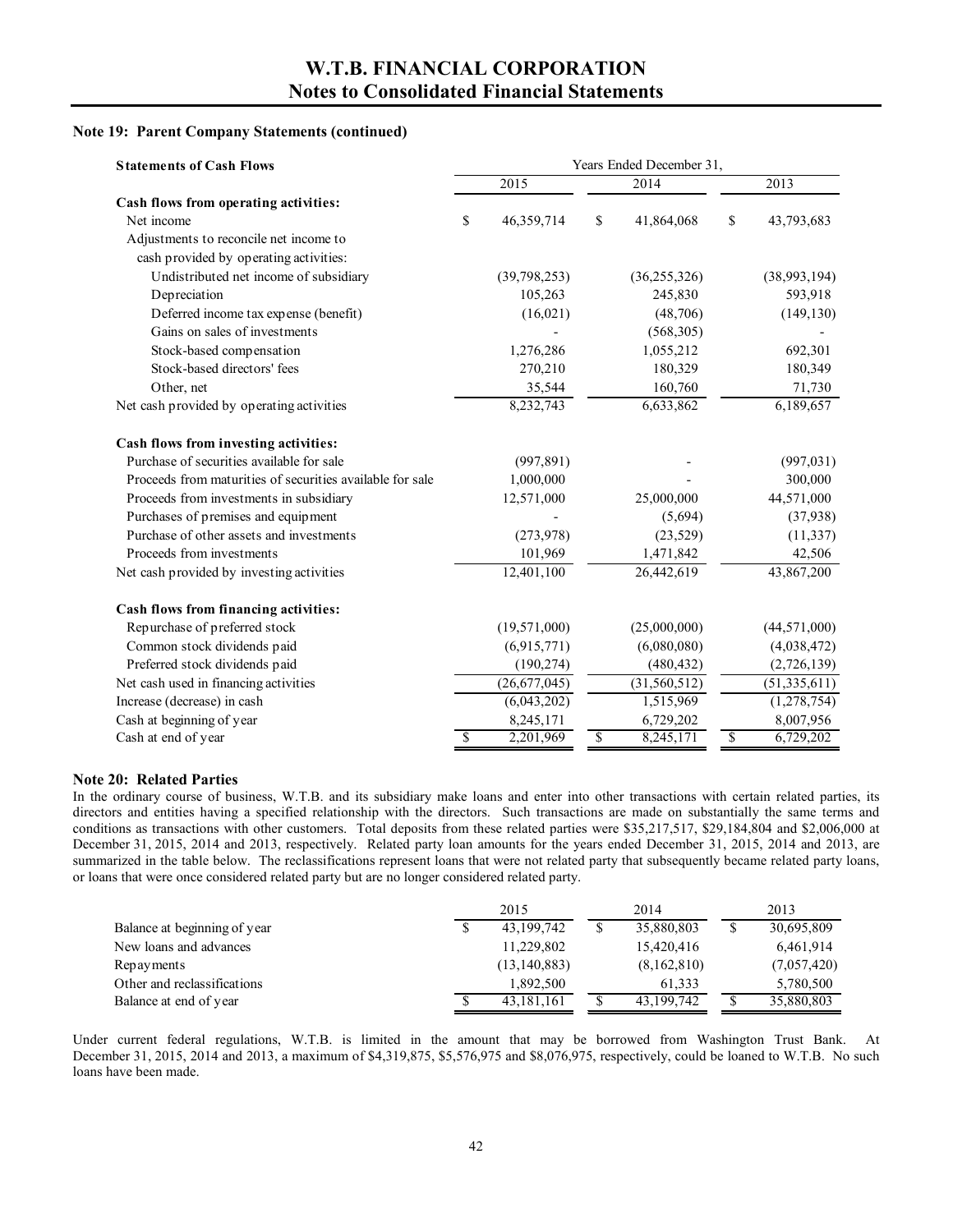#### **Note 19: Parent Company Statements (continued)**

| Years Ended December 31,<br><b>Statements of Cash Flows</b> |    |              |                      |                |    |                |  |  |  |
|-------------------------------------------------------------|----|--------------|----------------------|----------------|----|----------------|--|--|--|
|                                                             |    | 2015         |                      | 2014           |    | 2013           |  |  |  |
| Cash flows from operating activities:                       |    |              |                      |                |    |                |  |  |  |
| Net income                                                  | \$ | 46,359,714   | \$                   | 41,864,068     | \$ | 43,793,683     |  |  |  |
| Adjustments to reconcile net income to                      |    |              |                      |                |    |                |  |  |  |
| cash provided by operating activities:                      |    |              |                      |                |    |                |  |  |  |
| Undistributed net income of subsidiary                      |    | (39,798,253) |                      | (36, 255, 326) |    | (38,993,194)   |  |  |  |
| Depreciation                                                |    | 105,263      |                      | 245,830        |    | 593,918        |  |  |  |
| Deferred income tax expense (benefit)                       |    | (16,021)     |                      | (48,706)       |    | (149, 130)     |  |  |  |
| Gains on sales of investments                               |    |              |                      | (568,305)      |    |                |  |  |  |
| Stock-based compensation                                    |    | 1,276,286    |                      | 1,055,212      |    | 692,301        |  |  |  |
| Stock-based directors' fees                                 |    | 270,210      |                      | 180,329        |    | 180,349        |  |  |  |
| Other, net                                                  |    | 35,544       |                      | 160,760        |    | 71,730         |  |  |  |
| Net cash provided by operating activities                   |    | 8,232,743    |                      | 6,633,862      |    | 6,189,657      |  |  |  |
| Cash flows from investing activities:                       |    |              |                      |                |    |                |  |  |  |
| Purchase of securities available for sale                   |    | (997, 891)   |                      |                |    | (997, 031)     |  |  |  |
| Proceeds from maturities of securities available for sale   |    | 1,000,000    |                      |                |    | 300,000        |  |  |  |
| Proceeds from investments in subsidiary                     |    | 12,571,000   |                      | 25,000,000     |    | 44,571,000     |  |  |  |
| Purchases of premises and equipment                         |    |              |                      | (5,694)        |    | (37,938)       |  |  |  |
| Purchase of other assets and investments                    |    | (273,978)    |                      | (23, 529)      |    | (11, 337)      |  |  |  |
| Proceeds from investments                                   |    | 101,969      |                      | 1,471,842      |    | 42,506         |  |  |  |
| Net cash provided by investing activities                   |    | 12,401,100   |                      | 26,442,619     |    | 43,867,200     |  |  |  |
| Cash flows from financing activities:                       |    |              |                      |                |    |                |  |  |  |
| Repurchase of preferred stock                               |    | (19,571,000) |                      | (25,000,000)   |    | (44,571,000)   |  |  |  |
| Common stock dividends paid                                 |    | (6,915,771)  |                      | (6,080,080)    |    | (4,038,472)    |  |  |  |
| Preferred stock dividends paid                              |    | (190, 274)   |                      | (480, 432)     |    | (2,726,139)    |  |  |  |
| Net cash used in financing activities                       |    | (26,677,045) |                      | (31, 560, 512) |    | (51, 335, 611) |  |  |  |
| Increase (decrease) in cash                                 |    | (6,043,202)  |                      | 1,515,969      |    | (1,278,754)    |  |  |  |
| Cash at beginning of year                                   |    | 8,245,171    |                      | 6,729,202      |    | 8,007,956      |  |  |  |
| Cash at end of year                                         | \$ | 2,201,969    | $\sqrt{\frac{2}{5}}$ | 8,245,171      | \$ | 6,729,202      |  |  |  |

#### **Note 20: Related Parties**

In the ordinary course of business, W.T.B. and its subsidiary make loans and enter into other transactions with certain related parties, its directors and entities having a specified relationship with the directors. Such transactions are made on substantially the same terms and conditions as transactions with other customers. Total deposits from these related parties were \$35,217,517, \$29,184,804 and \$2,006,000 at December 31, 2015, 2014 and 2013, respectively. Related party loan amounts for the years ended December 31, 2015, 2014 and 2013, are summarized in the table below. The reclassifications represent loans that were not related party that subsequently became related party loans, or loans that were once considered related party but are no longer considered related party.

|                              | 2015 |                | 2014 |             | 2013 |             |
|------------------------------|------|----------------|------|-------------|------|-------------|
| Balance at beginning of year | S    | 43,199,742     |      | 35,880,803  |      | 30,695,809  |
| New loans and advances       |      | 11.229.802     |      | 15.420.416  |      | 6,461,914   |
| Repayments                   |      | (13, 140, 883) |      | (8,162,810) |      | (7,057,420) |
| Other and reclassifications  |      | 1.892.500      |      | 61.333      |      | 5,780,500   |
| Balance at end of year       |      | 43.181.161     |      | 43,199,742  |      | 35,880,803  |

Under current federal regulations, W.T.B. is limited in the amount that may be borrowed from Washington Trust Bank. At December 31, 2015, 2014 and 2013, a maximum of \$4,319,875, \$5,576,975 and \$8,076,975, respectively, could be loaned to W.T.B. No such loans have been made.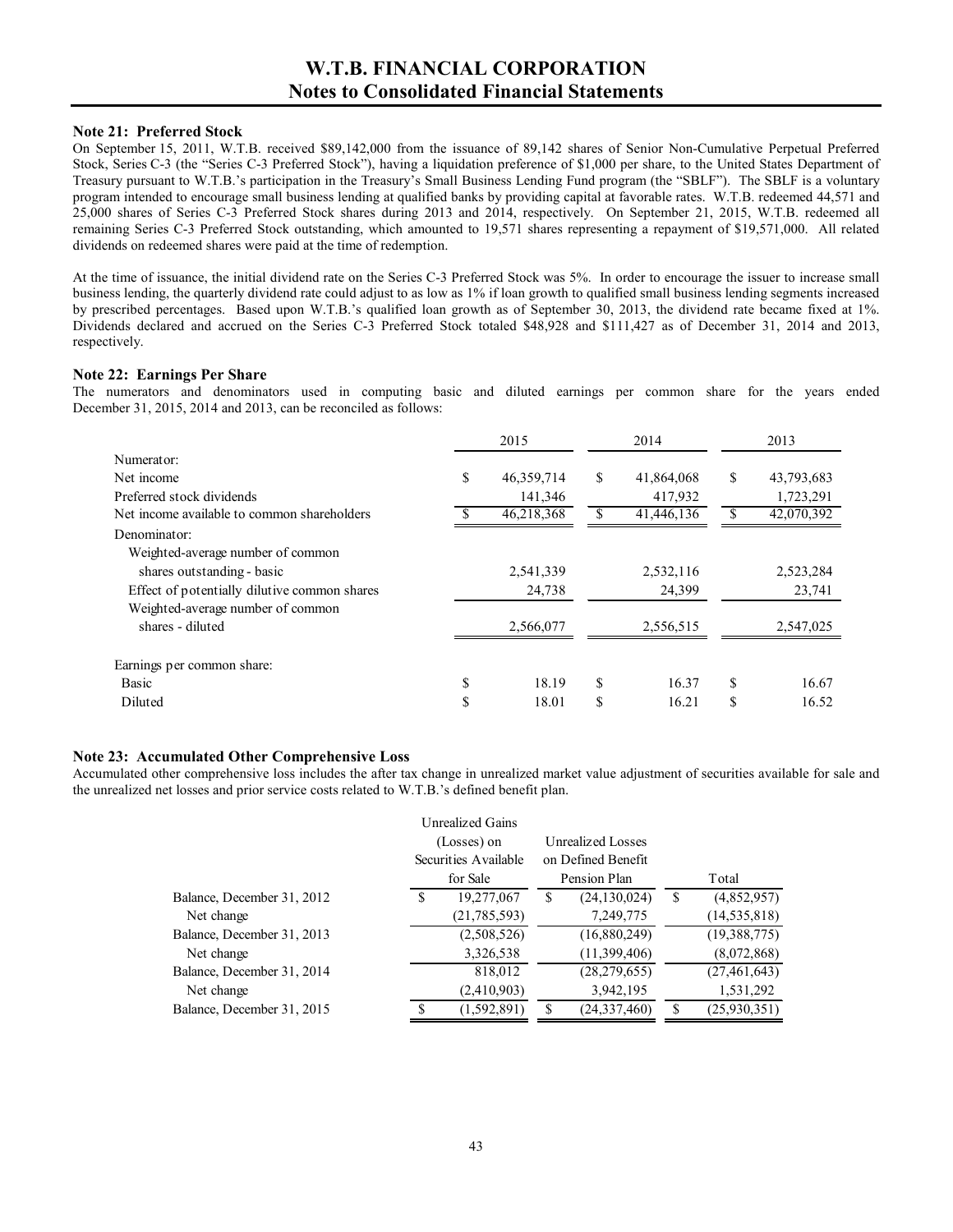#### **Note 21: Preferred Stock**

On September 15, 2011, W.T.B. received \$89,142,000 from the issuance of 89,142 shares of Senior Non-Cumulative Perpetual Preferred Stock, Series C-3 (the "Series C-3 Preferred Stock"), having a liquidation preference of \$1,000 per share, to the United States Department of Treasury pursuant to W.T.B.'s participation in the Treasury's Small Business Lending Fund program (the "SBLF"). The SBLF is a voluntary program intended to encourage small business lending at qualified banks by providing capital at favorable rates. W.T.B. redeemed 44,571 and 25,000 shares of Series C-3 Preferred Stock shares during 2013 and 2014, respectively. On September 21, 2015, W.T.B. redeemed all remaining Series C-3 Preferred Stock outstanding, which amounted to 19,571 shares representing a repayment of \$19,571,000. All related dividends on redeemed shares were paid at the time of redemption.

At the time of issuance, the initial dividend rate on the Series C-3 Preferred Stock was 5%. In order to encourage the issuer to increase small business lending, the quarterly dividend rate could adjust to as low as 1% if loan growth to qualified small business lending segments increased by prescribed percentages. Based upon W.T.B.'s qualified loan growth as of September 30, 2013, the dividend rate became fixed at 1%. Dividends declared and accrued on the Series C-3 Preferred Stock totaled \$48,928 and \$111,427 as of December 31, 2014 and 2013, respectively.

#### **Note 22: Earnings Per Share**

The numerators and denominators used in computing basic and diluted earnings per common share for the years ended December 31, 2015, 2014 and 2013, can be reconciled as follows:

|                                              | 2015 |              | 2014             | 2013 |            |
|----------------------------------------------|------|--------------|------------------|------|------------|
| Numerator:                                   |      |              |                  |      |            |
| Net income                                   | \$   | 46, 359, 714 | \$<br>41,864,068 | \$   | 43,793,683 |
| Preferred stock dividends                    |      | 141,346      | 417,932          |      | 1,723,291  |
| Net income available to common shareholders  |      | 46,218,368   | 41,446,136       |      | 42,070,392 |
| Denominator:                                 |      |              |                  |      |            |
| Weighted-average number of common            |      |              |                  |      |            |
| shares outstanding - basic                   |      | 2,541,339    | 2,532,116        |      | 2,523,284  |
| Effect of potentially dilutive common shares |      | 24,738       | 24,399           |      | 23,741     |
| Weighted-average number of common            |      |              |                  |      |            |
| shares - diluted                             |      | 2,566,077    | 2,556,515        |      | 2,547,025  |
| Earnings per common share:                   |      |              |                  |      |            |
| <b>Basic</b>                                 | \$   | 18.19        | \$<br>16.37      | \$   | 16.67      |
| Diluted                                      | \$   | 18.01        | \$<br>16.21      | \$   | 16.52      |

#### **Note 23: Accumulated Other Comprehensive Loss**

Accumulated other comprehensive loss includes the after tax change in unrealized market value adjustment of securities available for sale and the unrealized net losses and prior service costs related to W.T.B.'s defined benefit plan.

|                            | Unrealized Gains     |                |                    |                |       |                |  |  |
|----------------------------|----------------------|----------------|--------------------|----------------|-------|----------------|--|--|
|                            | (Losses) on          |                | Unrealized Losses  |                |       |                |  |  |
|                            | Securities Available |                | on Defined Benefit |                |       |                |  |  |
|                            | for Sale             |                | Pension Plan       |                | Total |                |  |  |
| Balance, December 31, 2012 | S                    | 19,277,067     | S                  | (24, 130, 024) | S.    | (4,852,957)    |  |  |
| Net change                 |                      | (21, 785, 593) |                    | 7,249,775      |       | (14, 535, 818) |  |  |
| Balance, December 31, 2013 |                      | (2,508,526)    |                    | (16,880,249)   |       | (19,388,775)   |  |  |
| Net change                 |                      | 3,326,538      |                    | (11,399,406)   |       | (8,072,868)    |  |  |
| Balance, December 31, 2014 |                      | 818,012        |                    | (28, 279, 655) |       | (27, 461, 643) |  |  |
| Net change                 |                      | (2,410,903)    |                    | 3,942,195      |       | 1,531,292      |  |  |
| Balance, December 31, 2015 |                      | (1,592,891)    | \$                 | (24, 337, 460) | S     | (25,930,351)   |  |  |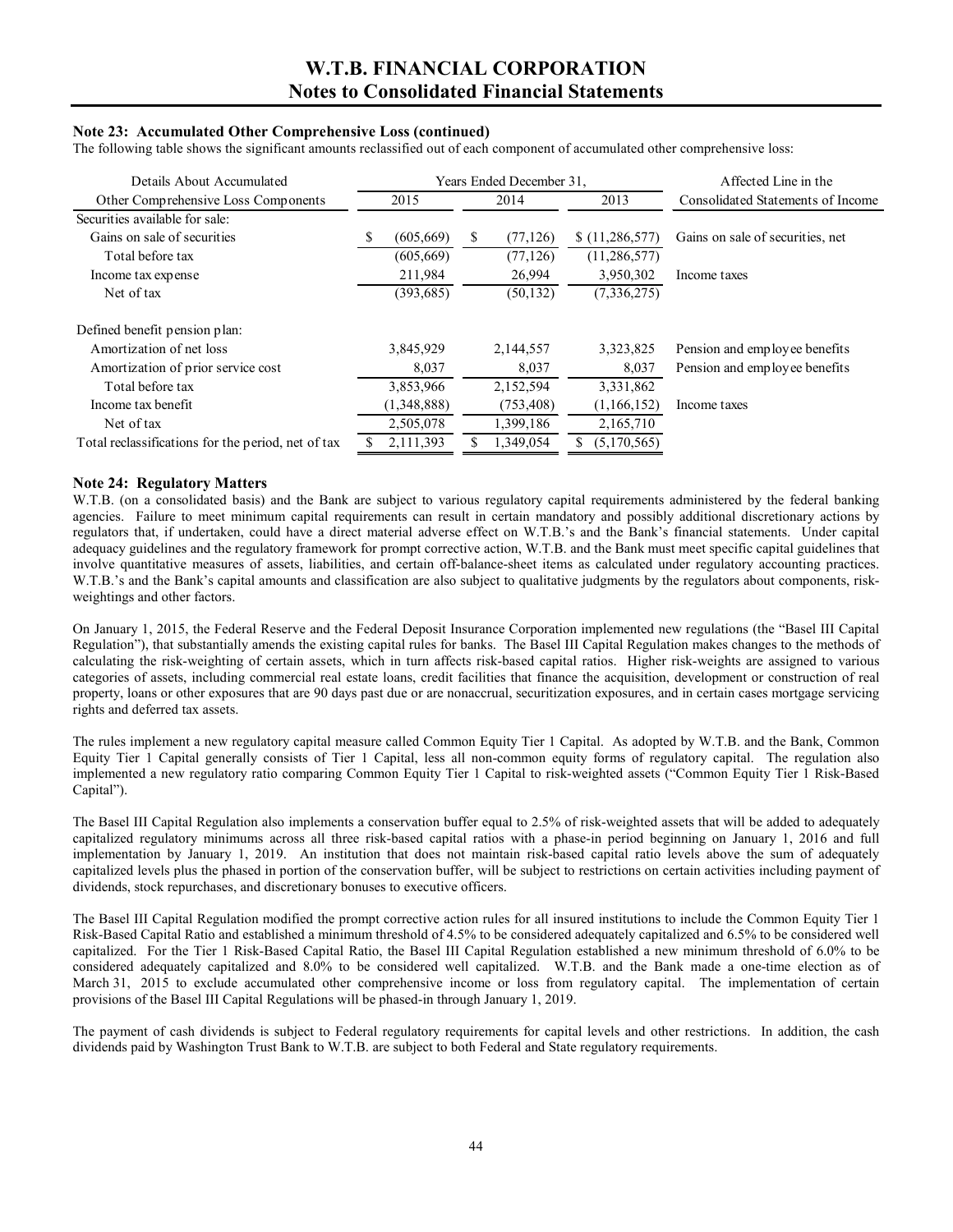#### **Note 23: Accumulated Other Comprehensive Loss (continued)**

The following table shows the significant amounts reclassified out of each component of accumulated other comprehensive loss:

| Details About Accumulated                          |                  | Years Ended December 31. | Affected Line in the |                                   |
|----------------------------------------------------|------------------|--------------------------|----------------------|-----------------------------------|
| Other Comprehensive Loss Components                | 2015             | 2014                     | 2013                 | Consolidated Statements of Income |
| Securities available for sale:                     |                  |                          |                      |                                   |
| Gains on sale of securities                        | \$<br>(605, 669) | (77, 126)<br>S           | \$(11, 286, 577)     | Gains on sale of securities, net  |
| Total before tax                                   | (605, 669)       | (77, 126)                | (11, 286, 577)       |                                   |
| Income tax expense                                 | 211,984          | 26,994                   | 3,950,302            | Income taxes                      |
| Net of tax                                         | (393, 685)       | (50, 132)                | (7,336,275)          |                                   |
| Defined benefit pension plan:                      |                  |                          |                      |                                   |
| Amortization of net loss                           | 3,845,929        | 2,144,557                | 3,323,825            | Pension and employee benefits     |
| Amortization of prior service cost                 | 8,037            | 8.037                    | 8,037                | Pension and employee benefits     |
| Total before tax                                   | 3,853,966        | 2,152,594                | 3,331,862            |                                   |
| Income tax benefit                                 | (1,348,888)      | (753, 408)               | (1,166,152)          | Income taxes                      |
| Net of tax                                         | 2,505,078        | 1,399,186                | 2,165,710            |                                   |
| Total reclassifications for the period, net of tax | 2,111,393        | 1,349,054                | (5,170,565)          |                                   |

#### **Note 24: Regulatory Matters**

W.T.B. (on a consolidated basis) and the Bank are subject to various regulatory capital requirements administered by the federal banking agencies. Failure to meet minimum capital requirements can result in certain mandatory and possibly additional discretionary actions by regulators that, if undertaken, could have a direct material adverse effect on W.T.B.'s and the Bank's financial statements. Under capital adequacy guidelines and the regulatory framework for prompt corrective action, W.T.B. and the Bank must meet specific capital guidelines that involve quantitative measures of assets, liabilities, and certain off-balance-sheet items as calculated under regulatory accounting practices. W.T.B.'s and the Bank's capital amounts and classification are also subject to qualitative judgments by the regulators about components, riskweightings and other factors.

On January 1, 2015, the Federal Reserve and the Federal Deposit Insurance Corporation implemented new regulations (the "Basel III Capital Regulation"), that substantially amends the existing capital rules for banks. The Basel III Capital Regulation makes changes to the methods of calculating the risk-weighting of certain assets, which in turn affects risk-based capital ratios. Higher risk-weights are assigned to various categories of assets, including commercial real estate loans, credit facilities that finance the acquisition, development or construction of real property, loans or other exposures that are 90 days past due or are nonaccrual, securitization exposures, and in certain cases mortgage servicing rights and deferred tax assets.

The rules implement a new regulatory capital measure called Common Equity Tier 1 Capital. As adopted by W.T.B. and the Bank, Common Equity Tier 1 Capital generally consists of Tier 1 Capital, less all non-common equity forms of regulatory capital. The regulation also implemented a new regulatory ratio comparing Common Equity Tier 1 Capital to risk-weighted assets ("Common Equity Tier 1 Risk-Based Capital").

The Basel III Capital Regulation also implements a conservation buffer equal to 2.5% of risk-weighted assets that will be added to adequately capitalized regulatory minimums across all three risk-based capital ratios with a phase-in period beginning on January 1, 2016 and full implementation by January 1, 2019. An institution that does not maintain risk-based capital ratio levels above the sum of adequately capitalized levels plus the phased in portion of the conservation buffer, will be subject to restrictions on certain activities including payment of dividends, stock repurchases, and discretionary bonuses to executive officers.

The Basel III Capital Regulation modified the prompt corrective action rules for all insured institutions to include the Common Equity Tier 1 Risk-Based Capital Ratio and established a minimum threshold of 4.5% to be considered adequately capitalized and 6.5% to be considered well capitalized. For the Tier 1 Risk-Based Capital Ratio, the Basel III Capital Regulation established a new minimum threshold of 6.0% to be considered adequately capitalized and 8.0% to be considered well capitalized. W.T.B. and the Bank made a one-time election as of March 31, 2015 to exclude accumulated other comprehensive income or loss from regulatory capital. The implementation of certain provisions of the Basel III Capital Regulations will be phased-in through January 1, 2019.

The payment of cash dividends is subject to Federal regulatory requirements for capital levels and other restrictions. In addition, the cash dividends paid by Washington Trust Bank to W.T.B. are subject to both Federal and State regulatory requirements.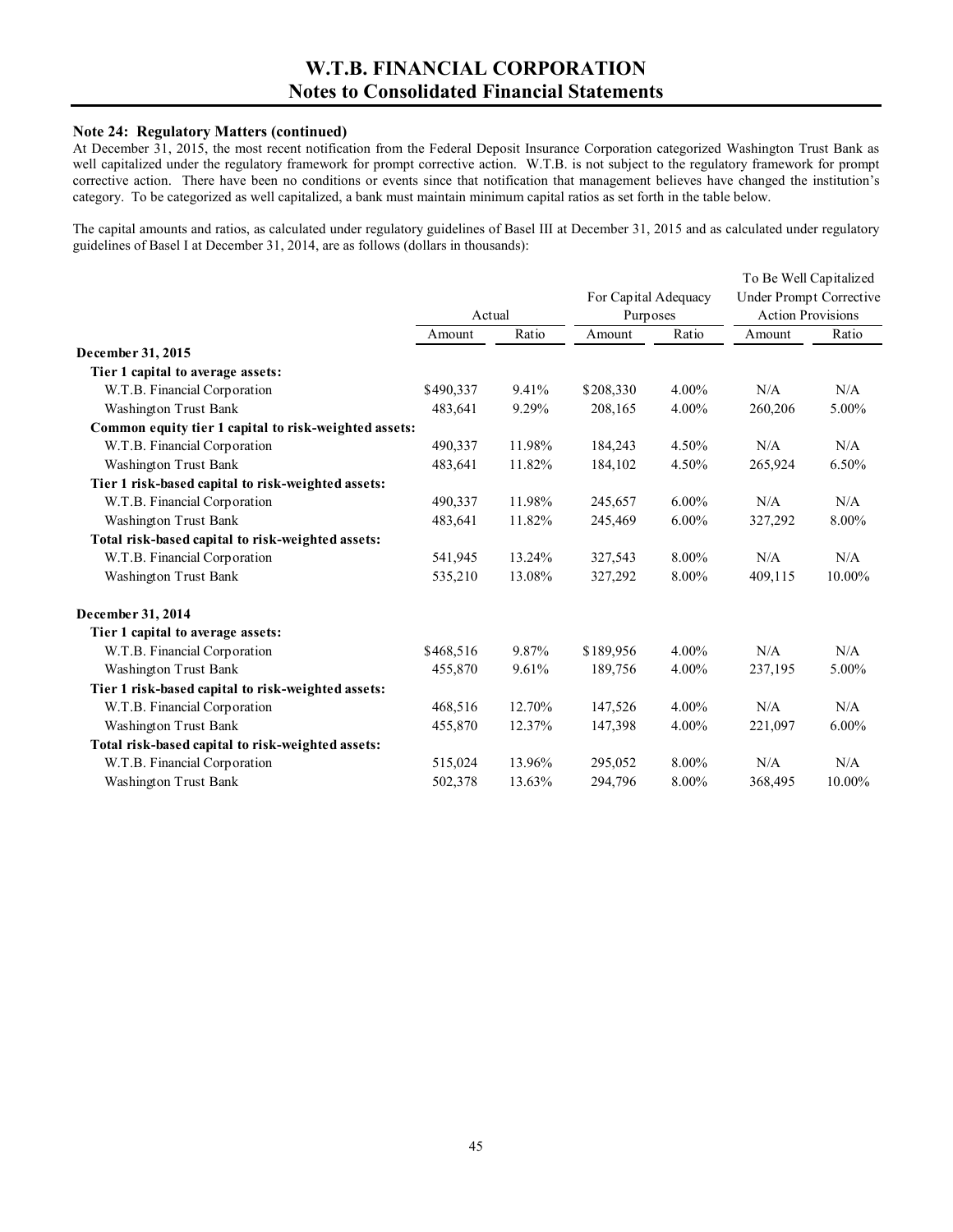#### **Note 24: Regulatory Matters (continued)**

At December 31, 2015, the most recent notification from the Federal Deposit Insurance Corporation categorized Washington Trust Bank as well capitalized under the regulatory framework for prompt corrective action. W.T.B. is not subject to the regulatory framework for prompt corrective action. There have been no conditions or events since that notification that management believes have changed the institution's category. To be categorized as well capitalized, a bank must maintain minimum capital ratios as set forth in the table below.

The capital amounts and ratios, as calculated under regulatory guidelines of Basel III at December 31, 2015 and as calculated under regulatory guidelines of Basel I at December 31, 2014, are as follows (dollars in thousands):

|                                                       |                      |        |           |          | To Be Well Capitalized  |                          |  |  |
|-------------------------------------------------------|----------------------|--------|-----------|----------|-------------------------|--------------------------|--|--|
|                                                       | For Capital Adequacy |        |           |          | Under Prompt Corrective |                          |  |  |
|                                                       |                      | Actual |           | Purposes |                         | <b>Action Provisions</b> |  |  |
|                                                       | Amount               | Ratio  | Amount    | Ratio    | Amount                  | Ratio                    |  |  |
| December 31, 2015                                     |                      |        |           |          |                         |                          |  |  |
| Tier 1 capital to average assets:                     |                      |        |           |          |                         |                          |  |  |
| W.T.B. Financial Corporation                          | \$490,337            | 9.41%  | \$208,330 | 4.00%    | N/A                     | N/A                      |  |  |
| Washington Trust Bank                                 | 483,641              | 9.29%  | 208,165   | 4.00%    | 260,206                 | 5.00%                    |  |  |
| Common equity tier 1 capital to risk-weighted assets: |                      |        |           |          |                         |                          |  |  |
| W.T.B. Financial Corporation                          | 490,337              | 11.98% | 184,243   | 4.50%    | N/A                     | N/A                      |  |  |
| Washington Trust Bank                                 | 483,641              | 11.82% | 184,102   | 4.50%    | 265,924                 | 6.50%                    |  |  |
| Tier 1 risk-based capital to risk-weighted assets:    |                      |        |           |          |                         |                          |  |  |
| W.T.B. Financial Corporation                          | 490,337              | 11.98% | 245,657   | $6.00\%$ | N/A                     | N/A                      |  |  |
| Washington Trust Bank                                 | 483,641              | 11.82% | 245,469   | $6.00\%$ | 327,292                 | 8.00%                    |  |  |
| Total risk-based capital to risk-weighted assets:     |                      |        |           |          |                         |                          |  |  |
| W.T.B. Financial Corporation                          | 541,945              | 13.24% | 327,543   | 8.00%    | N/A                     | N/A                      |  |  |
| Washington Trust Bank                                 | 535,210              | 13.08% | 327,292   | 8.00%    | 409,115                 | 10.00%                   |  |  |
| December 31, 2014                                     |                      |        |           |          |                         |                          |  |  |
| Tier 1 capital to average assets:                     |                      |        |           |          |                         |                          |  |  |
| W.T.B. Financial Corporation                          | \$468,516            | 9.87%  | \$189,956 | 4.00%    | N/A                     | N/A                      |  |  |
| Washington Trust Bank                                 | 455,870              | 9.61%  | 189,756   | 4.00%    | 237,195                 | 5.00%                    |  |  |
| Tier 1 risk-based capital to risk-weighted assets:    |                      |        |           |          |                         |                          |  |  |
| W.T.B. Financial Corporation                          | 468,516              | 12.70% | 147,526   | 4.00%    | N/A                     | N/A                      |  |  |
| Washington Trust Bank                                 | 455,870              | 12.37% | 147,398   | 4.00%    | 221,097                 | $6.00\%$                 |  |  |
| Total risk-based capital to risk-weighted assets:     |                      |        |           |          |                         |                          |  |  |
| W.T.B. Financial Corporation                          | 515,024              | 13.96% | 295,052   | 8.00%    | N/A                     | N/A                      |  |  |
| Washington Trust Bank                                 | 502,378              | 13.63% | 294,796   | 8.00%    | 368,495                 | 10.00%                   |  |  |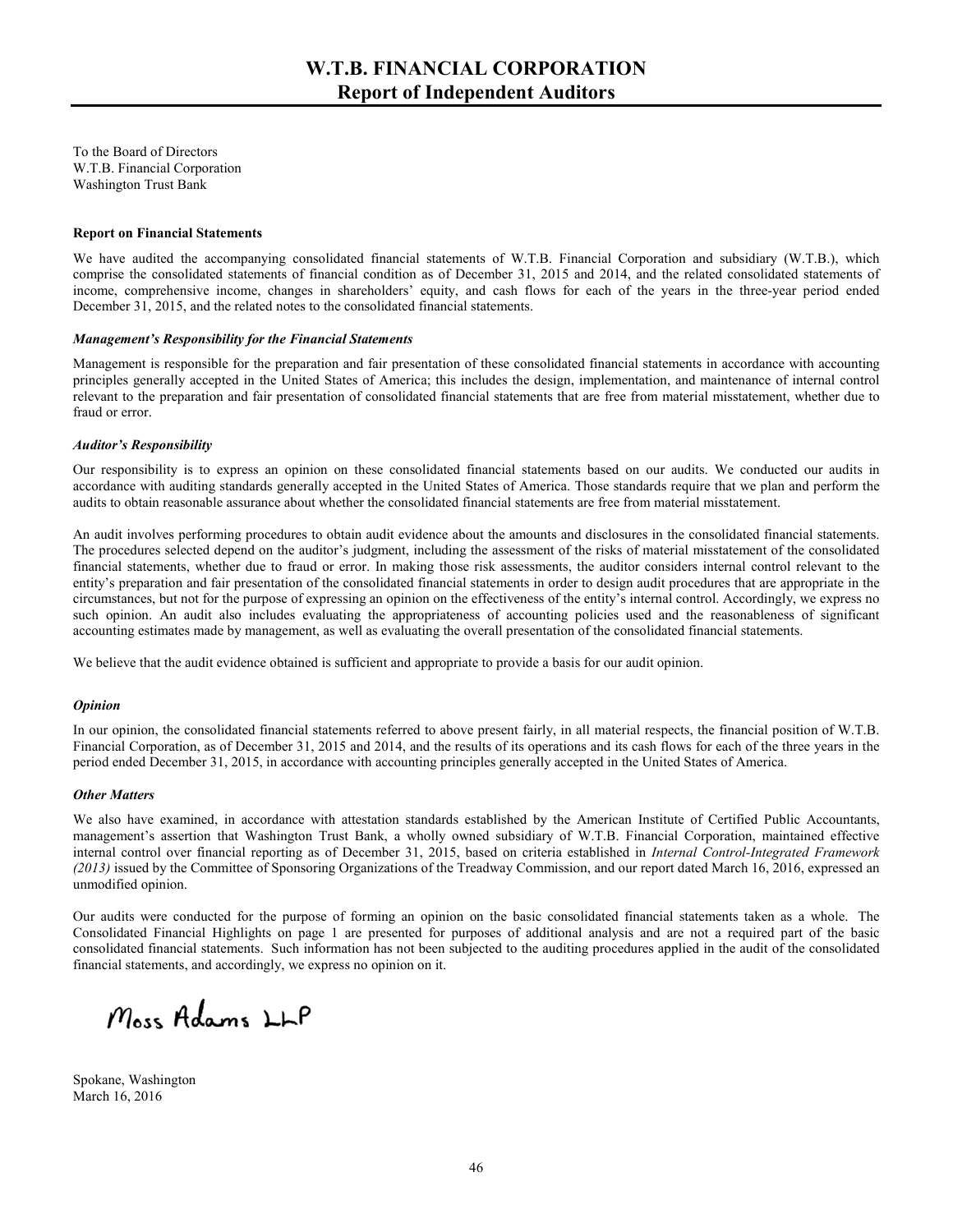To the Board of Directors W.T.B. Financial Corporation Washington Trust Bank

#### **Report on Financial Statements**

We have audited the accompanying consolidated financial statements of W.T.B. Financial Corporation and subsidiary (W.T.B.), which comprise the consolidated statements of financial condition as of December 31, 2015 and 2014, and the related consolidated statements of income, comprehensive income, changes in shareholders' equity, and cash flows for each of the years in the three-year period ended December 31, 2015, and the related notes to the consolidated financial statements.

#### *Management's Responsibility for the Financial Statements*

Management is responsible for the preparation and fair presentation of these consolidated financial statements in accordance with accounting principles generally accepted in the United States of America; this includes the design, implementation, and maintenance of internal control relevant to the preparation and fair presentation of consolidated financial statements that are free from material misstatement, whether due to fraud or error.

#### *Auditor's Responsibility*

Our responsibility is to express an opinion on these consolidated financial statements based on our audits. We conducted our audits in accordance with auditing standards generally accepted in the United States of America. Those standards require that we plan and perform the audits to obtain reasonable assurance about whether the consolidated financial statements are free from material misstatement.

An audit involves performing procedures to obtain audit evidence about the amounts and disclosures in the consolidated financial statements. The procedures selected depend on the auditor's judgment, including the assessment of the risks of material misstatement of the consolidated financial statements, whether due to fraud or error. In making those risk assessments, the auditor considers internal control relevant to the entity's preparation and fair presentation of the consolidated financial statements in order to design audit procedures that are appropriate in the circumstances, but not for the purpose of expressing an opinion on the effectiveness of the entity's internal control. Accordingly, we express no such opinion. An audit also includes evaluating the appropriateness of accounting policies used and the reasonableness of significant accounting estimates made by management, as well as evaluating the overall presentation of the consolidated financial statements.

We believe that the audit evidence obtained is sufficient and appropriate to provide a basis for our audit opinion.

#### *Opinion*

In our opinion, the consolidated financial statements referred to above present fairly, in all material respects, the financial position of W.T.B. Financial Corporation, as of December 31, 2015 and 2014, and the results of its operations and its cash flows for each of the three years in the period ended December 31, 2015, in accordance with accounting principles generally accepted in the United States of America.

#### *Other Matters*

We also have examined, in accordance with attestation standards established by the American Institute of Certified Public Accountants, management's assertion that Washington Trust Bank, a wholly owned subsidiary of W.T.B. Financial Corporation, maintained effective internal control over financial reporting as of December 31, 2015, based on criteria established in *Internal Control-Integrated Framework (2013)* issued by the Committee of Sponsoring Organizations of the Treadway Commission, and our report dated March 16, 2016, expressed an unmodified opinion.

Our audits were conducted for the purpose of forming an opinion on the basic consolidated financial statements taken as a whole. The Consolidated Financial Highlights on page 1 are presented for purposes of additional analysis and are not a required part of the basic consolidated financial statements. Such information has not been subjected to the auditing procedures applied in the audit of the consolidated financial statements, and accordingly, we express no opinion on it.

Moss Adams LLP

Spokane, Washington March 16, 2016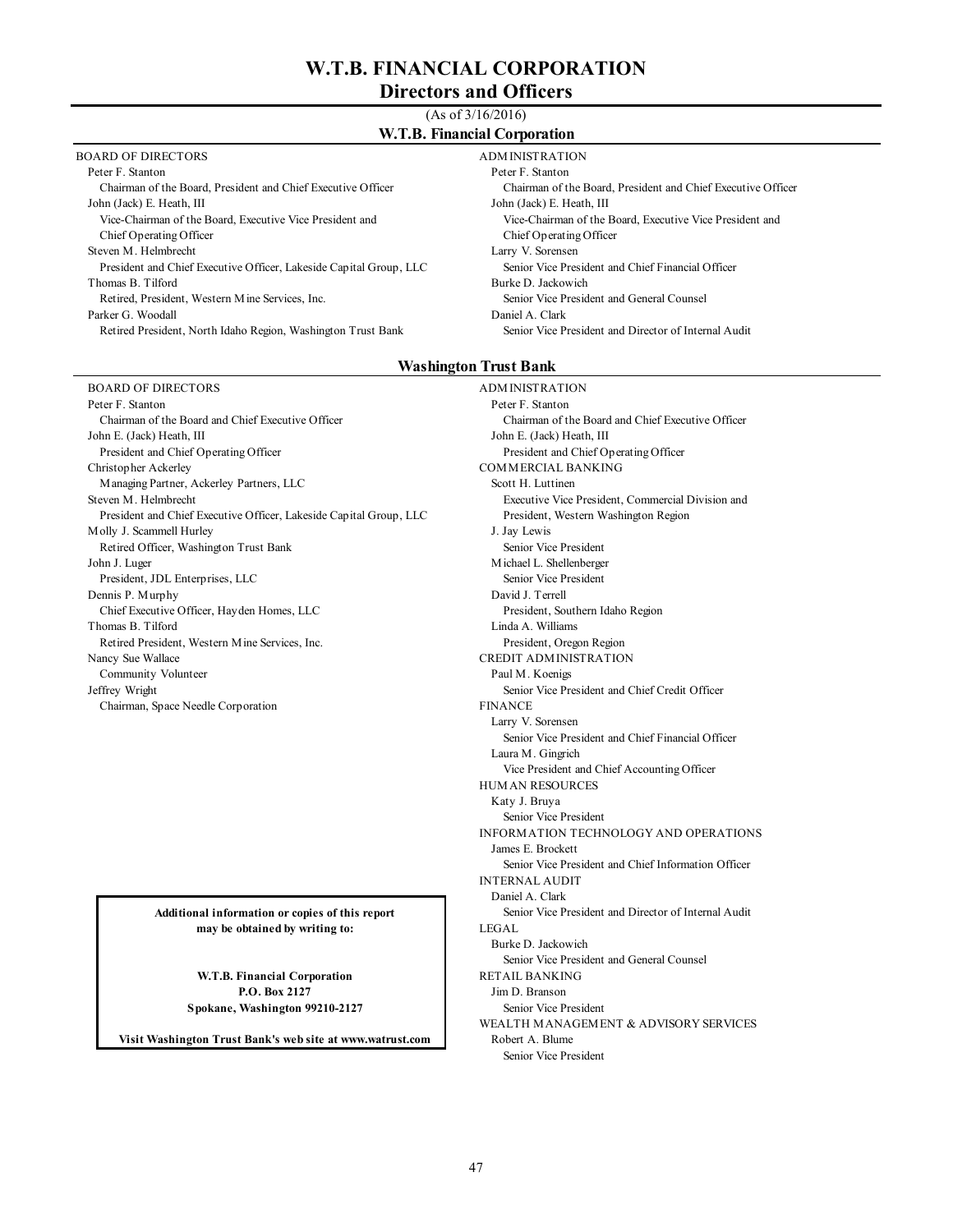## **W.T.B. FINANCIAL CORPORATION**

### **Directors and Officers**

#### (As of 3/16/2016) **W.T.B. Financial Corporation**

BOARD OF DIRECTORS ADM INISTRATION Peter F. Stanton Chairman of the Board, President and Chief Executive Officer John (Jack) E. Heath, III Vice-Chairman of the Board, Executive Vice President and Chief Operating Officer Steven M. Helmbrecht President and Chief Executive Officer, Lakeside Capital Group, LLC Thomas B. Tilford Retired, President, Western Mine Services, Inc. Parker G. Woodall Retired President, North Idaho Region, Washington Trust Bank

#### Peter F. Stanton Chairman of the Board, President and Chief Executive Officer John (Jack) E. Heath, III Vice-Chairman of the Board, Executive Vice President and Chief Operating Officer Larry V. Sorensen Senior Vice President and Chief Financial Officer Burke D. Jackowich Senior Vice President and General Counsel Daniel A. Clark Senior Vice President and Director of Internal Audit

#### **Washington Trust Bank**

BOARD OF DIRECTORS ADM INISTRATION Peter F. Stanton Chairman of the Board and Chief Executive Officer John E. (Jack) Heath, III President and Chief Operating Officer Christopher Ackerley Managing Partner, Ackerley Partners, LLC Steven M. Helmbrecht President and Chief Executive Officer, Lakeside Capital Group, LLC Molly J. Scammell Hurley Retired Officer, Washington Trust Bank John J. Luger President, JDL Enterprises, LLC Dennis P. Murphy Chief Executive Officer, Hayden Homes, LLC Thomas B. Tilford Retired President, Western Mine Services, Inc. Nancy Sue Wallace Community Volunteer Jeffrey Wright Chairman, Space Needle Corporation

**may be obtained by writing to:** LEGAL

W.T.B. Financial Corporation **RETAIL BANKING P.O. Box 2127** Jim D. Branson Spokane, Washington 99210-2127 Senior Vice President

Visit Washington Trust Bank's web site at www.watrust.com Robert A. Blume

Peter F. Stanton Chairman of the Board and Chief Executive Officer John E. (Jack) Heath, III President and Chief Operating Officer COMMERCIAL BANKING Scott H. Luttinen Executive Vice President, Commercial Division and President, Western Washington Region J. Jay Lewis Senior Vice President M ichael L. Shellenberger Senior Vice President David J. Terrell President, Southern Idaho Region Linda A. Williams President, Oregon Region CREDIT ADMINISTRATION Paul M. Koenigs Senior Vice President and Chief Credit Officer FINANCE Larry V. Sorensen Senior Vice President and Chief Financial Officer Laura M. Gingrich Vice President and Chief Accounting Officer HUM AN RESOURCES Katy J. Bruya Senior Vice President INFORMATION TECHNOLOGY AND OPERATIONS James E. Brockett Senior Vice President and Chief Information Officer INTERNAL AUDIT Daniel A. Clark **Additional information or copies of this report** Senior Vice President and Director of Internal Audit Burke D. Jackowich Senior Vice President and General Counsel WEALTH MANAGEMENT & ADVISORY SERVICES Senior Vice President